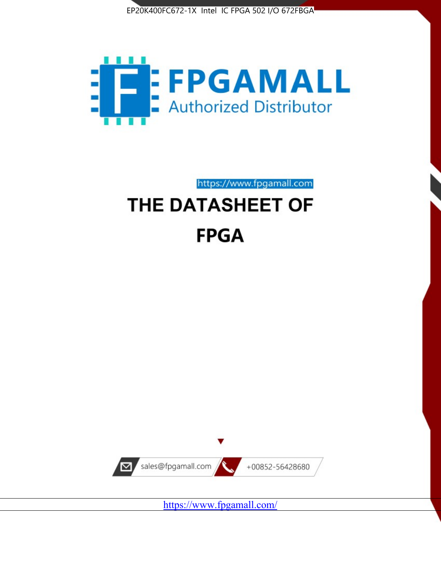



https://www.fpgamall.com

# THE DATASHEET OF **FPGA**



<https://www.fpgamall.com/>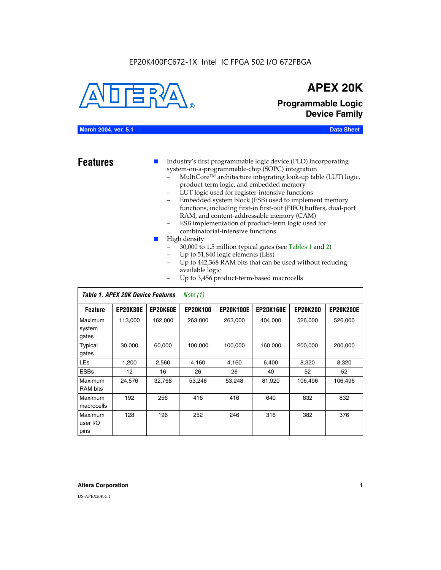#### EP20K400FC672-1X Intel IC FPGA 502 I/O 672FBGA



## **APEX 20K**

**Programmable Logic Device Family**

#### **March 2004, ver. 5.1 Data Sheet**

**Features ■** Industry's first programmable logic device (PLD) incorporating system-on-a-programmable-chip (SOPC) integration

- MultiCore™ architecture integrating look-up table (LUT) logic, product-term logic, and embedded memory
- LUT logic used for register-intensive functions
- Embedded system block (ESB) used to implement memory functions, including first-in first-out (FIFO) buffers, dual-port RAM, and content-addressable memory (CAM)
- ESB implementation of product-term logic used for combinatorial-intensive functions
- High density
	- 30,000 to 1.5 million typical gates (see Tables 1 and 2)
	- Up to 51,840 logic elements (LEs)
	- Up to 442,368 RAM bits that can be used without reducing available logic
	- Up to 3,456 product-term-based macrocells

|                             | Table 1. APEX 20K Device Features |          | Note $(1)$      |                  |                  |                 |                  |
|-----------------------------|-----------------------------------|----------|-----------------|------------------|------------------|-----------------|------------------|
| <b>Feature</b>              | <b>EP20K30E</b>                   | EP20K60E | <b>EP20K100</b> | <b>EP20K100E</b> | <b>EP20K160E</b> | <b>EP20K200</b> | <b>EP20K200E</b> |
| Maximum<br>system<br>gates  | 113,000                           | 162,000  | 263,000         | 263,000          | 404.000          | 526,000         | 526,000          |
| Typical<br>gates            | 30,000                            | 60.000   | 100,000         | 100,000          | 160,000          | 200,000         | 200,000          |
| <b>LEs</b>                  | 1,200                             | 2,560    | 4,160           | 4.160            | 6.400            | 8,320           | 8,320            |
| <b>ESBs</b>                 | 12                                | 16       | 26              | 26               | 40               | 52              | 52               |
| Maximum<br>RAM bits         | 24,576                            | 32,768   | 53,248          | 53,248           | 81,920           | 106,496         | 106,496          |
| Maximum<br>macrocells       | 192                               | 256      | 416             | 416              | 640              | 832             | 832              |
| Maximum<br>user I/O<br>pins | 128                               | 196      | 252             | 246              | 316              | 382             | 376              |

#### **Altera Corporation 1**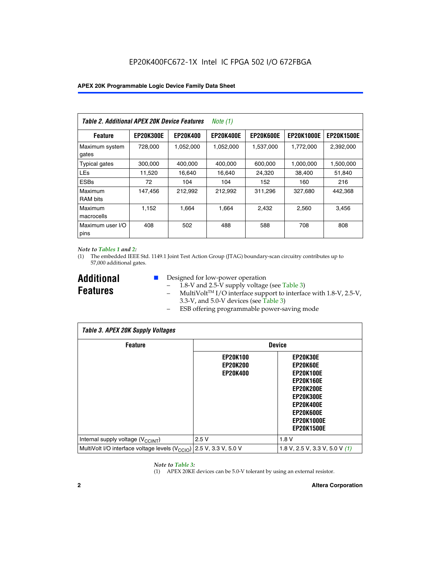| Table 2. Additional APEX 20K Device Features |                  |                 | Note (1)         |                  |                   |                   |
|----------------------------------------------|------------------|-----------------|------------------|------------------|-------------------|-------------------|
| <b>Feature</b>                               | <b>EP20K300E</b> | <b>EP20K400</b> | <b>EP20K400E</b> | <b>EP20K600E</b> | <b>EP20K1000E</b> | <b>EP20K1500E</b> |
| Maximum system<br>gates                      | 728,000          | 1,052,000       | 1,052,000        | 1,537,000        | 1,772,000         | 2,392,000         |
| <b>Typical gates</b>                         | 300,000          | 400,000         | 400,000          | 600,000          | 1,000,000         | 1,500,000         |
| <b>LEs</b>                                   | 11,520           | 16,640          | 16,640           | 24,320           | 38,400            | 51,840            |
| <b>ESBs</b>                                  | 72               | 104             | 104              | 152              | 160               | 216               |
| Maximum<br><b>RAM bits</b>                   | 147,456          | 212,992         | 212,992          | 311,296          | 327.680           | 442,368           |
| Maximum<br>macrocells                        | 1.152            | 1.664           | 1.664            | 2.432            | 2,560             | 3,456             |
| Maximum user I/O<br>pins                     | 408              | 502             | 488              | 588              | 708               | 808               |

#### *Note to Tables 1 and 2:*

(1) The embedded IEEE Std. 1149.1 Joint Test Action Group (JTAG) boundary-scan circuitry contributes up to 57,000 additional gates.

**Additional Features**

- Designed for low-power operation
	- 1.8-V and 2.5-V supply voltage (see Table 3)
	- $-$  MultiVolt<sup>TM</sup> I/O interface support to interface with 1.8-V, 2.5-V, 3.3-V, and 5.0-V devices (see Table 3)
	- ESB offering programmable power-saving mode

| <b>Table 3. APEX 20K Supply Voltages</b>                                       |                                                       |                                                                                                                                                                          |  |  |  |  |  |
|--------------------------------------------------------------------------------|-------------------------------------------------------|--------------------------------------------------------------------------------------------------------------------------------------------------------------------------|--|--|--|--|--|
| <b>Feature</b>                                                                 | <b>Device</b>                                         |                                                                                                                                                                          |  |  |  |  |  |
|                                                                                | <b>EP20K100</b><br><b>EP20K200</b><br><b>EP20K400</b> | EP20K30E<br>EP20K60E<br><b>EP20K100E</b><br><b>EP20K160E</b><br>EP20K200E<br><b>EP20K300E</b><br><b>EP20K400E</b><br>EP20K600E<br><b>EP20K1000E</b><br><b>EP20K1500E</b> |  |  |  |  |  |
| Internal supply voltage (V <sub>CCINT</sub> )                                  | 2.5V                                                  | 1.8V                                                                                                                                                                     |  |  |  |  |  |
| MultiVolt I/O interface voltage levels $(V_{\text{CCIO}})$ 2.5 V, 3.3 V, 5.0 V |                                                       | 1.8 V, 2.5 V, 3.3 V, 5.0 V $(1)$                                                                                                                                         |  |  |  |  |  |

#### *Note to Table 3:*

(1) APEX 20KE devices can be 5.0-V tolerant by using an external resistor.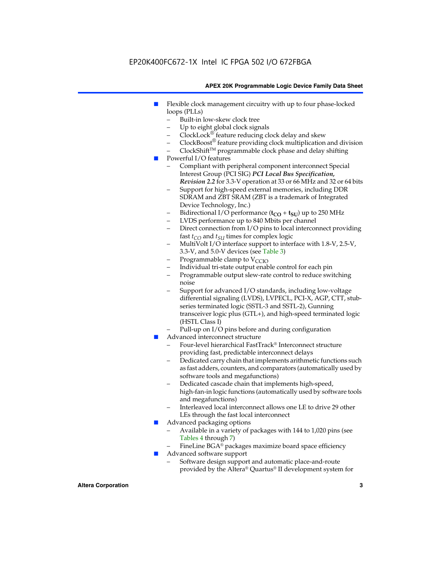### EP20K400FC672-1X Intel IC FPGA 502 I/O 672FBGA

#### **APEX 20K Programmable Logic Device Family Data Sheet**

- Flexible clock management circuitry with up to four phase-locked loops (PLLs)
	- Built-in low-skew clock tree
	- Up to eight global clock signals
	- $ClockLock^{\circledR}$  feature reducing clock delay and skew
	- $ClockBoost^{\circledR}$  feature providing clock multiplication and division
	- ClockShiftTM programmable clock phase and delay shifting
- Powerful I/O features
	- Compliant with peripheral component interconnect Special Interest Group (PCI SIG) *PCI Local Bus Specification, Revision 2.2* for 3.3-V operation at 33 or 66 MHz and 32 or 64 bits
	- Support for high-speed external memories, including DDR SDRAM and ZBT SRAM (ZBT is a trademark of Integrated Device Technology, Inc.)
	- Bidirectional I/O performance  $(t_{CO} + t_{SU})$  up to 250 MHz
	- LVDS performance up to 840 Mbits per channel
	- Direct connection from I/O pins to local interconnect providing fast  $t_{CO}$  and  $t_{SU}$  times for complex logic
	- MultiVolt I/O interface support to interface with 1.8-V, 2.5-V, 3.3-V, and 5.0-V devices (see Table 3)
	- Programmable clamp to  $V_{\text{C}CD}$
	- Individual tri-state output enable control for each pin
	- Programmable output slew-rate control to reduce switching noise
	- Support for advanced I/O standards, including low-voltage differential signaling (LVDS), LVPECL, PCI-X, AGP, CTT, stubseries terminated logic (SSTL-3 and SSTL-2), Gunning transceiver logic plus (GTL+), and high-speed terminated logic (HSTL Class I)
	- Pull-up on I/O pins before and during configuration
- Advanced interconnect structure
	- Four-level hierarchical FastTrack® Interconnect structure providing fast, predictable interconnect delays
	- Dedicated carry chain that implements arithmetic functions such as fast adders, counters, and comparators (automatically used by software tools and megafunctions)
	- Dedicated cascade chain that implements high-speed, high-fan-in logic functions (automatically used by software tools and megafunctions)
	- Interleaved local interconnect allows one LE to drive 29 other LEs through the fast local interconnect
- Advanced packaging options
	- Available in a variety of packages with 144 to 1,020 pins (see Tables 4 through 7)
	- FineLine BGA® packages maximize board space efficiency
- Advanced software support
	- Software design support and automatic place-and-route provided by the Altera® Quartus® II development system for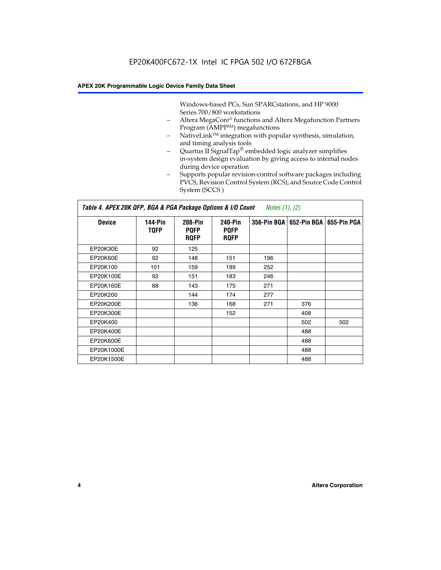Windows-based PCs, Sun SPARCstations, and HP 9000 Series 700/800 workstations

- Altera MegaCore® functions and Altera Megafunction Partners Program (AMPP<sup>SM</sup>) megafunctions
- NativeLink™ integration with popular synthesis, simulation, and timing analysis tools
- Quartus II SignalTap® embedded logic analyzer simplifies in-system design evaluation by giving access to internal nodes during device operation
- Supports popular revision-control software packages including PVCS, Revision Control System (RCS), and Source Code Control System (SCCS )

#### *Table 4. APEX 20K QFP, BGA & PGA Package Options & I/O Count Notes (1), (2)*

| <b>Device</b>   | 144-Pin<br><b>TQFP</b> | 208-Pin<br><b>PQFP</b><br><b>ROFP</b> | 240-Pin<br><b>PQFP</b><br><b>ROFP</b> |     | 356-Pin BGA   652-Pin BGA | 655-Pin PGA |
|-----------------|------------------------|---------------------------------------|---------------------------------------|-----|---------------------------|-------------|
| EP20K30E        | 92                     | 125                                   |                                       |     |                           |             |
| <b>EP20K60E</b> | 92                     | 148                                   | 151                                   | 196 |                           |             |
| EP20K100        | 101                    | 159                                   | 189                                   | 252 |                           |             |
| EP20K100E       | 92                     | 151                                   | 183                                   | 246 |                           |             |
| EP20K160E       | 88                     | 143                                   | 175                                   | 271 |                           |             |
| EP20K200        |                        | 144                                   | 174                                   | 277 |                           |             |
| EP20K200E       |                        | 136                                   | 168                                   | 271 | 376                       |             |
| EP20K300E       |                        |                                       | 152                                   |     | 408                       |             |
| EP20K400        |                        |                                       |                                       |     | 502                       | 502         |
| EP20K400E       |                        |                                       |                                       |     | 488                       |             |
| EP20K600E       |                        |                                       |                                       |     | 488                       |             |
| EP20K1000E      |                        |                                       |                                       |     | 488                       |             |
| EP20K1500E      |                        |                                       |                                       |     | 488                       |             |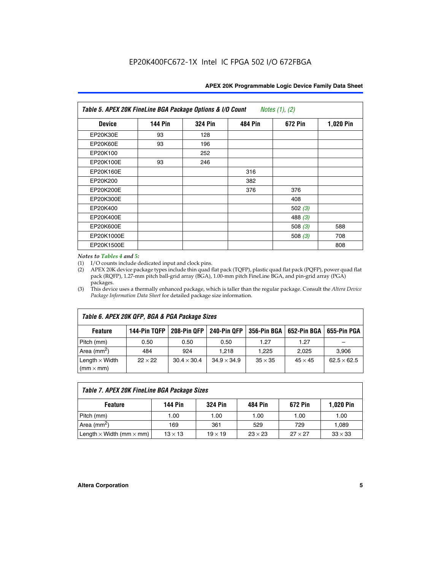| <b>APEX 20K Programmable Logic Device Family Data Sheet</b> |  |  |
|-------------------------------------------------------------|--|--|
|-------------------------------------------------------------|--|--|

| Table 5. APEX 20K FineLine BGA Package Options & I/O Count<br>Notes $(1)$ , $(2)$ |                |                |                |           |           |  |  |
|-----------------------------------------------------------------------------------|----------------|----------------|----------------|-----------|-----------|--|--|
| <b>Device</b>                                                                     | <b>144 Pin</b> | <b>324 Pin</b> | <b>484 Pin</b> | 672 Pin   | 1,020 Pin |  |  |
| EP20K30E                                                                          | 93             | 128            |                |           |           |  |  |
| <b>EP20K60E</b>                                                                   | 93             | 196            |                |           |           |  |  |
| EP20K100                                                                          |                | 252            |                |           |           |  |  |
| EP20K100E                                                                         | 93             | 246            |                |           |           |  |  |
| EP20K160E                                                                         |                |                | 316            |           |           |  |  |
| EP20K200                                                                          |                |                | 382            |           |           |  |  |
| EP20K200E                                                                         |                |                | 376            | 376       |           |  |  |
| EP20K300E                                                                         |                |                |                | 408       |           |  |  |
| EP20K400                                                                          |                |                |                | 502 $(3)$ |           |  |  |
| EP20K400E                                                                         |                |                |                | 488 $(3)$ |           |  |  |
| EP20K600E                                                                         |                |                |                | 508 $(3)$ | 588       |  |  |
| EP20K1000E                                                                        |                |                |                | 508 $(3)$ | 708       |  |  |
| EP20K1500E                                                                        |                |                |                |           | 808       |  |  |

#### *Notes to Tables 4 and 5:*

(1) I/O counts include dedicated input and clock pins.

(2) APEX 20K device package types include thin quad flat pack (TQFP), plastic quad flat pack (PQFP), power quad flat pack (RQFP), 1.27-mm pitch ball-grid array (BGA), 1.00-mm pitch FineLine BGA, and pin-grid array (PGA) packages.

(3) This device uses a thermally enhanced package, which is taller than the regular package. Consult the *Altera Device Package Information Data Sheet* for detailed package size information.

| Table 6. APEX 20K QFP, BGA & PGA Package Sizes                                                            |                |                    |                    |                |                |                    |  |  |
|-----------------------------------------------------------------------------------------------------------|----------------|--------------------|--------------------|----------------|----------------|--------------------|--|--|
| 208-Pin QFP<br>240-Pin QFP<br>652-Pin BGA<br>144-Pin TQFP<br>356-Pin BGA<br>655-Pin PGA<br><b>Feature</b> |                |                    |                    |                |                |                    |  |  |
| Pitch (mm)                                                                                                | 0.50           | 0.50               | 0.50               | 1.27           | 1.27           |                    |  |  |
| Area ( $mm2$ )                                                                                            | 484            | 924                | 1.218              | 1.225          | 2.025          | 3,906              |  |  |
| Length $\times$ Width<br>$(mm \times mm)$                                                                 | $22 \times 22$ | $30.4 \times 30.4$ | $34.9 \times 34.9$ | $35 \times 35$ | $45 \times 45$ | $62.5 \times 62.5$ |  |  |

| Table 7. APEX 20K FineLine BGA Package Sizes |                |                |                |                |                |  |  |  |
|----------------------------------------------|----------------|----------------|----------------|----------------|----------------|--|--|--|
| <b>Feature</b>                               | <b>144 Pin</b> | <b>324 Pin</b> | 484 Pin        | 672 Pin        | 1,020 Pin      |  |  |  |
| Pitch (mm)                                   | 1.00           | 1.00           | 1.00           | 1.00           | 1.00           |  |  |  |
| Area ( $mm2$ )                               | 169            | 361            | 529            | 729            | 1,089          |  |  |  |
| Length $\times$ Width (mm $\times$ mm)       | $13 \times 13$ | $19 \times 19$ | $23 \times 23$ | $27 \times 27$ | $33 \times 33$ |  |  |  |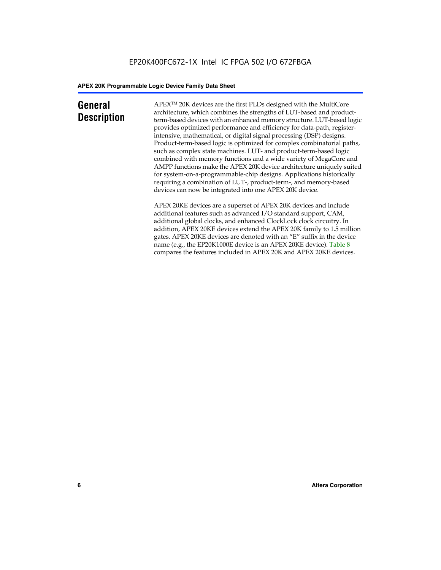### **General Description**

APEXTM 20K devices are the first PLDs designed with the MultiCore architecture, which combines the strengths of LUT-based and productterm-based devices with an enhanced memory structure. LUT-based logic provides optimized performance and efficiency for data-path, registerintensive, mathematical, or digital signal processing (DSP) designs. Product-term-based logic is optimized for complex combinatorial paths, such as complex state machines. LUT- and product-term-based logic combined with memory functions and a wide variety of MegaCore and AMPP functions make the APEX 20K device architecture uniquely suited for system-on-a-programmable-chip designs. Applications historically requiring a combination of LUT-, product-term-, and memory-based devices can now be integrated into one APEX 20K device.

APEX 20KE devices are a superset of APEX 20K devices and include additional features such as advanced I/O standard support, CAM, additional global clocks, and enhanced ClockLock clock circuitry. In addition, APEX 20KE devices extend the APEX 20K family to 1.5 million gates. APEX 20KE devices are denoted with an "E" suffix in the device name (e.g., the EP20K1000E device is an APEX 20KE device). Table 8 compares the features included in APEX 20K and APEX 20KE devices.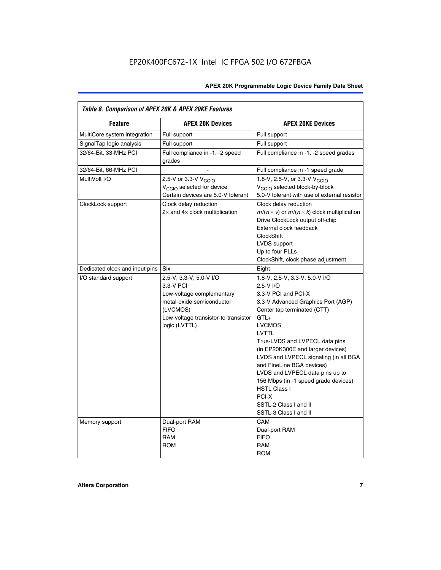| Table 8. Comparison of APEX 20K & APEX 20KE Features |                                                                                                                                                                     |                                                                                                                                                                                                                                                                                                                                                                                                                                                                                       |  |  |  |  |
|------------------------------------------------------|---------------------------------------------------------------------------------------------------------------------------------------------------------------------|---------------------------------------------------------------------------------------------------------------------------------------------------------------------------------------------------------------------------------------------------------------------------------------------------------------------------------------------------------------------------------------------------------------------------------------------------------------------------------------|--|--|--|--|
| <b>Feature</b>                                       | <b>APEX 20K Devices</b>                                                                                                                                             | <b>APEX 20KE Devices</b>                                                                                                                                                                                                                                                                                                                                                                                                                                                              |  |  |  |  |
| MultiCore system integration                         | Full support                                                                                                                                                        | Full support                                                                                                                                                                                                                                                                                                                                                                                                                                                                          |  |  |  |  |
| SignalTap logic analysis                             | Full support                                                                                                                                                        | Full support                                                                                                                                                                                                                                                                                                                                                                                                                                                                          |  |  |  |  |
| 32/64-Bit, 33-MHz PCI                                | Full compliance in -1, -2 speed<br>grades                                                                                                                           | Full compliance in -1, -2 speed grades                                                                                                                                                                                                                                                                                                                                                                                                                                                |  |  |  |  |
| 32/64-Bit, 66-MHz PCI                                |                                                                                                                                                                     | Full compliance in -1 speed grade                                                                                                                                                                                                                                                                                                                                                                                                                                                     |  |  |  |  |
| MultiVolt I/O                                        | 2.5-V or 3.3-V V <sub>CCIO</sub><br>V <sub>CCIO</sub> selected for device<br>Certain devices are 5.0-V tolerant                                                     | 1.8-V, 2.5-V, or 3.3-V V <sub>CCIO</sub><br>V <sub>CCIO</sub> selected block-by-block<br>5.0-V tolerant with use of external resistor                                                                                                                                                                                                                                                                                                                                                 |  |  |  |  |
| ClockLock support                                    | Clock delay reduction<br>$2\times$ and $4\times$ clock multiplication                                                                                               | Clock delay reduction<br>$m/(n \times v)$ or $m/(n \times k)$ clock multiplication<br>Drive ClockLock output off-chip<br>External clock feedback<br><b>ClockShift</b><br>LVDS support<br>Up to four PLLs<br>ClockShift, clock phase adjustment                                                                                                                                                                                                                                        |  |  |  |  |
| Dedicated clock and input pins                       | <b>Six</b>                                                                                                                                                          | Eight                                                                                                                                                                                                                                                                                                                                                                                                                                                                                 |  |  |  |  |
| I/O standard support                                 | 2.5-V, 3.3-V, 5.0-V I/O<br>3.3-V PCI<br>Low-voltage complementary<br>metal-oxide semiconductor<br>(LVCMOS)<br>Low-voltage transistor-to-transistor<br>logic (LVTTL) | 1.8-V, 2.5-V, 3.3-V, 5.0-V I/O<br>2.5-V I/O<br>3.3-V PCI and PCI-X<br>3.3-V Advanced Graphics Port (AGP)<br>Center tap terminated (CTT)<br>$GTL+$<br><b>LVCMOS</b><br>LVTTL<br>True-LVDS and LVPECL data pins<br>(in EP20K300E and larger devices)<br>LVDS and LVPECL signaling (in all BGA<br>and FineLine BGA devices)<br>LVDS and LVPECL data pins up to<br>156 Mbps (in -1 speed grade devices)<br><b>HSTL Class I</b><br>PCI-X<br>SSTL-2 Class I and II<br>SSTL-3 Class I and II |  |  |  |  |
| Memory support                                       | Dual-port RAM<br><b>FIFO</b><br><b>RAM</b><br><b>ROM</b>                                                                                                            | CAM<br>Dual-port RAM<br><b>FIFO</b><br>RAM<br><b>ROM</b>                                                                                                                                                                                                                                                                                                                                                                                                                              |  |  |  |  |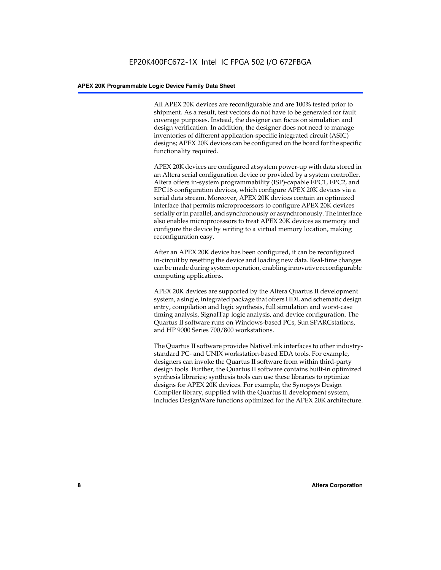All APEX 20K devices are reconfigurable and are 100% tested prior to shipment. As a result, test vectors do not have to be generated for fault coverage purposes. Instead, the designer can focus on simulation and design verification. In addition, the designer does not need to manage inventories of different application-specific integrated circuit (ASIC) designs; APEX 20K devices can be configured on the board for the specific functionality required.

APEX 20K devices are configured at system power-up with data stored in an Altera serial configuration device or provided by a system controller. Altera offers in-system programmability (ISP)-capable EPC1, EPC2, and EPC16 configuration devices, which configure APEX 20K devices via a serial data stream. Moreover, APEX 20K devices contain an optimized interface that permits microprocessors to configure APEX 20K devices serially or in parallel, and synchronously or asynchronously. The interface also enables microprocessors to treat APEX 20K devices as memory and configure the device by writing to a virtual memory location, making reconfiguration easy.

After an APEX 20K device has been configured, it can be reconfigured in-circuit by resetting the device and loading new data. Real-time changes can be made during system operation, enabling innovative reconfigurable computing applications.

APEX 20K devices are supported by the Altera Quartus II development system, a single, integrated package that offers HDL and schematic design entry, compilation and logic synthesis, full simulation and worst-case timing analysis, SignalTap logic analysis, and device configuration. The Quartus II software runs on Windows-based PCs, Sun SPARCstations, and HP 9000 Series 700/800 workstations.

The Quartus II software provides NativeLink interfaces to other industrystandard PC- and UNIX workstation-based EDA tools. For example, designers can invoke the Quartus II software from within third-party design tools. Further, the Quartus II software contains built-in optimized synthesis libraries; synthesis tools can use these libraries to optimize designs for APEX 20K devices. For example, the Synopsys Design Compiler library, supplied with the Quartus II development system, includes DesignWare functions optimized for the APEX 20K architecture.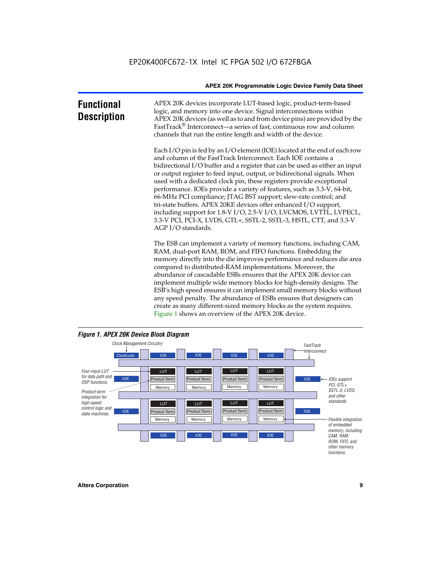| <b>Functional</b><br><b>Description</b> | APEX 20K devices incorporate LUT-based logic, product-term-based<br>logic, and memory into one device. Signal interconnections within<br>APEX 20K devices (as well as to and from device pins) are provided by the<br>FastTrack <sup>®</sup> Interconnect—a series of fast, continuous row and column<br>channels that run the entire length and width of the device.                                                                                                                                                                                                                                                                                                                                                                                              |
|-----------------------------------------|--------------------------------------------------------------------------------------------------------------------------------------------------------------------------------------------------------------------------------------------------------------------------------------------------------------------------------------------------------------------------------------------------------------------------------------------------------------------------------------------------------------------------------------------------------------------------------------------------------------------------------------------------------------------------------------------------------------------------------------------------------------------|
|                                         | Each I/O pin is fed by an I/O element (IOE) located at the end of each row<br>and column of the FastTrack Interconnect. Each IOE contains a<br>bidirectional I/O buffer and a register that can be used as either an input<br>or output register to feed input, output, or bidirectional signals. When<br>used with a dedicated clock pin, these registers provide exceptional<br>performance. IOEs provide a variety of features, such as 3.3-V, 64-bit,<br>66-MHz PCI compliance; JTAG BST support; slew-rate control; and<br>tri-state buffers. APEX 20KE devices offer enhanced I/O support,<br>including support for 1.8-V I/O, 2.5-V I/O, LVCMOS, LVTTL, LVPECL,<br>3.3-V PCI, PCI-X, LVDS, GTL+, SSTL-2, SSTL-3, HSTL, CTT, and 3.3-V<br>AGP I/O standards. |
|                                         | The ESB can implement a variety of memory functions, including CAM,<br>RAM, dual-port RAM, ROM, and FIFO functions. Embedding the<br>memory directly into the die improves performance and reduces die area<br>compared to distributed-RAM implementations. Moreover, the<br>abundance of cascadable ESBs ensures that the APEX 20K device can<br>implement multiple wide memory blocks for high-density designs. The<br>ESB's high speed ensures it can implement small memory blocks without<br>any speed penalty. The abundance of ESBs ensures that designers can<br>create as many different-sized memory blocks as the system requires.                                                                                                                      |



Figure 1 shows an overview of the APEX 20K device.

#### *Figure 1. APEX 20K Device Block Diagram*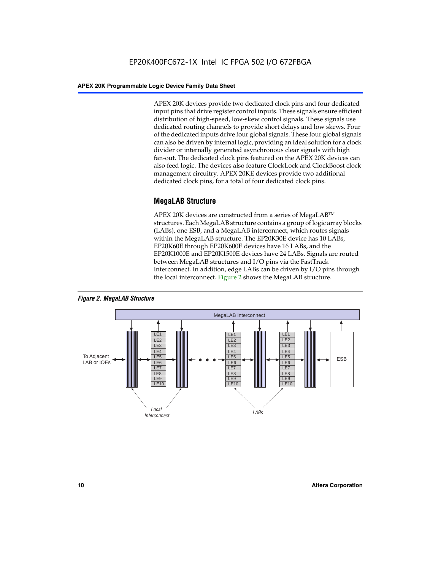APEX 20K devices provide two dedicated clock pins and four dedicated input pins that drive register control inputs. These signals ensure efficient distribution of high-speed, low-skew control signals. These signals use dedicated routing channels to provide short delays and low skews. Four of the dedicated inputs drive four global signals. These four global signals can also be driven by internal logic, providing an ideal solution for a clock divider or internally generated asynchronous clear signals with high fan-out. The dedicated clock pins featured on the APEX 20K devices can also feed logic. The devices also feature ClockLock and ClockBoost clock management circuitry. APEX 20KE devices provide two additional dedicated clock pins, for a total of four dedicated clock pins.

#### **MegaLAB Structure**

APEX 20K devices are constructed from a series of MegaLAB<sup>™</sup> structures. Each MegaLAB structure contains a group of logic array blocks (LABs), one ESB, and a MegaLAB interconnect, which routes signals within the MegaLAB structure. The EP20K30E device has 10 LABs, EP20K60E through EP20K600E devices have 16 LABs, and the EP20K1000E and EP20K1500E devices have 24 LABs. Signals are routed between MegaLAB structures and I/O pins via the FastTrack Interconnect. In addition, edge LABs can be driven by I/O pins through the local interconnect. Figure 2 shows the MegaLAB structure.



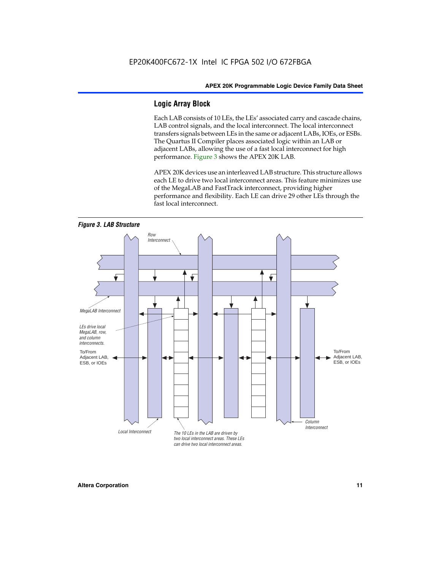#### **Logic Array Block**

Each LAB consists of 10 LEs, the LEs' associated carry and cascade chains, LAB control signals, and the local interconnect. The local interconnect transfers signals between LEs in the same or adjacent LABs, IOEs, or ESBs. The Quartus II Compiler places associated logic within an LAB or adjacent LABs, allowing the use of a fast local interconnect for high performance. Figure 3 shows the APEX 20K LAB.

APEX 20K devices use an interleaved LAB structure. This structure allows each LE to drive two local interconnect areas. This feature minimizes use of the MegaLAB and FastTrack interconnect, providing higher performance and flexibility. Each LE can drive 29 other LEs through the fast local interconnect.

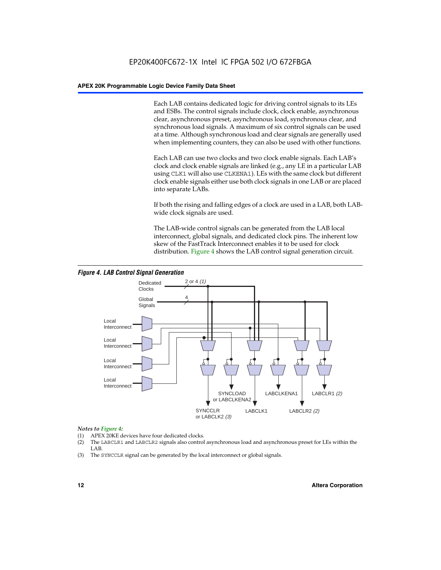Each LAB contains dedicated logic for driving control signals to its LEs and ESBs. The control signals include clock, clock enable, asynchronous clear, asynchronous preset, asynchronous load, synchronous clear, and synchronous load signals. A maximum of six control signals can be used at a time. Although synchronous load and clear signals are generally used when implementing counters, they can also be used with other functions.

Each LAB can use two clocks and two clock enable signals. Each LAB's clock and clock enable signals are linked (e.g., any LE in a particular LAB using CLK1 will also use CLKENA1). LEs with the same clock but different clock enable signals either use both clock signals in one LAB or are placed into separate LABs.

If both the rising and falling edges of a clock are used in a LAB, both LABwide clock signals are used.

The LAB-wide control signals can be generated from the LAB local interconnect, global signals, and dedicated clock pins. The inherent low skew of the FastTrack Interconnect enables it to be used for clock distribution. Figure 4 shows the LAB control signal generation circuit.



#### *Figure 4. LAB Control Signal Generation*

#### *Notes to Figure 4:*

- (1) APEX 20KE devices have four dedicated clocks.
- (2) The LABCLR1 and LABCLR2 signals also control asynchronous load and asynchronous preset for LEs within the LAB.
- (3) The SYNCCLR signal can be generated by the local interconnect or global signals.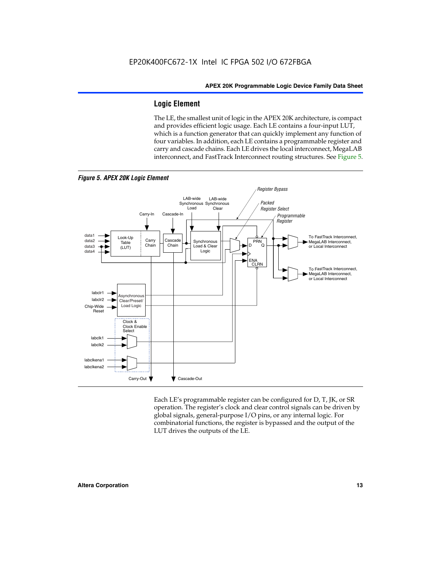#### **Logic Element**

The LE, the smallest unit of logic in the APEX 20K architecture, is compact and provides efficient logic usage. Each LE contains a four-input LUT, which is a function generator that can quickly implement any function of four variables. In addition, each LE contains a programmable register and carry and cascade chains. Each LE drives the local interconnect, MegaLAB interconnect, and FastTrack Interconnect routing structures. See Figure 5.



Each LE's programmable register can be configured for D, T, JK, or SR operation. The register's clock and clear control signals can be driven by global signals, general-purpose I/O pins, or any internal logic. For combinatorial functions, the register is bypassed and the output of the LUT drives the outputs of the LE.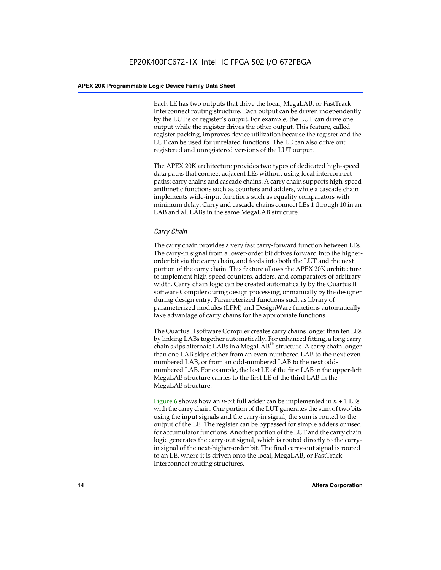Each LE has two outputs that drive the local, MegaLAB, or FastTrack Interconnect routing structure. Each output can be driven independently by the LUT's or register's output. For example, the LUT can drive one output while the register drives the other output. This feature, called register packing, improves device utilization because the register and the LUT can be used for unrelated functions. The LE can also drive out registered and unregistered versions of the LUT output.

The APEX 20K architecture provides two types of dedicated high-speed data paths that connect adjacent LEs without using local interconnect paths: carry chains and cascade chains. A carry chain supports high-speed arithmetic functions such as counters and adders, while a cascade chain implements wide-input functions such as equality comparators with minimum delay. Carry and cascade chains connect LEs 1 through 10 in an LAB and all LABs in the same MegaLAB structure.

#### *Carry Chain*

The carry chain provides a very fast carry-forward function between LEs. The carry-in signal from a lower-order bit drives forward into the higherorder bit via the carry chain, and feeds into both the LUT and the next portion of the carry chain. This feature allows the APEX 20K architecture to implement high-speed counters, adders, and comparators of arbitrary width. Carry chain logic can be created automatically by the Quartus II software Compiler during design processing, or manually by the designer during design entry. Parameterized functions such as library of parameterized modules (LPM) and DesignWare functions automatically take advantage of carry chains for the appropriate functions.

The Quartus II software Compiler creates carry chains longer than ten LEs by linking LABs together automatically. For enhanced fitting, a long carry chain skips alternate LABs in a MegaLAB<sup>™</sup> structure. A carry chain longer than one LAB skips either from an even-numbered LAB to the next evennumbered LAB, or from an odd-numbered LAB to the next oddnumbered LAB. For example, the last LE of the first LAB in the upper-left MegaLAB structure carries to the first LE of the third LAB in the MegaLAB structure.

Figure 6 shows how an *n*-bit full adder can be implemented in *n* + 1 LEs with the carry chain. One portion of the LUT generates the sum of two bits using the input signals and the carry-in signal; the sum is routed to the output of the LE. The register can be bypassed for simple adders or used for accumulator functions. Another portion of the LUT and the carry chain logic generates the carry-out signal, which is routed directly to the carryin signal of the next-higher-order bit. The final carry-out signal is routed to an LE, where it is driven onto the local, MegaLAB, or FastTrack Interconnect routing structures.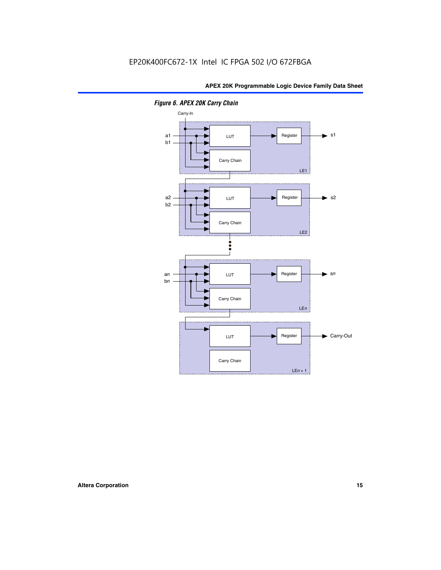

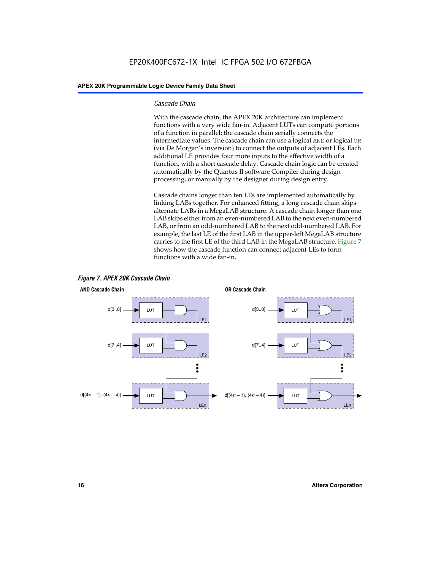#### *Cascade Chain*

With the cascade chain, the APEX 20K architecture can implement functions with a very wide fan-in. Adjacent LUTs can compute portions of a function in parallel; the cascade chain serially connects the intermediate values. The cascade chain can use a logical AND or logical OR (via De Morgan's inversion) to connect the outputs of adjacent LEs. Each additional LE provides four more inputs to the effective width of a function, with a short cascade delay. Cascade chain logic can be created automatically by the Quartus II software Compiler during design processing, or manually by the designer during design entry.

Cascade chains longer than ten LEs are implemented automatically by linking LABs together. For enhanced fitting, a long cascade chain skips alternate LABs in a MegaLAB structure. A cascade chain longer than one LAB skips either from an even-numbered LAB to the next even-numbered LAB, or from an odd-numbered LAB to the next odd-numbered LAB. For example, the last LE of the first LAB in the upper-left MegaLAB structure carries to the first LE of the third LAB in the MegaLAB structure. Figure 7 shows how the cascade function can connect adjacent LEs to form functions with a wide fan-in.



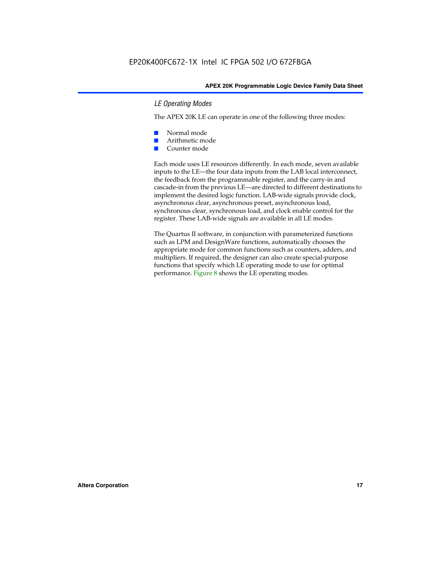#### *LE Operating Modes*

The APEX 20K LE can operate in one of the following three modes:

- Normal mode
- Arithmetic mode
- Counter mode

Each mode uses LE resources differently. In each mode, seven available inputs to the LE—the four data inputs from the LAB local interconnect, the feedback from the programmable register, and the carry-in and cascade-in from the previous LE—are directed to different destinations to implement the desired logic function. LAB-wide signals provide clock, asynchronous clear, asynchronous preset, asynchronous load, synchronous clear, synchronous load, and clock enable control for the register. These LAB-wide signals are available in all LE modes.

The Quartus II software, in conjunction with parameterized functions such as LPM and DesignWare functions, automatically chooses the appropriate mode for common functions such as counters, adders, and multipliers. If required, the designer can also create special-purpose functions that specify which LE operating mode to use for optimal performance. Figure 8 shows the LE operating modes.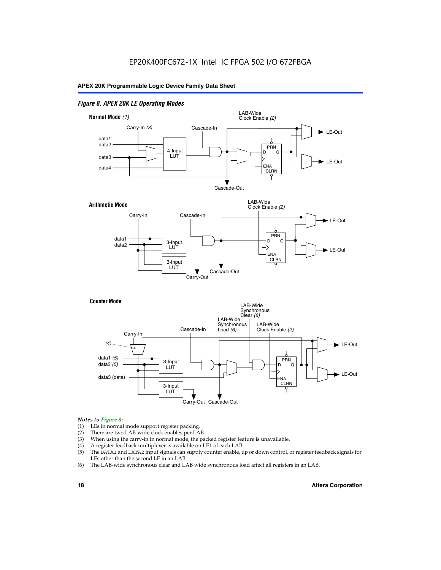#### *Figure 8. APEX 20K LE Operating Modes*



#### *Notes to Figure 8:*

- (1) LEs in normal mode support register packing.
- (2) There are two LAB-wide clock enables per LAB.
- (3) When using the carry-in in normal mode, the packed register feature is unavailable.
- (4) A register feedback multiplexer is available on LE1 of each LAB.
- (5) The DATA1 and DATA2 input signals can supply counter enable, up or down control, or register feedback signals for LEs other than the second LE in an LAB.
- (6) The LAB-wide synchronous clear and LAB wide synchronous load affect all registers in an LAB.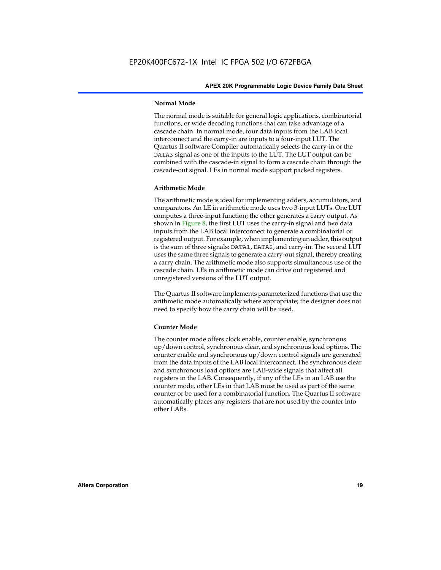#### **Normal Mode**

The normal mode is suitable for general logic applications, combinatorial functions, or wide decoding functions that can take advantage of a cascade chain. In normal mode, four data inputs from the LAB local interconnect and the carry-in are inputs to a four-input LUT. The Quartus II software Compiler automatically selects the carry-in or the DATA3 signal as one of the inputs to the LUT. The LUT output can be combined with the cascade-in signal to form a cascade chain through the cascade-out signal. LEs in normal mode support packed registers.

#### **Arithmetic Mode**

The arithmetic mode is ideal for implementing adders, accumulators, and comparators. An LE in arithmetic mode uses two 3-input LUTs. One LUT computes a three-input function; the other generates a carry output. As shown in Figure 8, the first LUT uses the carry-in signal and two data inputs from the LAB local interconnect to generate a combinatorial or registered output. For example, when implementing an adder, this output is the sum of three signals: DATA1, DATA2, and carry-in. The second LUT uses the same three signals to generate a carry-out signal, thereby creating a carry chain. The arithmetic mode also supports simultaneous use of the cascade chain. LEs in arithmetic mode can drive out registered and unregistered versions of the LUT output.

The Quartus II software implements parameterized functions that use the arithmetic mode automatically where appropriate; the designer does not need to specify how the carry chain will be used.

#### **Counter Mode**

The counter mode offers clock enable, counter enable, synchronous up/down control, synchronous clear, and synchronous load options. The counter enable and synchronous up/down control signals are generated from the data inputs of the LAB local interconnect. The synchronous clear and synchronous load options are LAB-wide signals that affect all registers in the LAB. Consequently, if any of the LEs in an LAB use the counter mode, other LEs in that LAB must be used as part of the same counter or be used for a combinatorial function. The Quartus II software automatically places any registers that are not used by the counter into other LABs.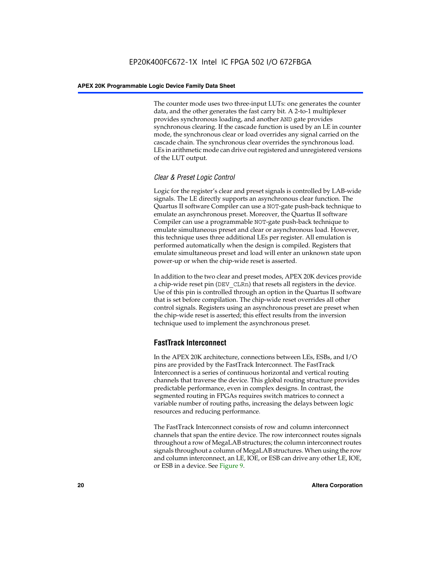The counter mode uses two three-input LUTs: one generates the counter data, and the other generates the fast carry bit. A 2-to-1 multiplexer provides synchronous loading, and another AND gate provides synchronous clearing. If the cascade function is used by an LE in counter mode, the synchronous clear or load overrides any signal carried on the cascade chain. The synchronous clear overrides the synchronous load. LEs in arithmetic mode can drive out registered and unregistered versions of the LUT output.

#### *Clear & Preset Logic Control*

Logic for the register's clear and preset signals is controlled by LAB-wide signals. The LE directly supports an asynchronous clear function. The Quartus II software Compiler can use a NOT-gate push-back technique to emulate an asynchronous preset. Moreover, the Quartus II software Compiler can use a programmable NOT-gate push-back technique to emulate simultaneous preset and clear or asynchronous load. However, this technique uses three additional LEs per register. All emulation is performed automatically when the design is compiled. Registers that emulate simultaneous preset and load will enter an unknown state upon power-up or when the chip-wide reset is asserted.

In addition to the two clear and preset modes, APEX 20K devices provide a chip-wide reset pin (DEV\_CLRn) that resets all registers in the device. Use of this pin is controlled through an option in the Quartus II software that is set before compilation. The chip-wide reset overrides all other control signals. Registers using an asynchronous preset are preset when the chip-wide reset is asserted; this effect results from the inversion technique used to implement the asynchronous preset.

#### **FastTrack Interconnect**

In the APEX 20K architecture, connections between LEs, ESBs, and I/O pins are provided by the FastTrack Interconnect. The FastTrack Interconnect is a series of continuous horizontal and vertical routing channels that traverse the device. This global routing structure provides predictable performance, even in complex designs. In contrast, the segmented routing in FPGAs requires switch matrices to connect a variable number of routing paths, increasing the delays between logic resources and reducing performance.

The FastTrack Interconnect consists of row and column interconnect channels that span the entire device. The row interconnect routes signals throughout a row of MegaLAB structures; the column interconnect routes signals throughout a column of MegaLAB structures. When using the row and column interconnect, an LE, IOE, or ESB can drive any other LE, IOE, or ESB in a device. See Figure 9.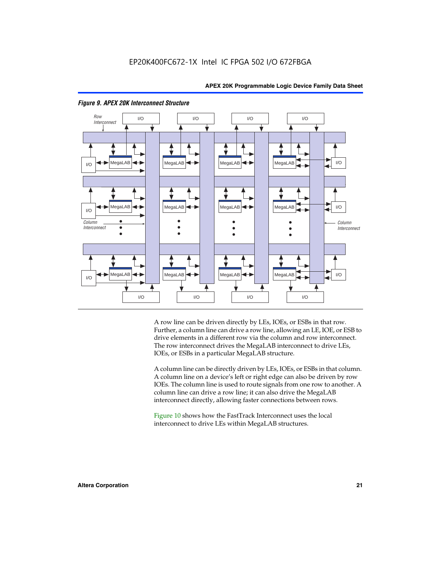



#### *Figure 9. APEX 20K Interconnect Structure*

A row line can be driven directly by LEs, IOEs, or ESBs in that row. Further, a column line can drive a row line, allowing an LE, IOE, or ESB to drive elements in a different row via the column and row interconnect. The row interconnect drives the MegaLAB interconnect to drive LEs, IOEs, or ESBs in a particular MegaLAB structure.

A column line can be directly driven by LEs, IOEs, or ESBs in that column. A column line on a device's left or right edge can also be driven by row IOEs. The column line is used to route signals from one row to another. A column line can drive a row line; it can also drive the MegaLAB interconnect directly, allowing faster connections between rows.

Figure 10 shows how the FastTrack Interconnect uses the local interconnect to drive LEs within MegaLAB structures.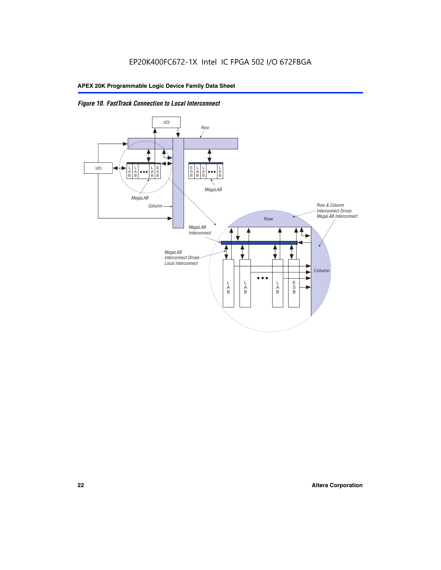

*Figure 10. FastTrack Connection to Local Interconnect*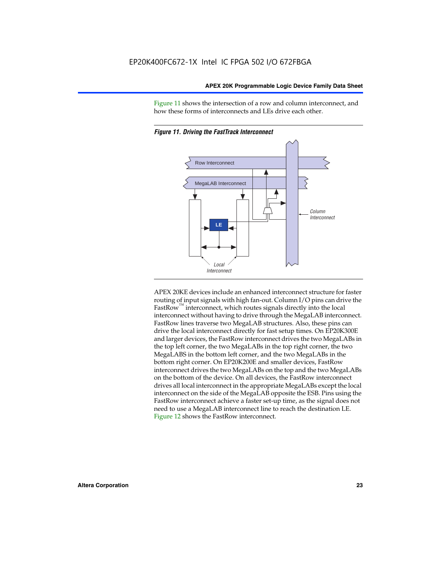Figure 11 shows the intersection of a row and column interconnect, and how these forms of interconnects and LEs drive each other.





APEX 20KE devices include an enhanced interconnect structure for faster routing of input signals with high fan-out. Column I/O pins can drive the FastRow<sup>™</sup> interconnect, which routes signals directly into the local interconnect without having to drive through the MegaLAB interconnect. FastRow lines traverse two MegaLAB structures. Also, these pins can drive the local interconnect directly for fast setup times. On EP20K300E and larger devices, the FastRow interconnect drives the two MegaLABs in the top left corner, the two MegaLABs in the top right corner, the two MegaLABS in the bottom left corner, and the two MegaLABs in the bottom right corner. On EP20K200E and smaller devices, FastRow interconnect drives the two MegaLABs on the top and the two MegaLABs on the bottom of the device. On all devices, the FastRow interconnect drives all local interconnect in the appropriate MegaLABs except the local interconnect on the side of the MegaLAB opposite the ESB. Pins using the FastRow interconnect achieve a faster set-up time, as the signal does not need to use a MegaLAB interconnect line to reach the destination LE. Figure 12 shows the FastRow interconnect.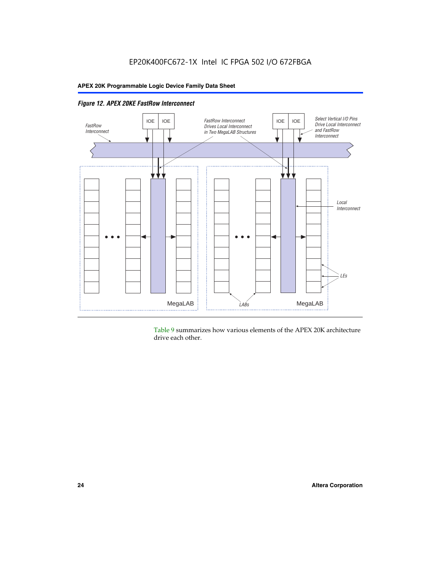

Table 9 summarizes how various elements of the APEX 20K architecture drive each other.

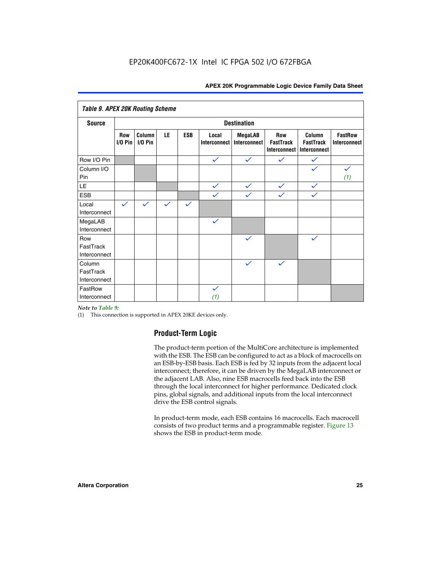| <b>Table 9. APEX 20K Routing Scheme</b> |                          |                      |              |              |                       |                                |                                         |                                            |                                |
|-----------------------------------------|--------------------------|----------------------|--------------|--------------|-----------------------|--------------------------------|-----------------------------------------|--------------------------------------------|--------------------------------|
| <b>Source</b>                           |                          |                      |              |              |                       | <b>Destination</b>             |                                         |                                            |                                |
|                                         | <b>Row</b><br>$I/O P$ in | Column<br>$I/O P$ in | LE           | <b>ESB</b>   | Local<br>Interconnect | <b>MegaLAB</b><br>Interconnect | Row<br><b>FastTrack</b><br>Interconnect | Column<br><b>FastTrack</b><br>Interconnect | <b>FastRow</b><br>Interconnect |
| Row I/O Pin                             |                          |                      |              |              | $\checkmark$          | $\checkmark$                   | $\checkmark$                            | $\checkmark$                               |                                |
| Column I/O<br>Pin                       |                          |                      |              |              |                       |                                |                                         | $\checkmark$                               | $\checkmark$<br>(1)            |
| LE                                      |                          |                      |              |              | $\checkmark$          | $\checkmark$                   | $\checkmark$                            | $\checkmark$                               |                                |
| <b>ESB</b>                              |                          |                      |              |              | $\checkmark$          | $\checkmark$                   | $\checkmark$                            | $\checkmark$                               |                                |
| Local<br>Interconnect                   | $\checkmark$             | $\checkmark$         | $\checkmark$ | $\checkmark$ |                       |                                |                                         |                                            |                                |
| MegaLAB<br>Interconnect                 |                          |                      |              |              | $\checkmark$          |                                |                                         |                                            |                                |
| Row<br>FastTrack<br>Interconnect        |                          |                      |              |              |                       | $\checkmark$                   |                                         | $\checkmark$                               |                                |
| Column<br>FastTrack<br>Interconnect     |                          |                      |              |              |                       | $\checkmark$                   | $\checkmark$                            |                                            |                                |
| FastRow<br>Interconnect                 |                          |                      |              |              | $\checkmark$<br>(1)   |                                |                                         |                                            |                                |

#### *Note to Table 9:*

(1) This connection is supported in APEX 20KE devices only.

#### **Product-Term Logic**

The product-term portion of the MultiCore architecture is implemented with the ESB. The ESB can be configured to act as a block of macrocells on an ESB-by-ESB basis. Each ESB is fed by 32 inputs from the adjacent local interconnect; therefore, it can be driven by the MegaLAB interconnect or the adjacent LAB. Also, nine ESB macrocells feed back into the ESB through the local interconnect for higher performance. Dedicated clock pins, global signals, and additional inputs from the local interconnect drive the ESB control signals.

In product-term mode, each ESB contains 16 macrocells. Each macrocell consists of two product terms and a programmable register. Figure 13 shows the ESB in product-term mode.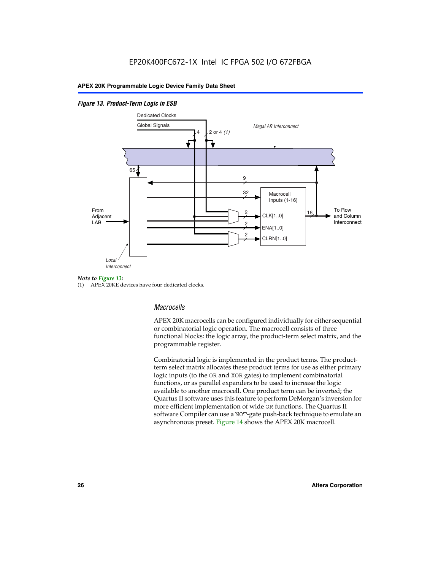#### *Figure 13. Product-Term Logic in ESB*



(1) APEX 20KE devices have four dedicated clocks.

#### *Macrocells*

APEX 20K macrocells can be configured individually for either sequential or combinatorial logic operation. The macrocell consists of three functional blocks: the logic array, the product-term select matrix, and the programmable register.

Combinatorial logic is implemented in the product terms. The productterm select matrix allocates these product terms for use as either primary logic inputs (to the OR and XOR gates) to implement combinatorial functions, or as parallel expanders to be used to increase the logic available to another macrocell. One product term can be inverted; the Quartus II software uses this feature to perform DeMorgan's inversion for more efficient implementation of wide OR functions. The Quartus II software Compiler can use a NOT-gate push-back technique to emulate an asynchronous preset. Figure 14 shows the APEX 20K macrocell.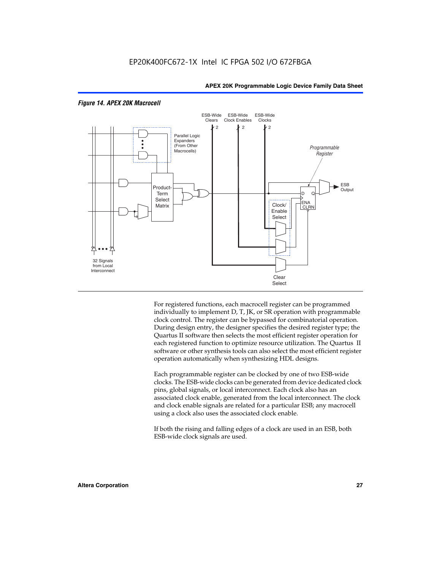

#### *Figure 14. APEX 20K Macrocell*

For registered functions, each macrocell register can be programmed individually to implement D, T, JK, or SR operation with programmable clock control. The register can be bypassed for combinatorial operation. During design entry, the designer specifies the desired register type; the Quartus II software then selects the most efficient register operation for each registered function to optimize resource utilization. The Quartus II software or other synthesis tools can also select the most efficient register operation automatically when synthesizing HDL designs.

Each programmable register can be clocked by one of two ESB-wide clocks. The ESB-wide clocks can be generated from device dedicated clock pins, global signals, or local interconnect. Each clock also has an associated clock enable, generated from the local interconnect. The clock and clock enable signals are related for a particular ESB; any macrocell using a clock also uses the associated clock enable.

If both the rising and falling edges of a clock are used in an ESB, both ESB-wide clock signals are used.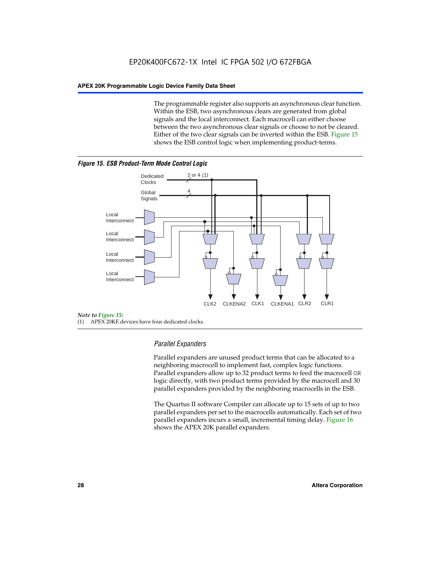The programmable register also supports an asynchronous clear function. Within the ESB, two asynchronous clears are generated from global signals and the local interconnect. Each macrocell can either choose between the two asynchronous clear signals or choose to not be cleared. Either of the two clear signals can be inverted within the ESB. Figure 15 shows the ESB control logic when implementing product-terms.





(1) APEX 20KE devices have four dedicated clocks.

#### *Parallel Expanders*

Parallel expanders are unused product terms that can be allocated to a neighboring macrocell to implement fast, complex logic functions. Parallel expanders allow up to 32 product terms to feed the macrocell OR logic directly, with two product terms provided by the macrocell and 30 parallel expanders provided by the neighboring macrocells in the ESB.

The Quartus II software Compiler can allocate up to 15 sets of up to two parallel expanders per set to the macrocells automatically. Each set of two parallel expanders incurs a small, incremental timing delay. Figure 16 shows the APEX 20K parallel expanders.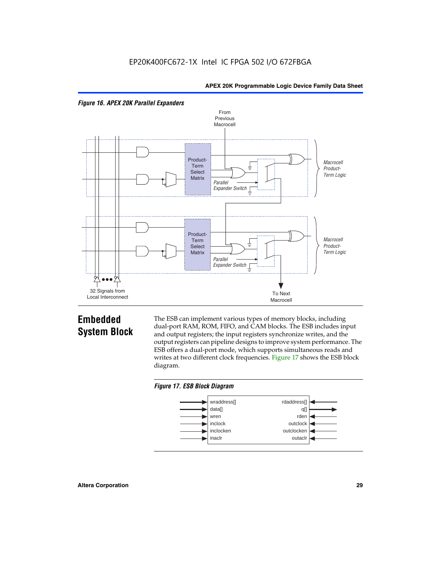



## **Embedded System Block**

The ESB can implement various types of memory blocks, including dual-port RAM, ROM, FIFO, and CAM blocks. The ESB includes input and output registers; the input registers synchronize writes, and the output registers can pipeline designs to improve system performance. The ESB offers a dual-port mode, which supports simultaneous reads and writes at two different clock frequencies. Figure 17 shows the ESB block diagram.



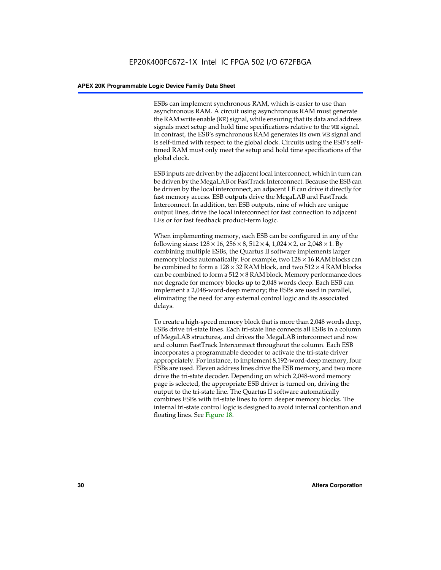ESBs can implement synchronous RAM, which is easier to use than asynchronous RAM. A circuit using asynchronous RAM must generate the RAM write enable (WE) signal, while ensuring that its data and address signals meet setup and hold time specifications relative to the WE signal. In contrast, the ESB's synchronous RAM generates its own WE signal and is self-timed with respect to the global clock. Circuits using the ESB's selftimed RAM must only meet the setup and hold time specifications of the global clock.

ESB inputs are driven by the adjacent local interconnect, which in turn can be driven by the MegaLAB or FastTrack Interconnect. Because the ESB can be driven by the local interconnect, an adjacent LE can drive it directly for fast memory access. ESB outputs drive the MegaLAB and FastTrack Interconnect. In addition, ten ESB outputs, nine of which are unique output lines, drive the local interconnect for fast connection to adjacent LEs or for fast feedback product-term logic.

When implementing memory, each ESB can be configured in any of the following sizes:  $128 \times 16$ ,  $256 \times 8$ ,  $512 \times 4$ ,  $1,024 \times 2$ , or  $2,048 \times 1$ . By combining multiple ESBs, the Quartus II software implements larger memory blocks automatically. For example, two  $128 \times 16$  RAM blocks can be combined to form a  $128 \times 32$  RAM block, and two  $512 \times 4$  RAM blocks can be combined to form a  $512 \times 8$  RAM block. Memory performance does not degrade for memory blocks up to 2,048 words deep. Each ESB can implement a 2,048-word-deep memory; the ESBs are used in parallel, eliminating the need for any external control logic and its associated delays.

To create a high-speed memory block that is more than 2,048 words deep, ESBs drive tri-state lines. Each tri-state line connects all ESBs in a column of MegaLAB structures, and drives the MegaLAB interconnect and row and column FastTrack Interconnect throughout the column. Each ESB incorporates a programmable decoder to activate the tri-state driver appropriately. For instance, to implement 8,192-word-deep memory, four ESBs are used. Eleven address lines drive the ESB memory, and two more drive the tri-state decoder. Depending on which 2,048-word memory page is selected, the appropriate ESB driver is turned on, driving the output to the tri-state line. The Quartus II software automatically combines ESBs with tri-state lines to form deeper memory blocks. The internal tri-state control logic is designed to avoid internal contention and floating lines. See Figure 18.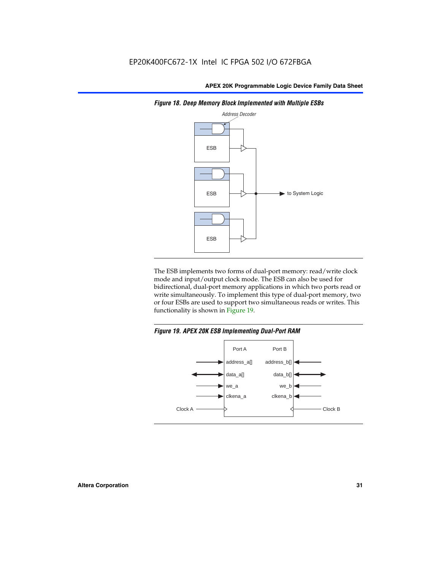

*Figure 18. Deep Memory Block Implemented with Multiple ESBs*

The ESB implements two forms of dual-port memory: read/write clock mode and input/output clock mode. The ESB can also be used for bidirectional, dual-port memory applications in which two ports read or write simultaneously. To implement this type of dual-port memory, two or four ESBs are used to support two simultaneous reads or writes. This functionality is shown in Figure 19.

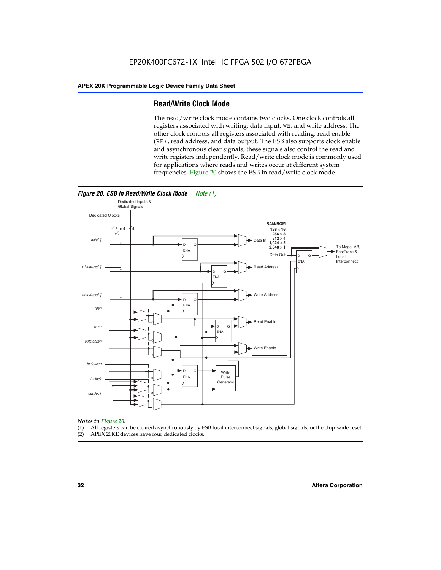#### **Read/Write Clock Mode**

The read/write clock mode contains two clocks. One clock controls all registers associated with writing: data input, WE, and write address. The other clock controls all registers associated with reading: read enable (RE), read address, and data output. The ESB also supports clock enable and asynchronous clear signals; these signals also control the read and write registers independently. Read/write clock mode is commonly used for applications where reads and writes occur at different system frequencies. Figure 20 shows the ESB in read/write clock mode.



## *Notes to Figure 20:*

- (1) All registers can be cleared asynchronously by ESB local interconnect signals, global signals, or the chip-wide reset.
- (2) APEX 20KE devices have four dedicated clocks.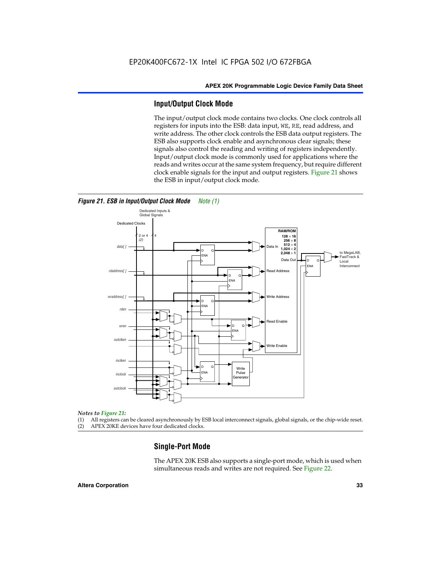#### **Input/Output Clock Mode**

The input/output clock mode contains two clocks. One clock controls all registers for inputs into the ESB: data input, WE, RE, read address, and write address. The other clock controls the ESB data output registers. The ESB also supports clock enable and asynchronous clear signals; these signals also control the reading and writing of registers independently. Input/output clock mode is commonly used for applications where the reads and writes occur at the same system frequency, but require different clock enable signals for the input and output registers. Figure 21 shows the ESB in input/output clock mode.



#### *Figure 21. ESB in Input/Output Clock Mode Note (1)*

#### *Notes to Figure 21:*

(1) All registers can be cleared asynchronously by ESB local interconnect signals, global signals, or the chip-wide reset.

(2) APEX 20KE devices have four dedicated clocks.

#### **Single-Port Mode**

The APEX 20K ESB also supports a single-port mode, which is used when simultaneous reads and writes are not required. See Figure 22.

#### **Altera Corporation 33**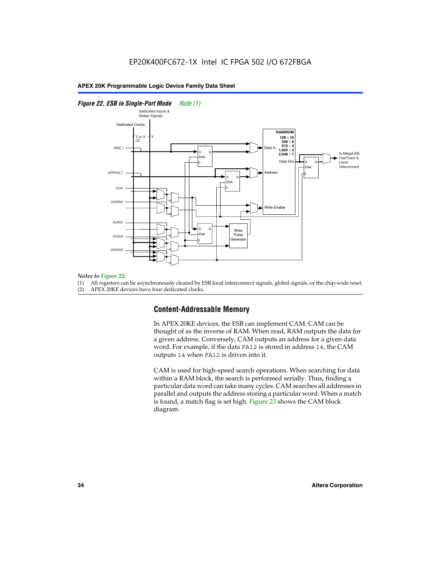#### *Figure 22. ESB in Single-Port Mode Note (1)*



#### *Notes to Figure 22:*

(1) All registers can be asynchronously cleared by ESB local interconnect signals, global signals, or the chip-wide reset.

(2) APEX 20KE devices have four dedicated clocks.

#### **Content-Addressable Memory**

In APEX 20KE devices, the ESB can implement CAM. CAM can be thought of as the inverse of RAM. When read, RAM outputs the data for a given address. Conversely, CAM outputs an address for a given data word. For example, if the data FA12 is stored in address 14, the CAM outputs 14 when FA12 is driven into it.

CAM is used for high-speed search operations. When searching for data within a RAM block, the search is performed serially. Thus, finding a particular data word can take many cycles. CAM searches all addresses in parallel and outputs the address storing a particular word. When a match is found, a match flag is set high. Figure 23 shows the CAM block diagram.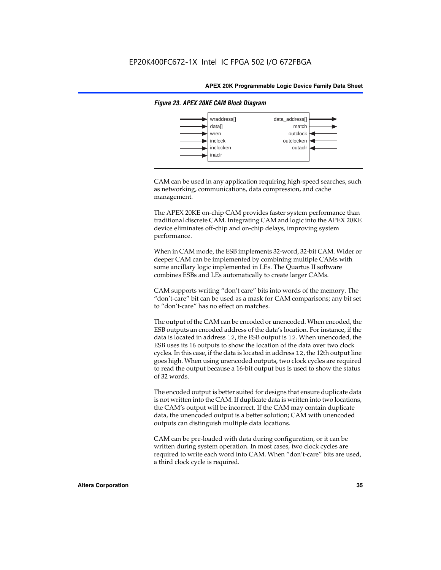

#### *Figure 23. APEX 20KE CAM Block Diagram*

CAM can be used in any application requiring high-speed searches, such as networking, communications, data compression, and cache management.

The APEX 20KE on-chip CAM provides faster system performance than traditional discrete CAM. Integrating CAM and logic into the APEX 20KE device eliminates off-chip and on-chip delays, improving system performance.

When in CAM mode, the ESB implements 32-word, 32-bit CAM. Wider or deeper CAM can be implemented by combining multiple CAMs with some ancillary logic implemented in LEs. The Quartus II software combines ESBs and LEs automatically to create larger CAMs.

CAM supports writing "don't care" bits into words of the memory. The "don't-care" bit can be used as a mask for CAM comparisons; any bit set to "don't-care" has no effect on matches.

The output of the CAM can be encoded or unencoded. When encoded, the ESB outputs an encoded address of the data's location. For instance, if the data is located in address 12, the ESB output is 12. When unencoded, the ESB uses its 16 outputs to show the location of the data over two clock cycles. In this case, if the data is located in address 12, the 12th output line goes high. When using unencoded outputs, two clock cycles are required to read the output because a 16-bit output bus is used to show the status of 32 words.

The encoded output is better suited for designs that ensure duplicate data is not written into the CAM. If duplicate data is written into two locations, the CAM's output will be incorrect. If the CAM may contain duplicate data, the unencoded output is a better solution; CAM with unencoded outputs can distinguish multiple data locations.

CAM can be pre-loaded with data during configuration, or it can be written during system operation. In most cases, two clock cycles are required to write each word into CAM. When "don't-care" bits are used, a third clock cycle is required.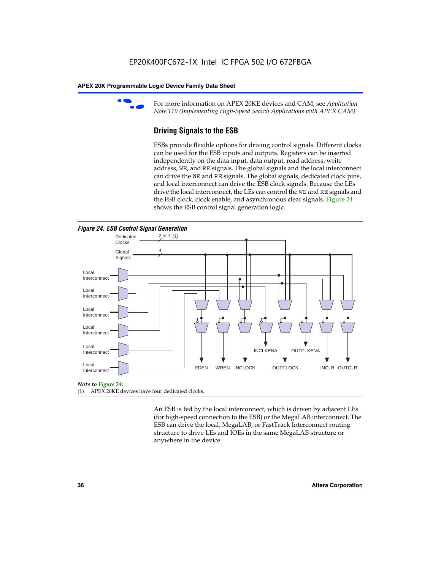

For more information on APEX 20KE devices and CAM, see *Application Note 119 (Implementing High-Speed Search Applications with APEX CAM).*

# **Driving Signals to the ESB**

ESBs provide flexible options for driving control signals. Different clocks can be used for the ESB inputs and outputs. Registers can be inserted independently on the data input, data output, read address, write address, WE, and RE signals. The global signals and the local interconnect can drive the WE and RE signals. The global signals, dedicated clock pins, and local interconnect can drive the ESB clock signals. Because the LEs drive the local interconnect, the LEs can control the WE and RE signals and the ESB clock, clock enable, and asynchronous clear signals. Figure 24 shows the ESB control signal generation logic.





#### *Note to Figure 24:*

(1) APEX 20KE devices have four dedicated clocks.

An ESB is fed by the local interconnect, which is driven by adjacent LEs (for high-speed connection to the ESB) or the MegaLAB interconnect. The ESB can drive the local, MegaLAB, or FastTrack Interconnect routing structure to drive LEs and IOEs in the same MegaLAB structure or anywhere in the device.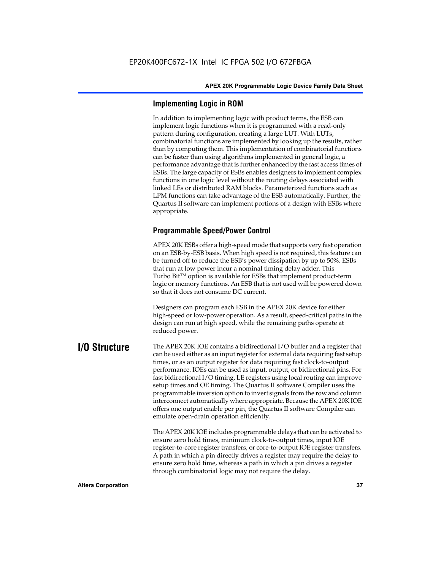# **Implementing Logic in ROM**

In addition to implementing logic with product terms, the ESB can implement logic functions when it is programmed with a read-only pattern during configuration, creating a large LUT. With LUTs, combinatorial functions are implemented by looking up the results, rather than by computing them. This implementation of combinatorial functions can be faster than using algorithms implemented in general logic, a performance advantage that is further enhanced by the fast access times of ESBs. The large capacity of ESBs enables designers to implement complex functions in one logic level without the routing delays associated with linked LEs or distributed RAM blocks. Parameterized functions such as LPM functions can take advantage of the ESB automatically. Further, the Quartus II software can implement portions of a design with ESBs where appropriate.

# **Programmable Speed/Power Control**

APEX 20K ESBs offer a high-speed mode that supports very fast operation on an ESB-by-ESB basis. When high speed is not required, this feature can be turned off to reduce the ESB's power dissipation by up to 50%. ESBs that run at low power incur a nominal timing delay adder. This Turbo  $Bit^{TM}$  option is available for ESBs that implement product-term logic or memory functions. An ESB that is not used will be powered down so that it does not consume DC current.

Designers can program each ESB in the APEX 20K device for either high-speed or low-power operation. As a result, speed-critical paths in the design can run at high speed, while the remaining paths operate at reduced power.

**I/O Structure** The APEX 20K IOE contains a bidirectional I/O buffer and a register that can be used either as an input register for external data requiring fast setup times, or as an output register for data requiring fast clock-to-output performance. IOEs can be used as input, output, or bidirectional pins. For fast bidirectional I/O timing, LE registers using local routing can improve setup times and OE timing. The Quartus II software Compiler uses the programmable inversion option to invert signals from the row and column interconnect automatically where appropriate. Because the APEX 20K IOE offers one output enable per pin, the Quartus II software Compiler can emulate open-drain operation efficiently.

> The APEX 20K IOE includes programmable delays that can be activated to ensure zero hold times, minimum clock-to-output times, input IOE register-to-core register transfers, or core-to-output IOE register transfers. A path in which a pin directly drives a register may require the delay to ensure zero hold time, whereas a path in which a pin drives a register through combinatorial logic may not require the delay.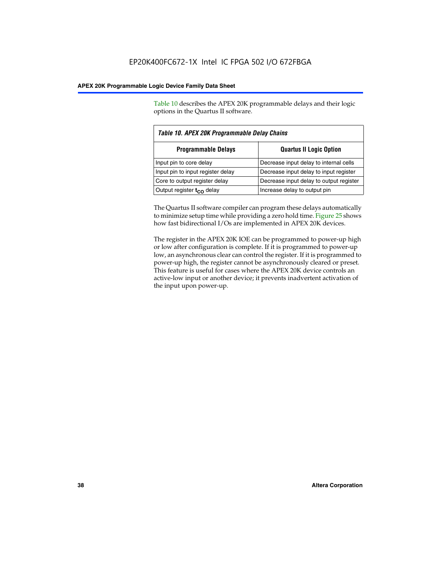Table 10 describes the APEX 20K programmable delays and their logic options in the Quartus II software.

| Table 10. APEX 20K Programmable Delay Chains                 |                                         |  |  |  |  |
|--------------------------------------------------------------|-----------------------------------------|--|--|--|--|
| <b>Quartus II Logic Option</b><br><b>Programmable Delays</b> |                                         |  |  |  |  |
| Input pin to core delay                                      | Decrease input delay to internal cells  |  |  |  |  |
| Input pin to input register delay                            | Decrease input delay to input register  |  |  |  |  |
| Core to output register delay                                | Decrease input delay to output register |  |  |  |  |
| Output register $t_{\rm CO}$ delay                           | Increase delay to output pin            |  |  |  |  |

The Quartus II software compiler can program these delays automatically to minimize setup time while providing a zero hold time. Figure 25 shows how fast bidirectional I/Os are implemented in APEX 20K devices.

The register in the APEX 20K IOE can be programmed to power-up high or low after configuration is complete. If it is programmed to power-up low, an asynchronous clear can control the register. If it is programmed to power-up high, the register cannot be asynchronously cleared or preset. This feature is useful for cases where the APEX 20K device controls an active-low input or another device; it prevents inadvertent activation of the input upon power-up.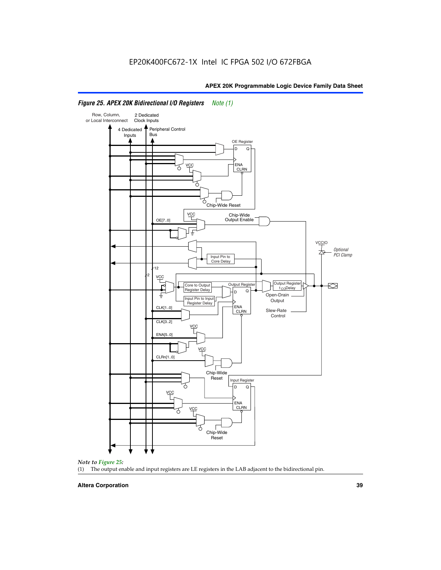

# *Figure 25. APEX 20K Bidirectional I/O Registers Note (1)*



#### **Altera Corporation 39**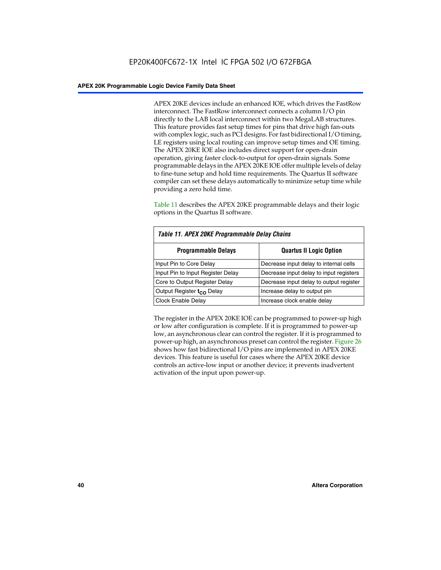APEX 20KE devices include an enhanced IOE, which drives the FastRow interconnect. The FastRow interconnect connects a column I/O pin directly to the LAB local interconnect within two MegaLAB structures. This feature provides fast setup times for pins that drive high fan-outs with complex logic, such as PCI designs. For fast bidirectional I/O timing, LE registers using local routing can improve setup times and OE timing. The APEX 20KE IOE also includes direct support for open-drain operation, giving faster clock-to-output for open-drain signals. Some programmable delays in the APEX 20KE IOE offer multiple levels of delay to fine-tune setup and hold time requirements. The Quartus II software compiler can set these delays automatically to minimize setup time while providing a zero hold time.

Table 11 describes the APEX 20KE programmable delays and their logic options in the Quartus II software.

| Table 11. APEX 20KE Programmable Delay Chains |                                         |  |  |  |
|-----------------------------------------------|-----------------------------------------|--|--|--|
| <b>Programmable Delays</b>                    | <b>Quartus II Logic Option</b>          |  |  |  |
| Input Pin to Core Delay                       | Decrease input delay to internal cells  |  |  |  |
| Input Pin to Input Register Delay             | Decrease input delay to input registers |  |  |  |
| Core to Output Register Delay                 | Decrease input delay to output register |  |  |  |
| Output Register t <sub>CO</sub> Delay         | Increase delay to output pin            |  |  |  |
| <b>Clock Enable Delay</b>                     | Increase clock enable delay             |  |  |  |

The register in the APEX 20KE IOE can be programmed to power-up high or low after configuration is complete. If it is programmed to power-up low, an asynchronous clear can control the register. If it is programmed to power-up high, an asynchronous preset can control the register. Figure 26 shows how fast bidirectional I/O pins are implemented in APEX 20KE devices. This feature is useful for cases where the APEX 20KE device controls an active-low input or another device; it prevents inadvertent activation of the input upon power-up.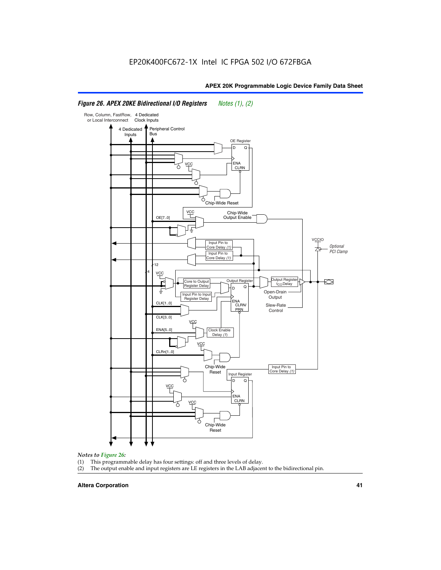#### Row, Column, FastRow, 4 Dedicated or Local Interconnect Clock Inputs Peripheral Control 4 Dedicated **Bus** Inputs OE Register D Q ENA VCC CLRN 7 Chip-Wide Reset vcc Chip-Wide Output Enable OE[7..0] VC Input Pin to **Optional** Core Delay (1) PCI Clamp Input Pin to Core Delay (1) 12 4 **VCC** Output Register **Output Registe**  $\approx$ Core to Output | Output Hegister | Durbut Tropieding | Contput Tropieding | Durbut Tropieding | Output Tropied<br>Register Delay | Durbut Tropieding | Contput Tropieding | Contput Tropieding | O t<sub>CO</sub>Delay  $D$  Q ŧ Open-Drain Input Pin to Input **Output** Register Delay ENA CLK[1..0] CLRN/ Slew-Rate PR<sub>N</sub> Control CLK[3..0] VCC ENA[5..0] Clock Enable Delay (1) VCC CLRn[1..0] Chip-Wide Input Pin to Core Delay (1) Reset Input Register D Q <u>vcc</u> .<br>ENA CLRN **VCC** Chip-Wide Reset

# *Figure 26. APEX 20KE Bidirectional I/O Registers Notes (1), (2)*

#### *Notes to Figure 26:*

- (1) This programmable delay has four settings: off and three levels of delay.<br>(2) The output enable and input registers are LE registers in the LAB adjacer
- The output enable and input registers are LE registers in the LAB adjacent to the bidirectional pin.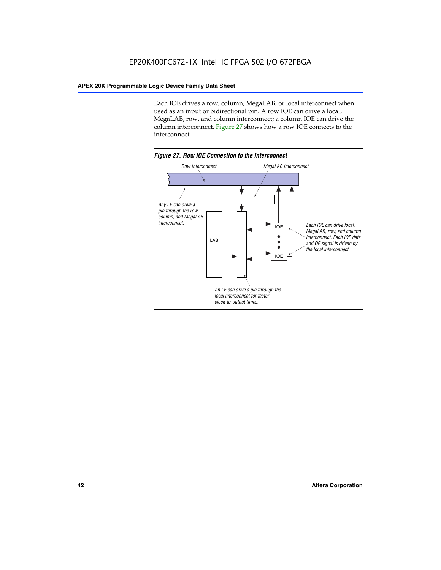Each IOE drives a row, column, MegaLAB, or local interconnect when used as an input or bidirectional pin. A row IOE can drive a local, MegaLAB, row, and column interconnect; a column IOE can drive the column interconnect. Figure 27 shows how a row IOE connects to the interconnect.

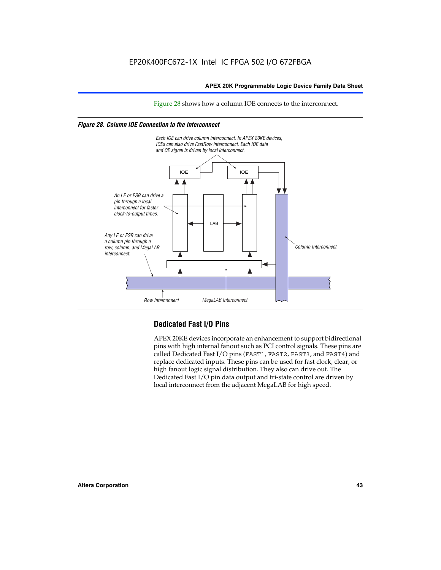Figure 28 shows how a column IOE connects to the interconnect.

# *Figure 28. Column IOE Connection to the Interconnect*



# **Dedicated Fast I/O Pins**

APEX 20KE devices incorporate an enhancement to support bidirectional pins with high internal fanout such as PCI control signals. These pins are called Dedicated Fast I/O pins (FAST1, FAST2, FAST3, and FAST4) and replace dedicated inputs. These pins can be used for fast clock, clear, or high fanout logic signal distribution. They also can drive out. The Dedicated Fast I/O pin data output and tri-state control are driven by local interconnect from the adjacent MegaLAB for high speed.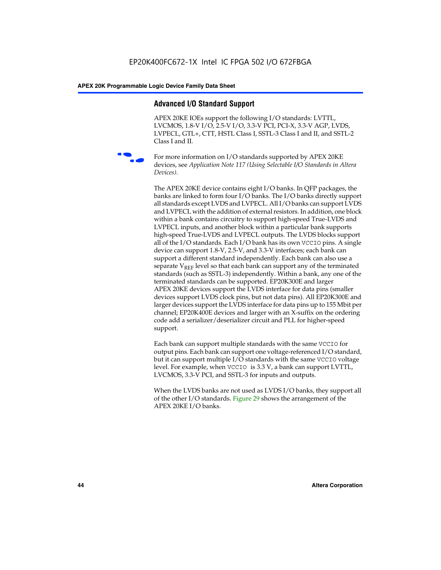# **Advanced I/O Standard Support**

APEX 20KE IOEs support the following I/O standards: LVTTL, LVCMOS, 1.8-V I/O, 2.5-V I/O, 3.3-V PCI, PCI-X, 3.3-V AGP, LVDS, LVPECL, GTL+, CTT, HSTL Class I, SSTL-3 Class I and II, and SSTL-2 Class I and II.



For more information on I/O standards supported by APEX 20KE devices, see *Application Note 117 (Using Selectable I/O Standards in Altera Devices)*.

The APEX 20KE device contains eight I/O banks. In QFP packages, the banks are linked to form four I/O banks. The I/O banks directly support all standards except LVDS and LVPECL. All I/O banks can support LVDS and LVPECL with the addition of external resistors. In addition, one block within a bank contains circuitry to support high-speed True-LVDS and LVPECL inputs, and another block within a particular bank supports high-speed True-LVDS and LVPECL outputs. The LVDS blocks support all of the I/O standards. Each I/O bank has its own VCCIO pins. A single device can support 1.8-V, 2.5-V, and 3.3-V interfaces; each bank can support a different standard independently. Each bank can also use a separate  $V_{\text{REF}}$  level so that each bank can support any of the terminated standards (such as SSTL-3) independently. Within a bank, any one of the terminated standards can be supported. EP20K300E and larger APEX 20KE devices support the LVDS interface for data pins (smaller devices support LVDS clock pins, but not data pins). All EP20K300E and larger devices support the LVDS interface for data pins up to 155 Mbit per channel; EP20K400E devices and larger with an X-suffix on the ordering code add a serializer/deserializer circuit and PLL for higher-speed support.

Each bank can support multiple standards with the same VCCIO for output pins. Each bank can support one voltage-referenced I/O standard, but it can support multiple I/O standards with the same VCCIO voltage level. For example, when VCCIO is 3.3 V, a bank can support LVTTL, LVCMOS, 3.3-V PCI, and SSTL-3 for inputs and outputs.

When the LVDS banks are not used as LVDS I/O banks, they support all of the other I/O standards. Figure 29 shows the arrangement of the APEX 20KE I/O banks.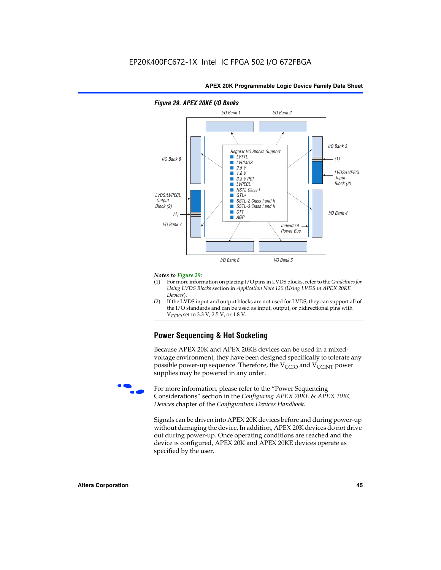

# *Figure 29. APEX 20KE I/O Banks*

#### *Notes to Figure 29:*

- (1) For more information on placing I/O pins in LVDS blocks, refer to the *Guidelines for Using LVDS Blocks* section in *Application Note 120 (Using LVDS in APEX 20KE Devices*).
- (2) If the LVDS input and output blocks are not used for LVDS, they can support all of the I/O standards and can be used as input, output, or bidirectional pins with  $V_{\text{C} \cap \text{O}}$  set to 3.3 V, 2.5 V, or 1.8 V.

# **Power Sequencing & Hot Socketing**

Because APEX 20K and APEX 20KE devices can be used in a mixedvoltage environment, they have been designed specifically to tolerate any possible power-up sequence. Therefore, the  $V_{\text{CCIO}}$  and  $V_{\text{CCINT}}$  power supplies may be powered in any order.

For more information, please refer to the "Power Sequencing Considerations" section in the *Configuring APEX 20KE & APEX 20KC Devices* chapter of the *Configuration Devices Handbook*.

Signals can be driven into APEX 20K devices before and during power-up without damaging the device. In addition, APEX 20K devices do not drive out during power-up. Once operating conditions are reached and the device is configured, APEX 20K and APEX 20KE devices operate as specified by the user.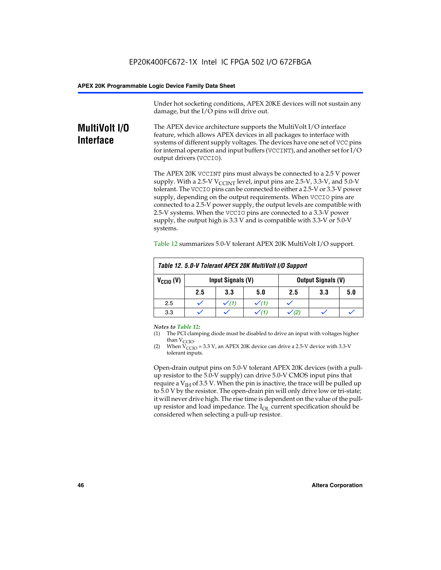Under hot socketing conditions, APEX 20KE devices will not sustain any damage, but the I/O pins will drive out.

# **MultiVolt I/O Interface**

The APEX device architecture supports the MultiVolt I/O interface feature, which allows APEX devices in all packages to interface with systems of different supply voltages. The devices have one set of VCC pins for internal operation and input buffers (VCCINT), and another set for I/O output drivers (VCCIO).

The APEX 20K VCCINT pins must always be connected to a 2.5 V power supply. With a 2.5-V  $V_{\text{CCMT}}$  level, input pins are 2.5-V, 3.3-V, and 5.0-V tolerant. The VCCIO pins can be connected to either a 2.5-V or 3.3-V power supply, depending on the output requirements. When VCCIO pins are connected to a 2.5-V power supply, the output levels are compatible with 2.5-V systems. When the VCCIO pins are connected to a 3.3-V power supply, the output high is 3.3 V and is compatible with 3.3-V or 5.0-V systems.

| Table 12. 5.0-V Tolerant APEX 20K MultiVolt I/O Support |                                                |                  |     |     |     |     |  |
|---------------------------------------------------------|------------------------------------------------|------------------|-----|-----|-----|-----|--|
| $V_{\text{CCIO}}(V)$                                    | Input Signals (V)<br><b>Output Signals (V)</b> |                  |     |     |     |     |  |
|                                                         | 2.5                                            | 3.3              | 5.0 | 2.5 | 3.3 | 5.0 |  |
| 2.5                                                     |                                                | $\checkmark$ (1) |     |     |     |     |  |
| 3.3                                                     |                                                |                  |     |     |     |     |  |

Table 12 summarizes 5.0-V tolerant APEX 20K MultiVolt I/O support.

#### *Notes to Table 12:*

- (1) The PCI clamping diode must be disabled to drive an input with voltages higher than  $V_{CCIO}$ .
- (2) When  $V_{CCIO} = 3.3 V$ , an APEX 20K device can drive a 2.5-V device with 3.3-V tolerant inputs.

Open-drain output pins on 5.0-V tolerant APEX 20K devices (with a pullup resistor to the 5.0-V supply) can drive 5.0-V CMOS input pins that require a  $V_{IH}$  of 3.5 V. When the pin is inactive, the trace will be pulled up to 5.0 V by the resistor. The open-drain pin will only drive low or tri-state; it will never drive high. The rise time is dependent on the value of the pullup resistor and load impedance. The  $I_{OI}$  current specification should be considered when selecting a pull-up resistor.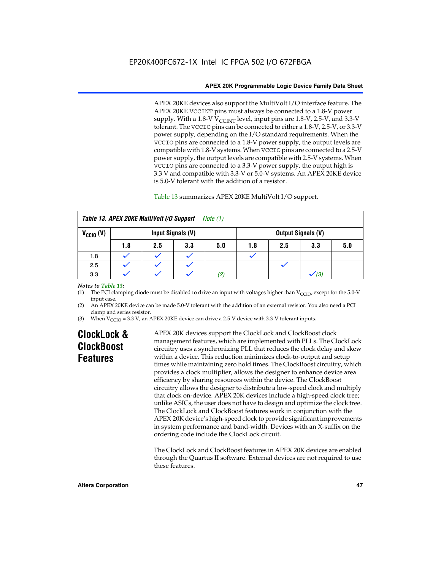APEX 20KE devices also support the MultiVolt I/O interface feature. The APEX 20KE VCCINT pins must always be connected to a 1.8-V power supply. With a 1.8-V  $V_{\text{CCINT}}$  level, input pins are 1.8-V, 2.5-V, and 3.3-V tolerant. The VCCIO pins can be connected to either a 1.8-V, 2.5-V, or 3.3-V power supply, depending on the I/O standard requirements. When the VCCIO pins are connected to a 1.8-V power supply, the output levels are compatible with 1.8-V systems. When VCCIO pins are connected to a 2.5-V power supply, the output levels are compatible with 2.5-V systems. When VCCIO pins are connected to a 3.3-V power supply, the output high is 3.3 V and compatible with 3.3-V or 5.0-V systems. An APEX 20KE device is 5.0-V tolerant with the addition of a resistor.

# Table 13 summarizes APEX 20KE MultiVolt I/O support.

| Table 13. APEX 20KE MultiVolt I/O Support<br>Note (1) |                   |     |     |     |     |     |                           |     |
|-------------------------------------------------------|-------------------|-----|-----|-----|-----|-----|---------------------------|-----|
| $V_{\text{CCIO}}(V)$                                  | Input Signals (V) |     |     |     |     |     | <b>Output Signals (V)</b> |     |
|                                                       | 1.8               | 2.5 | 3.3 | 5.0 | 1.8 | 2.5 | 3.3                       | 5.0 |
| 1.8                                                   |                   |     |     |     |     |     |                           |     |
| 2.5                                                   |                   |     |     |     |     |     |                           |     |
| 3.3                                                   |                   |     |     | (2) |     |     | (3)                       |     |

## *Notes to Table 13:*

(1) The PCI clamping diode must be disabled to drive an input with voltages higher than  $V_{CCIO}$ , except for the 5.0-V input case.

(2) An APEX 20KE device can be made 5.0-V tolerant with the addition of an external resistor. You also need a PCI clamp and series resistor.

(3) When  $V_{\text{CCIO}} = 3.3$  V, an APEX 20KE device can drive a 2.5-V device with 3.3-V tolerant inputs.

# **ClockLock & ClockBoost Features**

APEX 20K devices support the ClockLock and ClockBoost clock management features, which are implemented with PLLs. The ClockLock circuitry uses a synchronizing PLL that reduces the clock delay and skew within a device. This reduction minimizes clock-to-output and setup times while maintaining zero hold times. The ClockBoost circuitry, which provides a clock multiplier, allows the designer to enhance device area efficiency by sharing resources within the device. The ClockBoost circuitry allows the designer to distribute a low-speed clock and multiply that clock on-device. APEX 20K devices include a high-speed clock tree; unlike ASICs, the user does not have to design and optimize the clock tree. The ClockLock and ClockBoost features work in conjunction with the APEX 20K device's high-speed clock to provide significant improvements in system performance and band-width. Devices with an X-suffix on the ordering code include the ClockLock circuit.

The ClockLock and ClockBoost features in APEX 20K devices are enabled through the Quartus II software. External devices are not required to use these features.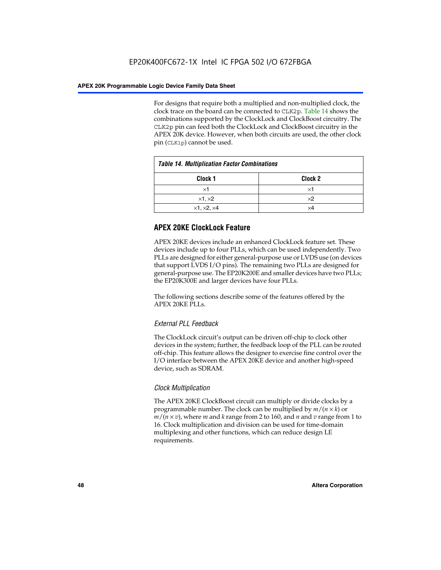For designs that require both a multiplied and non-multiplied clock, the clock trace on the board can be connected to CLK2p. Table 14 shows the combinations supported by the ClockLock and ClockBoost circuitry. The CLK2p pin can feed both the ClockLock and ClockBoost circuitry in the APEX 20K device. However, when both circuits are used, the other clock pin (CLK1p) cannot be used.

| <b>Table 14. Multiplication Factor Combinations</b> |            |  |  |  |
|-----------------------------------------------------|------------|--|--|--|
| Clock <sub>1</sub><br>Clock <sub>2</sub>            |            |  |  |  |
| $\times$ 1                                          | ×1         |  |  |  |
| $\times$ 1, $\times$ 2                              | $\times 2$ |  |  |  |
| $\times$ 1, $\times$ 2, $\times$ 4                  | ×4         |  |  |  |

# **APEX 20KE ClockLock Feature**

APEX 20KE devices include an enhanced ClockLock feature set. These devices include up to four PLLs, which can be used independently. Two PLLs are designed for either general-purpose use or LVDS use (on devices that support LVDS I/O pins). The remaining two PLLs are designed for general-purpose use. The EP20K200E and smaller devices have two PLLs; the EP20K300E and larger devices have four PLLs.

The following sections describe some of the features offered by the APEX 20KE PLLs.

# *External PLL Feedback*

The ClockLock circuit's output can be driven off-chip to clock other devices in the system; further, the feedback loop of the PLL can be routed off-chip. This feature allows the designer to exercise fine control over the I/O interface between the APEX 20KE device and another high-speed device, such as SDRAM.

# *Clock Multiplication*

The APEX 20KE ClockBoost circuit can multiply or divide clocks by a programmable number. The clock can be multiplied by *m*/(*n* × *k*) or  $m/(n \times v)$ , where *m* and *k* range from 2 to 160, and *n* and *v* range from 1 to 16. Clock multiplication and division can be used for time-domain multiplexing and other functions, which can reduce design LE requirements.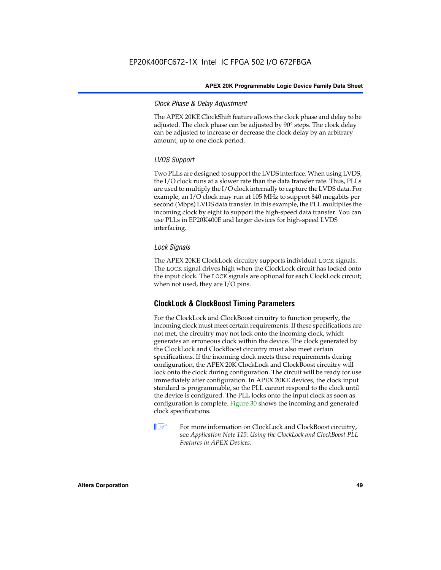# *Clock Phase & Delay Adjustment*

The APEX 20KE ClockShift feature allows the clock phase and delay to be adjusted. The clock phase can be adjusted by 90° steps. The clock delay can be adjusted to increase or decrease the clock delay by an arbitrary amount, up to one clock period.

# *LVDS Support*

Two PLLs are designed to support the LVDS interface. When using LVDS, the I/O clock runs at a slower rate than the data transfer rate. Thus, PLLs are used to multiply the I/O clock internally to capture the LVDS data. For example, an I/O clock may run at 105 MHz to support 840 megabits per second (Mbps) LVDS data transfer. In this example, the PLL multiplies the incoming clock by eight to support the high-speed data transfer. You can use PLLs in EP20K400E and larger devices for high-speed LVDS interfacing.

# *Lock Signals*

The APEX 20KE ClockLock circuitry supports individual LOCK signals. The LOCK signal drives high when the ClockLock circuit has locked onto the input clock. The LOCK signals are optional for each ClockLock circuit; when not used, they are I/O pins.

# **ClockLock & ClockBoost Timing Parameters**

For the ClockLock and ClockBoost circuitry to function properly, the incoming clock must meet certain requirements. If these specifications are not met, the circuitry may not lock onto the incoming clock, which generates an erroneous clock within the device. The clock generated by the ClockLock and ClockBoost circuitry must also meet certain specifications. If the incoming clock meets these requirements during configuration, the APEX 20K ClockLock and ClockBoost circuitry will lock onto the clock during configuration. The circuit will be ready for use immediately after configuration. In APEX 20KE devices, the clock input standard is programmable, so the PLL cannot respond to the clock until the device is configured. The PLL locks onto the input clock as soon as configuration is complete. Figure 30 shows the incoming and generated clock specifications.

 $\mathbb{I} \mathcal{F}$  For more information on ClockLock and ClockBoost circuitry, see *Application Note 115: Using the ClockLock and ClockBoost PLL Features in APEX Devices*.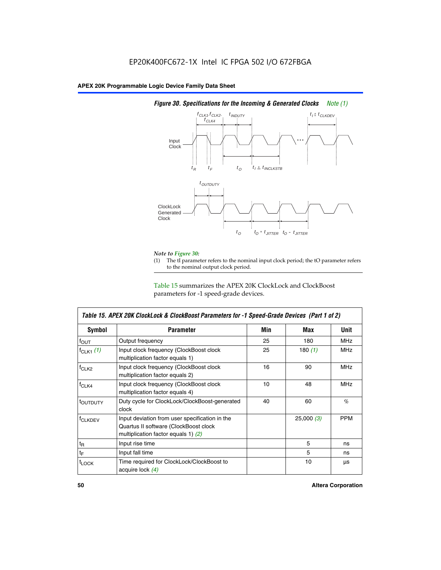

# *Figure 30. Specifications for the Incoming & Generated Clocks Note (1)*

# *Note to Figure 30:*

The tI parameter refers to the nominal input clock period; the tO parameter refers to the nominal output clock period.

Table 15 summarizes the APEX 20K ClockLock and ClockBoost parameters for -1 speed-grade devices.

| <b>Symbol</b>     | <b>Parameter</b>                                                                                                                 | Min | Max       | <b>Unit</b> |
|-------------------|----------------------------------------------------------------------------------------------------------------------------------|-----|-----------|-------------|
| $f_{OUT}$         | Output frequency                                                                                                                 | 25  | 180       | MHz         |
| $f_{CLK1}$ $(1)$  | Input clock frequency (ClockBoost clock<br>multiplication factor equals 1)                                                       |     | 180 $(1)$ | <b>MHz</b>  |
| $f_{CLK2}$        | Input clock frequency (ClockBoost clock<br>multiplication factor equals 2)                                                       | 16  | 90        | <b>MHz</b>  |
| $f_{CLK4}$        | 10<br>48<br>Input clock frequency (ClockBoost clock<br>multiplication factor equals 4)                                           |     |           | <b>MHz</b>  |
| toutputy          | Duty cycle for ClockLock/ClockBoost-generated<br>clock                                                                           | 40  | 60        | %           |
| <b>f</b> CLKDEV   | Input deviation from user specification in the<br>Quartus II software (ClockBoost clock<br>multiplication factor equals 1) $(2)$ |     | 25,000(3) | <b>PPM</b>  |
| $t_{\mathsf{R}}$  | Input rise time                                                                                                                  |     | 5         | ns          |
| $t_{\mathsf{F}}$  | Input fall time                                                                                                                  |     | 5         | ns          |
| <sup>t</sup> LOCK | Time required for ClockLock/ClockBoost to<br>acquire lock (4)                                                                    |     | 10        | μs          |

 $\mathsf I$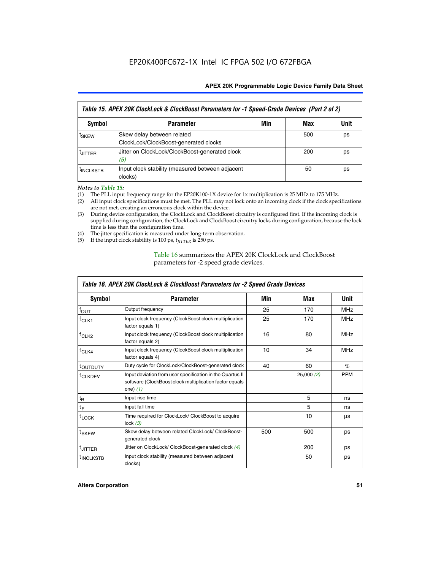| Table 15. APEX 20K ClockLock & ClockBoost Parameters for -1 Speed-Grade Devices (Part 2 of 2) |                                                                     |     |     |      |  |  |
|-----------------------------------------------------------------------------------------------|---------------------------------------------------------------------|-----|-----|------|--|--|
| <b>Symbol</b>                                                                                 | <b>Parameter</b>                                                    | Min | Max | Unit |  |  |
| t <sub>SKEW</sub>                                                                             | Skew delay between related<br>ClockLock/ClockBoost-generated clocks |     | 500 | ps   |  |  |
| <b>UITTER</b>                                                                                 | Jitter on ClockLock/ClockBoost-generated clock<br>(5)               |     | 200 | ps   |  |  |
| <b>INCLKSTB</b>                                                                               | Input clock stability (measured between adjacent<br>clocks)         |     | 50  | ps   |  |  |

*Notes to Table 15:*

- (1) The PLL input frequency range for the EP20K100-1X device for 1x multiplication is 25 MHz to 175 MHz.
- (2) All input clock specifications must be met. The PLL may not lock onto an incoming clock if the clock specifications are not met, creating an erroneous clock within the device.
- (3) During device configuration, the ClockLock and ClockBoost circuitry is configured first. If the incoming clock is supplied during configuration, the ClockLock and ClockBoost circuitry locks during configuration, because the lock time is less than the configuration time.
- (4) The jitter specification is measured under long-term observation.
- (5) If the input clock stability is 100 ps,  $t_{\text{JITTER}}$  is 250 ps.

# Table 16 summarizes the APEX 20K ClockLock and ClockBoost parameters for -2 speed grade devices.

| Symbol                | <b>Parameter</b>                                                                                                                   | Min | Max        | Unit       |
|-----------------------|------------------------------------------------------------------------------------------------------------------------------------|-----|------------|------------|
| $f_{\text{OUT}}$      | Output frequency                                                                                                                   | 25  | 170        | <b>MHz</b> |
| $r$ CLK1              | Input clock frequency (ClockBoost clock multiplication<br>factor equals 1)                                                         | 25  | 170        | <b>MHz</b> |
| f <sub>CLK2</sub>     | 16<br>Input clock frequency (ClockBoost clock multiplication<br>80<br>factor equals 2)                                             |     | <b>MHz</b> |            |
| $f_{CLK4}$            | 10<br>Input clock frequency (ClockBoost clock multiplication<br>factor equals 4)                                                   |     | 34         | <b>MHz</b> |
| <sup>t</sup> OUTDUTY  | Duty cycle for ClockLock/ClockBoost-generated clock                                                                                | 40  | 60         | $\%$       |
| <sup>T</sup> CLKDEV   | Input deviation from user specification in the Quartus II<br>software (ClockBoost clock multiplication factor equals<br>one) $(1)$ |     | 25,000(2)  | <b>PPM</b> |
| $t_{\mathsf{R}}$      | Input rise time                                                                                                                    |     | 5          | ns         |
| $t_F$                 | Input fall time                                                                                                                    |     | 5          | ns         |
| $t_{\text{LOCK}}$     | Time required for ClockLock/ ClockBoost to acquire<br>lock $(3)$                                                                   |     | 10         | μs         |
| t <sub>SKEW</sub>     | Skew delay between related ClockLock/ ClockBoost-<br>500<br>500<br>generated clock                                                 |     | ps         |            |
| <sup>t</sup> JITTER   | Jitter on ClockLock/ ClockBoost-generated clock (4)                                                                                |     | 200        | ps         |
| <sup>I</sup> INCLKSTB | Input clock stability (measured between adjacent<br>clocks)                                                                        |     | 50         | ps         |

# *Table 16. APEX 20K ClockLock & ClockBoost Parameters for -2 Speed Grade Devices*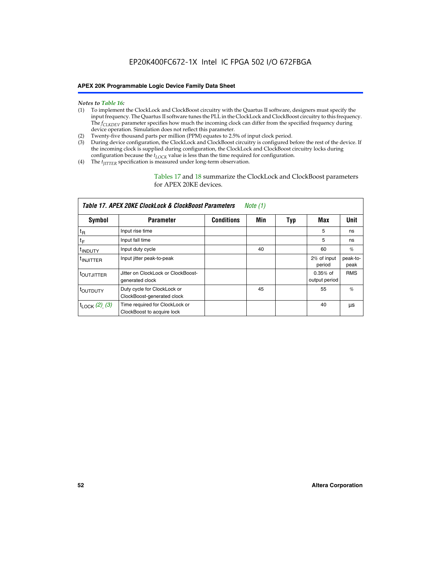- *Notes to Table 16:* (1) To implement the ClockLock and ClockBoost circuitry with the Quartus II software, designers must specify the input frequency. The Quartus II software tunes the PLL in the ClockLock and ClockBoost circuitry to this frequency. The *f<sub>CLKDEV</sub>* parameter specifies how much the incoming clock can differ from the specified frequency during device operation. Simulation does not reflect this parameter.
- (2) Twenty-five thousand parts per million (PPM) equates to 2.5% of input clock period.
- (3) During device configuration, the ClockLock and ClockBoost circuitry is configured before the rest of the device. If the incoming clock is supplied during configuration, the ClockLock and ClockBoost circuitry locks during configuration because the  $t_{LOCK}$  value is less than the time required for configuration.
- (4) The  $t_{\text{ITTTER}}$  specification is measured under long-term observation.

Tables 17 and 18 summarize the ClockLock and ClockBoost parameters for APEX 20KE devices.

| Table 17. APEX 20KE ClockLock & ClockBoost Parameters<br>Note (1) |                                                              |                   |     |     |                             |                  |  |  |
|-------------------------------------------------------------------|--------------------------------------------------------------|-------------------|-----|-----|-----------------------------|------------------|--|--|
| Symbol                                                            | <b>Parameter</b>                                             | <b>Conditions</b> | Min | Typ | Max                         | Unit             |  |  |
| $t_{R}$                                                           | Input rise time                                              |                   |     |     | 5                           | ns               |  |  |
| tF                                                                | Input fall time                                              |                   |     |     | 5                           | ns               |  |  |
| <sup>t</sup> INDUTY                                               | Input duty cycle                                             |                   | 40  |     | 60                          | %                |  |  |
| <sup>t</sup> INJITTER                                             | Input jitter peak-to-peak                                    |                   |     |     | 2% of input<br>period       | peak-to-<br>peak |  |  |
| <sup>t</sup> OUTJITTER                                            | Jitter on ClockLock or ClockBoost-<br>generated clock        |                   |     |     | $0.35%$ of<br>output period | <b>RMS</b>       |  |  |
| t <sub>outputy</sub>                                              | Duty cycle for ClockLock or<br>ClockBoost-generated clock    |                   | 45  |     | 55                          | $\%$             |  |  |
| $t_{\text{LOCK}}$ (2), (3)                                        | Time required for ClockLock or<br>ClockBoost to acquire lock |                   |     |     | 40                          | μs               |  |  |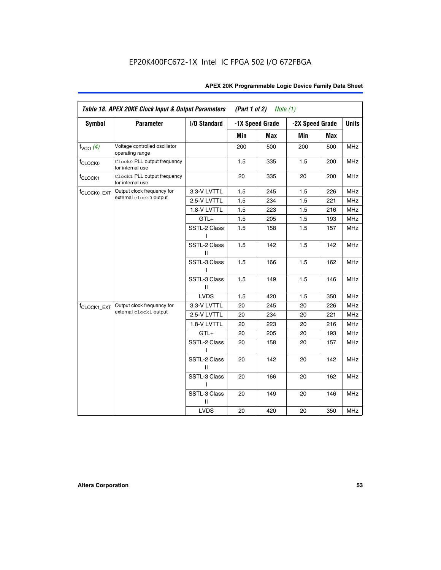| APEX 20K Programmable Logic Device Family Data Sheet |  |  |  |
|------------------------------------------------------|--|--|--|
|------------------------------------------------------|--|--|--|

| <b>Symbol</b>           | <b>Parameter</b>                                 | I/O Standard      |     | -1X Speed Grade |     | -2X Speed Grade                                                      | <b>Units</b> |
|-------------------------|--------------------------------------------------|-------------------|-----|-----------------|-----|----------------------------------------------------------------------|--------------|
|                         |                                                  |                   | Min | <b>Max</b>      | Min | Max                                                                  |              |
| $f_{VCO}$ (4)           | Voltage controlled oscillator<br>operating range |                   | 200 | 500             | 200 | 500                                                                  | <b>MHz</b>   |
| f <sub>CLOCK0</sub>     | Clock0 PLL output frequency<br>for internal use  |                   | 1.5 | 335             | 1.5 | 200                                                                  | <b>MHz</b>   |
| f <sub>CLOCK1</sub>     | Clock1 PLL output frequency<br>for internal use  |                   | 20  | 335             | 20  | 200                                                                  | MHz          |
| f <sub>CLOCK0_EXT</sub> | Output clock frequency for                       | 3.3-V LVTTL       | 1.5 | 245             | 1.5 | 226                                                                  | <b>MHz</b>   |
|                         | external clock0 output                           | 2.5-V LVTTL       | 1.5 | 234             | 1.5 | 221                                                                  | <b>MHz</b>   |
|                         |                                                  | 1.8-V LVTTL       | 1.5 | 223             | 1.5 | 216                                                                  | <b>MHz</b>   |
|                         |                                                  | $GTL+$            | 1.5 | 205             | 1.5 | 193                                                                  | <b>MHz</b>   |
|                         |                                                  | SSTL-2 Class<br>L | 1.5 | 158             | 1.5 | 157                                                                  | <b>MHz</b>   |
|                         |                                                  | SSTL-2 Class<br>Ш | 1.5 | 142             | 1.5 | 142                                                                  | <b>MHz</b>   |
|                         |                                                  | SSTL-3 Class<br>I | 1.5 | 166             | 1.5 | 162                                                                  | <b>MHz</b>   |
|                         |                                                  | SSTL-3 Class<br>Ш | 1.5 | 149             | 1.5 | 146                                                                  | <b>MHz</b>   |
|                         |                                                  | <b>LVDS</b>       | 1.5 | 420             | 1.5 | 350                                                                  | <b>MHz</b>   |
| f <sub>CLOCK1_EXT</sub> | Output clock frequency for                       | 3.3-V LVTTL       | 20  | 245             | 20  | 226<br>20<br>221<br>20<br>216<br>20<br>193<br>20<br>157<br>20<br>142 | <b>MHz</b>   |
|                         | external clock1 output                           | 2.5-V LVTTL       | 20  | 234             |     |                                                                      | <b>MHz</b>   |
|                         |                                                  | 1.8-V LVTTL       | 20  | 223             |     |                                                                      | <b>MHz</b>   |
|                         |                                                  | $GTL+$            | 20  | 205             |     |                                                                      | <b>MHz</b>   |
|                         |                                                  | SSTL-2 Class      | 20  | 158             |     |                                                                      | <b>MHz</b>   |
|                         |                                                  | SSTL-2 Class<br>Ш | 20  | 142             |     |                                                                      | <b>MHz</b>   |
|                         |                                                  | SSTL-3 Class<br>ı | 20  | 166             | 20  | 162                                                                  | <b>MHz</b>   |
|                         |                                                  | SSTL-3 Class<br>Ш | 20  | 149             | 20  | 146                                                                  | <b>MHz</b>   |
|                         |                                                  | <b>LVDS</b>       | 20  | 420             | 20  | 350                                                                  | <b>MHz</b>   |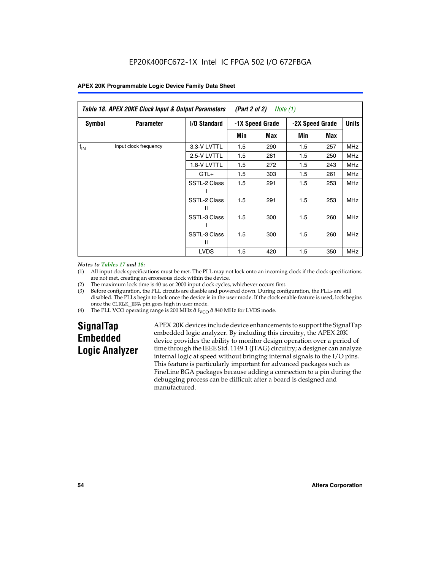|                 | Table 18. APEX 20KE Clock Input & Output Parameters<br>(Part 2 of 2)<br>Note (1) |                     |     |                 |                 |     |              |  |  |  |
|-----------------|----------------------------------------------------------------------------------|---------------------|-----|-----------------|-----------------|-----|--------------|--|--|--|
| Symbol          | <b>Parameter</b>                                                                 | <b>I/O Standard</b> |     | -1X Speed Grade | -2X Speed Grade |     | <b>Units</b> |  |  |  |
|                 |                                                                                  |                     | Min | Max             | Min             | Max |              |  |  |  |
| $f_{\text{IN}}$ | Input clock frequency                                                            | 3.3-V LVTTL         | 1.5 | 290             | 1.5             | 257 | MHz          |  |  |  |
|                 |                                                                                  | 2.5-V LVTTL         | 1.5 | 281             | 1.5             | 250 | <b>MHz</b>   |  |  |  |
|                 |                                                                                  | 1.8-V LVTTL         | 1.5 | 272             | 1.5             | 243 | <b>MHz</b>   |  |  |  |
|                 |                                                                                  | $GTL+$              | 1.5 | 303             | 1.5             | 261 | <b>MHz</b>   |  |  |  |
|                 |                                                                                  | SSTL-2 Class        | 1.5 | 291             | 1.5             | 253 | <b>MHz</b>   |  |  |  |
|                 |                                                                                  | SSTL-2 Class<br>Ш   | 1.5 | 291             | 1.5             | 253 | <b>MHz</b>   |  |  |  |
|                 |                                                                                  | SSTL-3 Class        | 1.5 | 300             | 1.5             | 260 | <b>MHz</b>   |  |  |  |
|                 |                                                                                  | SSTL-3 Class<br>Ш   | 1.5 | 300             | 1.5             | 260 | <b>MHz</b>   |  |  |  |
|                 |                                                                                  | <b>LVDS</b>         | 1.5 | 420             | 1.5             | 350 | <b>MHz</b>   |  |  |  |

#### *Notes to Tables 17 and 18:*

(1) All input clock specifications must be met. The PLL may not lock onto an incoming clock if the clock specifications are not met, creating an erroneous clock within the device.

- (2) The maximum lock time is 40 µs or 2000 input clock cycles, whichever occurs first.
- (3) Before configuration, the PLL circuits are disable and powered down. During configuration, the PLLs are still disabled. The PLLs begin to lock once the device is in the user mode. If the clock enable feature is used, lock begins once the CLKLK\_ENA pin goes high in user mode.
- (4) The PLL VCO operating range is 200 MHz  $\eth$  f<sub>VCO</sub>  $\eth$  840 MHz for LVDS mode.

# **SignalTap Embedded Logic Analyzer**

APEX 20K devices include device enhancements to support the SignalTap embedded logic analyzer. By including this circuitry, the APEX 20K device provides the ability to monitor design operation over a period of time through the IEEE Std. 1149.1 (JTAG) circuitry; a designer can analyze internal logic at speed without bringing internal signals to the I/O pins. This feature is particularly important for advanced packages such as FineLine BGA packages because adding a connection to a pin during the debugging process can be difficult after a board is designed and manufactured.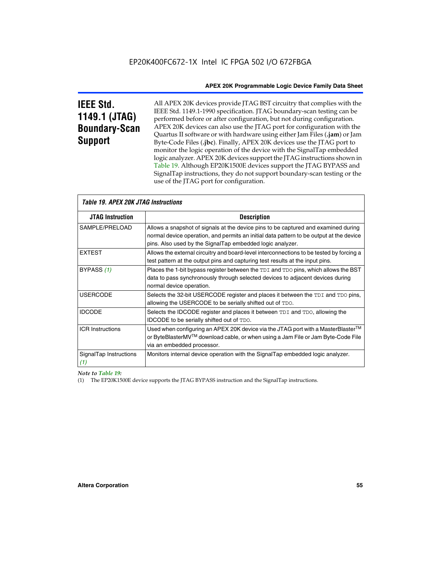# **IEEE Std. 1149.1 (JTAG) Boundary-Scan Support**

All APEX 20K devices provide JTAG BST circuitry that complies with the IEEE Std. 1149.1-1990 specification. JTAG boundary-scan testing can be performed before or after configuration, but not during configuration. APEX 20K devices can also use the JTAG port for configuration with the Quartus II software or with hardware using either Jam Files (**.jam**) or Jam Byte-Code Files (**.jbc**). Finally, APEX 20K devices use the JTAG port to monitor the logic operation of the device with the SignalTap embedded logic analyzer. APEX 20K devices support the JTAG instructions shown in Table 19. Although EP20K1500E devices support the JTAG BYPASS and SignalTap instructions, they do not support boundary-scan testing or the use of the JTAG port for configuration.

| <i><b>Table 19. APEX 20K JTAG Instructions</b></i> |                                                                                                                                                                                                                                            |  |  |  |
|----------------------------------------------------|--------------------------------------------------------------------------------------------------------------------------------------------------------------------------------------------------------------------------------------------|--|--|--|
| <b>JTAG Instruction</b>                            | <b>Description</b>                                                                                                                                                                                                                         |  |  |  |
| SAMPLE/PRELOAD                                     | Allows a snapshot of signals at the device pins to be captured and examined during<br>normal device operation, and permits an initial data pattern to be output at the device<br>pins. Also used by the SignalTap embedded logic analyzer. |  |  |  |
| <b>EXTEST</b>                                      | Allows the external circuitry and board-level interconnections to be tested by forcing a<br>test pattern at the output pins and capturing test results at the input pins.                                                                  |  |  |  |
| BYPASS (1)                                         | Places the 1-bit bypass register between the TDI and TDO pins, which allows the BST<br>data to pass synchronously through selected devices to adjacent devices during<br>normal device operation.                                          |  |  |  |
| <b>USERCODE</b>                                    | Selects the 32-bit USERCODE register and places it between the TDI and TDO pins,<br>allowing the USERCODE to be serially shifted out of TDO.                                                                                               |  |  |  |
| <b>IDCODE</b>                                      | Selects the IDCODE register and places it between TDI and TDO, allowing the<br>IDCODE to be serially shifted out of TDO.                                                                                                                   |  |  |  |
| <b>ICR Instructions</b>                            | Used when configuring an APEX 20K device via the JTAG port with a MasterBlaster™<br>or ByteBlasterMV™ download cable, or when using a Jam File or Jam Byte-Code File<br>via an embedded processor.                                         |  |  |  |
| SignalTap Instructions<br>(1)                      | Monitors internal device operation with the SignalTap embedded logic analyzer.                                                                                                                                                             |  |  |  |

 $\overline{\phantom{a}}$ 

# *Note to Table 19:*

(1) The EP20K1500E device supports the JTAG BYPASS instruction and the SignalTap instructions.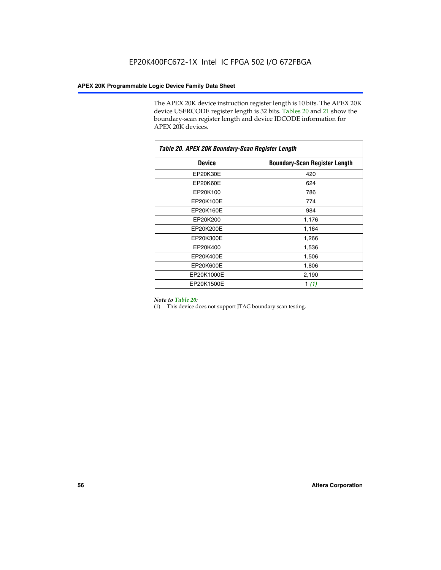The APEX 20K device instruction register length is 10 bits. The APEX 20K device USERCODE register length is 32 bits. Tables 20 and 21 show the boundary-scan register length and device IDCODE information for APEX 20K devices.

| Table 20. APEX 20K Boundary-Scan Register Length |                                      |
|--------------------------------------------------|--------------------------------------|
| <b>Device</b>                                    | <b>Boundary-Scan Register Length</b> |
| EP20K30E                                         | 420                                  |
| EP20K60E                                         | 624                                  |
| EP20K100                                         | 786                                  |
| EP20K100E                                        | 774                                  |
| EP20K160E                                        | 984                                  |
| EP20K200                                         | 1,176                                |
| EP20K200E                                        | 1,164                                |
| EP20K300E                                        | 1,266                                |
| EP20K400                                         | 1,536                                |
| EP20K400E                                        | 1,506                                |
| EP20K600E                                        | 1,806                                |
| EP20K1000E                                       | 2,190                                |
| EP20K1500E                                       | 1 $(1)$                              |

#### *Note to Table 20:*

(1) This device does not support JTAG boundary scan testing.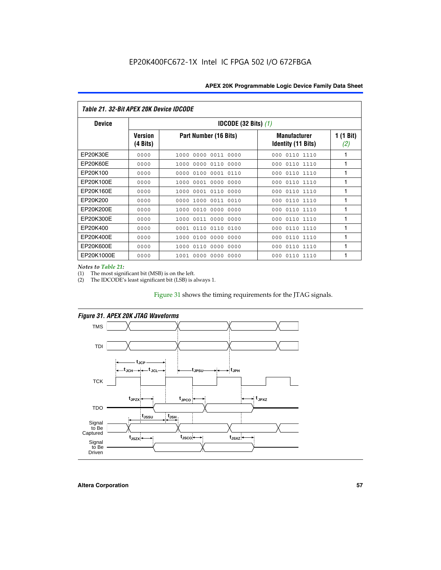| Table 21. 32-Bit APEX 20K Device IDCODE |                            |                                          |                                           |                  |  |  |
|-----------------------------------------|----------------------------|------------------------------------------|-------------------------------------------|------------------|--|--|
| <b>Device</b>                           |                            | <b>IDCODE (32 Bits) <math>(1)</math></b> |                                           |                  |  |  |
|                                         | <b>Version</b><br>(4 Bits) | Part Number (16 Bits)                    | <b>Manufacturer</b><br>Identity (11 Bits) | 1 (1 Bit)<br>(2) |  |  |
| EP20K30E                                | 0000                       | 0000 0011 0000<br>1000                   | 0110 1110<br>000                          | 1                |  |  |
| EP20K60E                                | 0000                       | 0000<br>0110<br>0000<br>1000             | 0110 1110<br>000                          | 1                |  |  |
| EP20K100                                | 0000                       | 0000<br>0100<br>0001 0110                | 000<br>0110 1110                          | 1                |  |  |
| EP20K100E                               | 0000                       | 0001 0000<br>0000<br>1000                | 0110 1110<br>000                          | 1                |  |  |
| EP20K160E                               | 0000                       | 0001 0110<br>0000<br>1000                | 0110 1110<br>000                          | 1                |  |  |
| EP20K200                                | 0000                       | 0000<br>1000<br>0011 0010                | 0110 1110<br>000                          | 1                |  |  |
| EP20K200E                               | 0000                       | 0010<br>0000<br>0000<br>1000             | 0110 1110<br>000                          | 1                |  |  |
| EP20K300E                               | 0000                       | 0011 0000 0000<br>1000                   | 0110 1110<br>000                          | 1                |  |  |
| EP20K400                                | 0000                       | 0110<br>0110<br>0100<br>0001             | 0110 1110<br>000                          | 1                |  |  |
| EP20K400E                               | 0000                       | 0100<br>0000<br>0000<br>1000             | 0110 1110<br>000                          | 1                |  |  |
| EP20K600E                               | 0000                       | 0110<br>0000<br>0000<br>1000             | 0110 1110<br>000                          | 1                |  |  |
| EP20K1000E                              | 0000                       | 0000<br>0000<br>0000<br>1001             | 000<br>0110 1110                          | 1                |  |  |

*Notes to Table 21:*

The most significant bit (MSB) is on the left.

(2) The IDCODE's least significant bit (LSB) is always 1.

# Figure 31 shows the timing requirements for the JTAG signals.



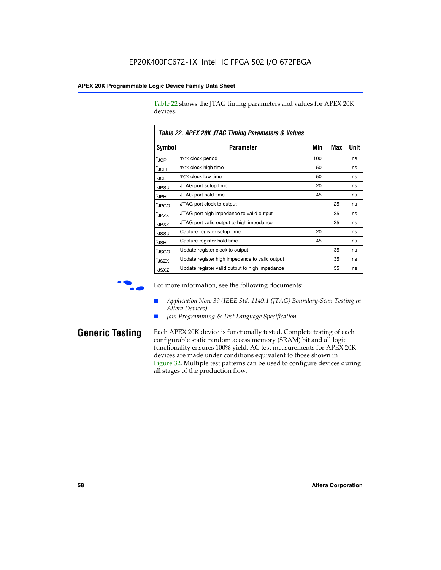Table 22 shows the JTAG timing parameters and values for APEX 20K devices.

|                   | TADIG LL. AF LA LUN JTAU THIIHIY FAIAHIGIGIS & VAIUGS |     |     |      |
|-------------------|-------------------------------------------------------|-----|-----|------|
| Symbol            | Parameter                                             | Min | Max | Unit |
| $t_{JCP}$         | <b>TCK clock period</b>                               | 100 |     | ns   |
| $t_{\text{JCH}}$  | TCK clock high time                                   | 50  |     | ns   |
| $t_{JCL}$         | TCK clock low time                                    | 50  |     | ns   |
| t <sub>JPSU</sub> | JTAG port setup time                                  | 20  |     | ns   |
| $t_{\rm JPH}$     | JTAG port hold time                                   | 45  |     | ns   |
| <sup>t</sup> JPCO | JTAG port clock to output                             |     | 25  | ns   |
| t <sub>JPZX</sub> | JTAG port high impedance to valid output              |     | 25  | ns   |
| t <sub>JPXZ</sub> | JTAG port valid output to high impedance              |     | 25  | ns   |
| tussu             | Capture register setup time                           | 20  |     | ns   |
| $t_{\rm JSH}$     | Capture register hold time                            | 45  |     | ns   |
| t <sub>JSCO</sub> | Update register clock to output                       |     | 35  | ns   |
| t <sub>JSZX</sub> | Update register high impedance to valid output        |     | 35  | ns   |
| t <sub>JSXZ</sub> | Update register valid output to high impedance        |     | 35  | ns   |

*Table 22. APEX 20K JTAG Timing Parameters & Values*

For more information, see the following documents:

- *Application Note 39 (IEEE Std. 1149.1 (JTAG) Boundary-Scan Testing in Altera Devices)*
- Jam Programming & Test Language Specification

**Generic Testing** Each APEX 20K device is functionally tested. Complete testing of each configurable static random access memory (SRAM) bit and all logic functionality ensures 100% yield. AC test measurements for APEX 20K devices are made under conditions equivalent to those shown in Figure 32. Multiple test patterns can be used to configure devices during all stages of the production flow.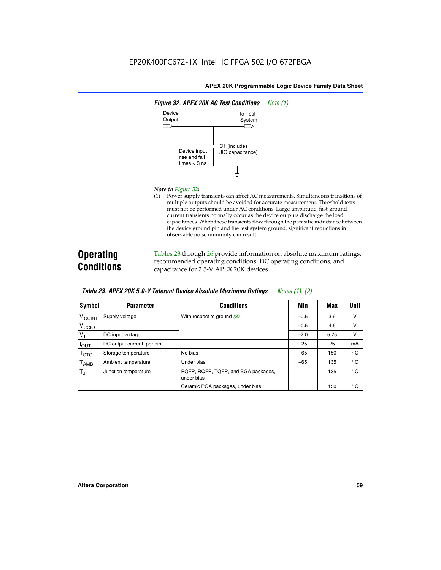

#### *Note to Figure 32:*

(1) Power supply transients can affect AC measurements. Simultaneous transitions of multiple outputs should be avoided for accurate measurement. Threshold tests must not be performed under AC conditions. Large-amplitude, fast-groundcurrent transients normally occur as the device outputs discharge the load capacitances. When these transients flow through the parasitic inductance between the device ground pin and the test system ground, significant reductions in observable noise immunity can result.

# **Operating Conditions**

Tables 23 through 26 provide information on absolute maximum ratings, recommended operating conditions, DC operating conditions, and capacitance for 2.5-V APEX 20K devices.

|                             | TADIG LU. MI LA LUN J.U-V TUIGIAIN DGVILG MUSUNUG MAANNUNI HAUNUS<br>$100103$ (1), (2) |                                                   |        |      |              |  |  |  |
|-----------------------------|----------------------------------------------------------------------------------------|---------------------------------------------------|--------|------|--------------|--|--|--|
| Symbol                      | <b>Parameter</b>                                                                       | <b>Conditions</b>                                 | Min    | Max  | <b>Unit</b>  |  |  |  |
| <b>V<sub>CCINT</sub></b>    | Supply voltage                                                                         | With respect to ground $(3)$                      | $-0.5$ | 3.6  | v            |  |  |  |
| V <sub>CCIO</sub>           |                                                                                        |                                                   | $-0.5$ | 4.6  | v            |  |  |  |
| $V_{\parallel}$             | DC input voltage                                                                       |                                                   | $-2.0$ | 5.75 | v            |  |  |  |
| $I_{\text{OUT}}$            | DC output current, per pin                                                             |                                                   | $-25$  | 25   | mA           |  |  |  |
| $\mathsf{T}_{\textsf{STG}}$ | Storage temperature                                                                    | No bias                                           | $-65$  | 150  | $^{\circ}$ C |  |  |  |
| $I_{\text{AMB}}$            | Ambient temperature                                                                    | Under bias                                        | $-65$  | 135  | $^{\circ}$ C |  |  |  |
| $T_{\rm J}$                 | Junction temperature                                                                   | PQFP, RQFP, TQFP, and BGA packages,<br>under bias |        | 135  | $^{\circ}$ C |  |  |  |
|                             |                                                                                        | Ceramic PGA packages, under bias                  |        | 150  | $^{\circ}$ C |  |  |  |

| Table 23. APEX 20K 5.0-V Tolerant Device Absolute Maximum Ratings | Notes (1), (2) |
|-------------------------------------------------------------------|----------------|
|-------------------------------------------------------------------|----------------|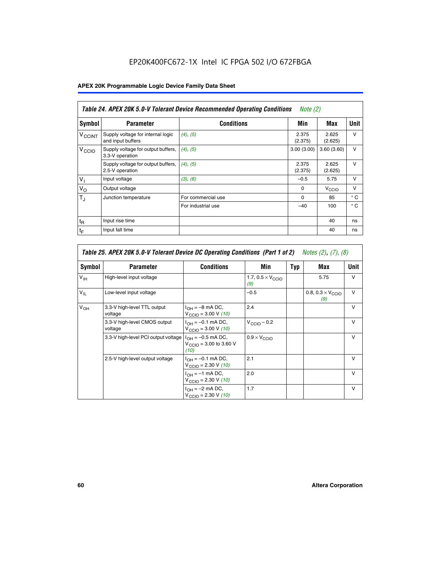# EP20K400FC672-1X Intel IC FPGA 502 I/O 672FBGA

# **APEX 20K Programmable Logic Device Family Data Sheet**

| Table 24. APEX 20K 5.0-V Tolerant Device Recommended Operating Conditions<br><i>Note</i> $(2)$ |                                                        |                    |                  |                   |              |
|------------------------------------------------------------------------------------------------|--------------------------------------------------------|--------------------|------------------|-------------------|--------------|
| <b>Symbol</b>                                                                                  | <b>Parameter</b>                                       | <b>Conditions</b>  | Min              | Max               | <b>Unit</b>  |
| <b>V<sub>CCINT</sub></b>                                                                       | Supply voltage for internal logic<br>and input buffers | $(4)$ , $(5)$      | 2.375<br>(2.375) | 2.625<br>(2.625)  | $\vee$       |
| V <sub>CCIO</sub>                                                                              | Supply voltage for output buffers,<br>3.3-V operation  | (4), (5)           | 3.00(3.00)       | 3.60(3.60)        | $\vee$       |
|                                                                                                | Supply voltage for output buffers,<br>2.5-V operation  | (4), (5)           | 2.375<br>(2.375) | 2.625<br>(2.625)  | $\vee$       |
| $V_{1}$                                                                                        | Input voltage                                          | (3), (6)           | $-0.5$           | 5.75              | $\vee$       |
| $V_{\rm O}$                                                                                    | Output voltage                                         |                    | $\Omega$         | V <sub>CCIO</sub> | $\vee$       |
| $T_{\rm J}$                                                                                    | Junction temperature                                   | For commercial use | $\Omega$         | 85                | $^{\circ}$ C |
|                                                                                                |                                                        | For industrial use | $-40$            | 100               | $^{\circ}$ C |
| $t_{R}$                                                                                        | Input rise time                                        |                    |                  | 40                | ns           |
| $t_F$                                                                                          | Input fall time                                        |                    |                  | 40                | ns           |

|                 | Table 25. APEX 20K 5.0-V Tolerant Device DC Operating Conditions (Part 1 of 2) Notes (2), (7), (8) |                                                                        |                                          |     |                                          |              |  |  |  |
|-----------------|----------------------------------------------------------------------------------------------------|------------------------------------------------------------------------|------------------------------------------|-----|------------------------------------------|--------------|--|--|--|
| Symbol          | <b>Parameter</b>                                                                                   | <b>Conditions</b>                                                      | Min                                      | Typ | Max                                      | Unit         |  |  |  |
| $V_{\text{IH}}$ | High-level input voltage                                                                           |                                                                        | 1.7, $0.5 \times V_{\text{CCIO}}$<br>(9) |     | 5.75                                     | $\mathsf{V}$ |  |  |  |
| $V_{\parallel}$ | Low-level input voltage                                                                            |                                                                        | $-0.5$                                   |     | 0.8, $0.3 \times V_{\text{CCIO}}$<br>(9) | $\mathsf{V}$ |  |  |  |
| $V_{OH}$        | 3.3-V high-level TTL output<br>voltage                                                             | $I_{OH} = -8$ mA DC,<br>$V_{\text{CCIO}} = 3.00 V (10)$                | 2.4                                      |     |                                          | $\mathsf{V}$ |  |  |  |
|                 | 3.3-V high-level CMOS output<br>voltage                                                            | $I_{OH} = -0.1$ mA DC,<br>$V_{\text{CCIO}} = 3.00 \text{ V} (10)$      | $V_{\text{CCIO}} - 0.2$                  |     |                                          | $\mathsf{v}$ |  |  |  |
|                 | 3.3-V high-level PCI output voltage                                                                | $I_{OH} = -0.5$ mA DC,<br>$V_{\text{GClO}} = 3.00$ to 3.60 V<br>(10)   | $0.9 \times V_{\text{CCIO}}$             |     |                                          | $\mathsf{V}$ |  |  |  |
|                 | 2.5-V high-level output voltage                                                                    | $I_{OH} = -0.1$ mA DC,<br>$V_{\text{CCIO}} = 2.30 \text{ V} (10)$      | 2.1                                      |     |                                          | $\mathsf{V}$ |  |  |  |
|                 |                                                                                                    | $I_{\text{OH}} = -1 \text{ mA DC},$<br>$V_{\text{CCIO}} = 2.30 V (10)$ | 2.0                                      |     |                                          | v            |  |  |  |
|                 |                                                                                                    | $I_{OH} = -2$ mA DC,<br>$V_{\text{CCIO}} = 2.30 V (10)$                | 1.7                                      |     |                                          | v            |  |  |  |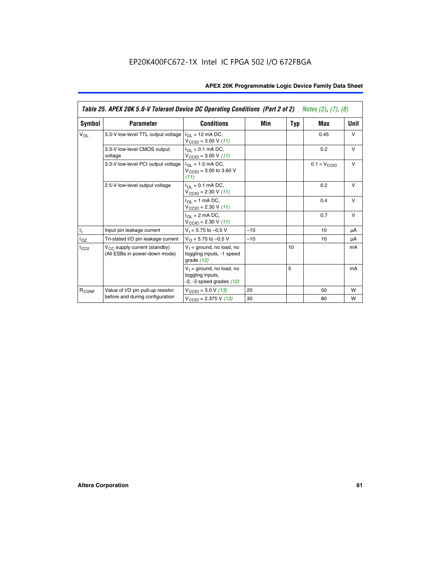|                   | Table 25. APEX 20K 5.0-V Tolerant Device DC Operating Conditions (Part 2 of 2) Notes (2), (7), (8) |                                                                                    |       |     |                              |        |  |  |
|-------------------|----------------------------------------------------------------------------------------------------|------------------------------------------------------------------------------------|-------|-----|------------------------------|--------|--|--|
| Symbol            | <b>Parameter</b>                                                                                   | <b>Conditions</b>                                                                  | Min   | Typ | Max                          | Unit   |  |  |
| $V_{OL}$          | 3.3-V low-level TTL output voltage                                                                 | $I_{\Omega}$ = 12 mA DC,<br>$V_{\text{CCIO}} = 3.00 \text{ V} (11)$                |       |     | 0.45                         | $\vee$ |  |  |
|                   | 3.3-V low-level CMOS output<br>voltage                                                             | $I_{\Omega I} = 0.1$ mA DC,<br>$V_{\text{CCIO}} = 3.00 V (11)$                     |       |     | 0.2                          | $\vee$ |  |  |
|                   | 3.3-V low-level PCI output voltage                                                                 | $I_{\Omega}$ = 1.5 mA DC,<br>$V_{CClO}$ = 3.00 to 3.60 V<br>(11)                   |       |     | $0.1 \times V_{\text{CCLO}}$ | $\vee$ |  |  |
|                   | 2.5-V low-level output voltage                                                                     | $I_{\Omega I} = 0.1$ mA DC,<br>$V_{\text{CCIO}} = 2.30 V (11)$                     |       |     | 0.2                          | $\vee$ |  |  |
|                   |                                                                                                    | $I_{\Omega}$ = 1 mA DC,<br>$V_{\text{CCIO}} = 2.30 V (11)$                         |       |     | 0.4                          | $\vee$ |  |  |
|                   |                                                                                                    | $I_{\Omega}$ = 2 mA DC,<br>$V_{\text{CCIO}} = 2.30 V (11)$                         |       |     | 0.7                          | v      |  |  |
| h,                | Input pin leakage current                                                                          | $V_1 = 5.75$ to $-0.5$ V                                                           | $-10$ |     | 10                           | μA     |  |  |
| $I_{OZ}$          | Tri-stated I/O pin leakage current                                                                 | $V_{\Omega}$ = 5.75 to -0.5 V                                                      | $-10$ |     | 10                           | μA     |  |  |
| ICCO              | $V_{CC}$ supply current (standby)<br>(All ESBs in power-down mode)                                 | $V_1$ = ground, no load, no<br>toggling inputs, -1 speed<br>grade $(12)$           |       | 10  |                              | mA     |  |  |
|                   |                                                                                                    | $V_1$ = ground, no load, no<br>toggling inputs,<br>$-2$ , $-3$ speed grades $(12)$ |       | 5   |                              | mA     |  |  |
| R <sub>CONF</sub> | Value of I/O pin pull-up resistor                                                                  | $V_{\text{CCIO}} = 3.0 V (13)$                                                     | 20    |     | 50                           | W      |  |  |
|                   | before and during configuration                                                                    | $V_{\text{CCIO}} = 2.375 \text{ V} (13)$                                           | 30    |     | 80                           | W      |  |  |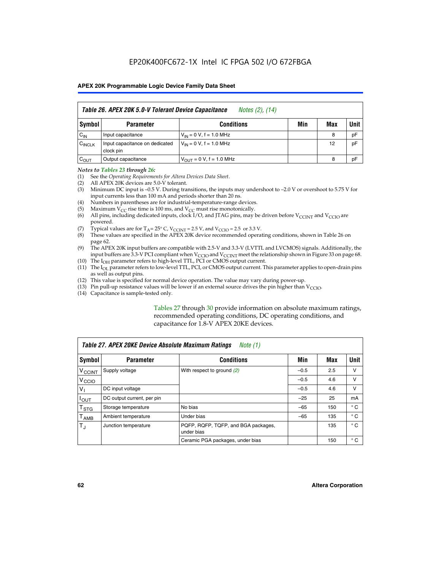| Table 26. APEX 20K 5.0-V Tolerant Device Capacitance<br>Notes (2), (14) |                                             |                                     |     |     |      |  |
|-------------------------------------------------------------------------|---------------------------------------------|-------------------------------------|-----|-----|------|--|
| Symbol                                                                  | <b>Parameter</b>                            | <b>Conditions</b>                   | Min | Max | Unit |  |
| $C_{IN}$                                                                | Input capacitance                           | $V_{1N} = 0 V$ , f = 1.0 MHz        |     | 8   | pF   |  |
| $C_{\text{INCLK}}$                                                      | Input capacitance on dedicated<br>clock pin | $V_{IN} = 0 V$ , f = 1.0 MHz        |     | 12  | pF   |  |
| $C_{OUT}$                                                               | Output capacitance                          | $V_{\text{OUT}} = 0 V, f = 1.0 MHz$ |     | 8   | pF   |  |

#### *Notes to Tables 23 through 26:*

- (1) See the *Operating Requirements for Altera Devices Data Sheet*.
- (2) All APEX 20K devices are 5.0-V tolerant.
- (3) Minimum DC input is –0.5 V. During transitions, the inputs may undershoot to –2.0 V or overshoot to 5.75 V for input currents less than 100 mA and periods shorter than 20 ns.
- (4) Numbers in parentheses are for industrial-temperature-range devices.
- (5) Maximum  $V_{CC}$  rise time is 100 ms, and  $V_{CC}$  must rise monotonically.<br>(6) All pins, including dedicated inputs, clock I/O, and JTAG pins, may b
- All pins, including dedicated inputs, clock I/O, and JTAG pins, may be driven before  $V_{\text{CCINT}}$  and  $V_{\text{CCIO}}$  are powered.
- (7) Typical values are for  $T_A = 25^\circ$  C, V<sub>CCINT</sub> = 2.5 V, and V<sub>CCIO</sub> = 2.5 or 3.3 V.<br>(8) These values are specified in the APEX 20K device recommended operat
- These values are specified in the APEX 20K device recommended operating conditions, shown in Table 26 on page 62.
- (9) The APEX 20K input buffers are compatible with 2.5-V and 3.3-V (LVTTL and LVCMOS) signals. Additionally, the input buffers are 3.3-V PCI compliant when  $V_{\text{CCIO}}$  and  $V_{\text{CCINI}}$  meet the relationship shown in Figure 33 on page 68.
- (10) The  $I<sub>OH</sub>$  parameter refers to high-level TTL, PCI or CMOS output current.
- (11) The I<sub>OL</sub> parameter refers to low-level TTL, PCI, or CMOS output current. This parameter applies to open-drain pins as well as output pins.
- (12) This value is specified for normal device operation. The value may vary during power-up.
- (13) Pin pull-up resistance values will be lower if an external source drives the pin higher than  $V_{\text{CCIO}}$ .
- (14) Capacitance is sample-tested only.

Tables 27 through 30 provide information on absolute maximum ratings, recommended operating conditions, DC operating conditions, and capacitance for 1.8-V APEX 20KE devices.

| Table 27. APEX 20KE Device Absolute Maximum Ratings<br>Note (1) |                            |                                                   |        |     |              |  |
|-----------------------------------------------------------------|----------------------------|---------------------------------------------------|--------|-----|--------------|--|
| Symbol                                                          | <b>Parameter</b>           | <b>Conditions</b>                                 | Min    | Max | Unit I       |  |
| $V_{\text{CCINT}}$                                              | Supply voltage             | With respect to ground $(2)$                      | $-0.5$ | 2.5 | v            |  |
| V <sub>CCIO</sub>                                               |                            |                                                   | $-0.5$ | 4.6 | v            |  |
| $V_{1}$                                                         | DC input voltage           |                                                   | $-0.5$ | 4.6 | v            |  |
| $I_{\text{OUT}}$                                                | DC output current, per pin |                                                   | $-25$  | 25  | mA           |  |
| $\mathsf{T}_{\text{STG}}$                                       | Storage temperature        | No bias                                           | $-65$  | 150 | $^{\circ}$ C |  |
| Т <sub>АМВ</sub>                                                | Ambient temperature        | Under bias                                        | $-65$  | 135 | $^{\circ}$ C |  |
| $\mathsf{T}_{\text{d}}$                                         | Junction temperature       | PQFP, RQFP, TQFP, and BGA packages,<br>under bias |        | 135 | $^{\circ}$ C |  |
|                                                                 |                            | Ceramic PGA packages, under bias                  |        | 150 | $^{\circ}$ C |  |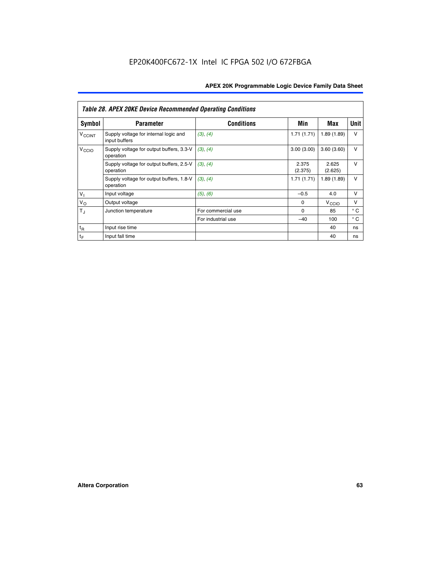|                          | <b>Table 28. APEX 20KE Device Recommended Operating Conditions</b> |                    |                  |                   |              |
|--------------------------|--------------------------------------------------------------------|--------------------|------------------|-------------------|--------------|
| <b>Symbol</b>            | <b>Parameter</b>                                                   | <b>Conditions</b>  | Min              | <b>Max</b>        | <b>Unit</b>  |
| <b>V<sub>CCINT</sub></b> | Supply voltage for internal logic and<br>input buffers             | (3), (4)           | 1.71(1.71)       | 1.89(1.89)        | $\vee$       |
| V <sub>CCIO</sub>        | Supply voltage for output buffers, 3.3-V<br>operation              | (3), (4)           | 3.00(3.00)       | 3.60(3.60)        | $\vee$       |
|                          | Supply voltage for output buffers, 2.5-V<br>operation              | (3), (4)           | 2.375<br>(2.375) | 2.625<br>(2.625)  | $\vee$       |
|                          | Supply voltage for output buffers, 1.8-V<br>operation              | (3), (4)           | 1.71(1.71)       | 1.89(1.89)        | V            |
| V <sub>1</sub>           | Input voltage                                                      | (5), (6)           | $-0.5$           | 4.0               | v            |
| $V_{\rm O}$              | Output voltage                                                     |                    | $\Omega$         | V <sub>CCIO</sub> | $\vee$       |
| $T_{\rm J}$              | Junction temperature                                               | For commercial use | $\Omega$         | 85                | $^{\circ}$ C |
|                          |                                                                    | For industrial use | $-40$            | 100               | $^{\circ}$ C |
| $t_{R}$                  | Input rise time                                                    |                    |                  | 40                | ns           |
| $t_F$                    | Input fall time                                                    |                    |                  | 40                | ns           |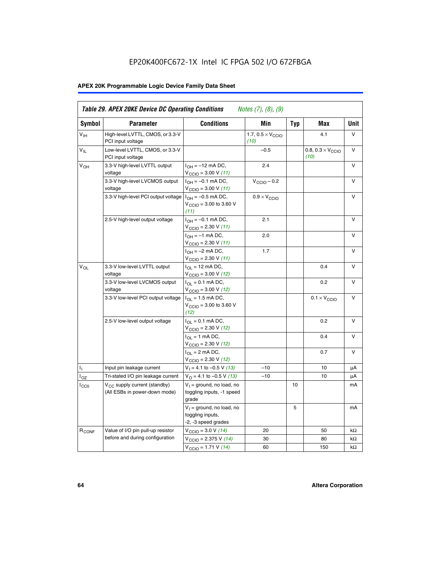# EP20K400FC672-1X Intel IC FPGA 502 I/O 672FBGA

# **APEX 20K Programmable Logic Device Family Data Sheet**

| <b>Symbol</b>              | <b>Parameter</b>                                                   | <b>Conditions</b>                                                                        | Min                                       | <b>Typ</b> | Max                                       | Unit      |
|----------------------------|--------------------------------------------------------------------|------------------------------------------------------------------------------------------|-------------------------------------------|------------|-------------------------------------------|-----------|
| $V_{\text{IH}}$            | High-level LVTTL, CMOS, or 3.3-V<br>PCI input voltage              |                                                                                          | 1.7, $0.5 \times V_{\text{CCIO}}$<br>(10) |            | 4.1                                       | V         |
| $\mathsf{V}_{\mathsf{IL}}$ | Low-level LVTTL, CMOS, or 3.3-V<br>PCI input voltage               |                                                                                          | $-0.5$                                    |            | 0.8, $0.3 \times V_{\text{CCIO}}$<br>(10) | $\vee$    |
| $V_{OH}$                   | 3.3-V high-level LVTTL output<br>voltage                           | $I_{OH} = -12$ mA DC,<br>$V_{\text{CCIO}} = 3.00 V (11)$                                 | 2.4                                       |            |                                           | v         |
|                            | 3.3-V high-level LVCMOS output<br>voltage                          | $I_{OH} = -0.1$ mA DC,<br>$V_{\text{CCIO}} = 3.00 V (11)$                                | $V_{\text{CGIO}} - 0.2$                   |            |                                           | v         |
|                            | 3.3-V high-level PCI output voltage $ I_{OH} = -0.5$ mA DC,        | $V_{\text{CGIO}} = 3.00$ to 3.60 V<br>(11)                                               | $0.9 \times V_{\text{CCIO}}$              |            |                                           | V         |
|                            | 2.5-V high-level output voltage                                    | $I_{OH} = -0.1$ mA DC,<br>$V_{\text{CCIO}} = 2.30 V (11)$                                | 2.1                                       |            |                                           | v         |
|                            |                                                                    | $I_{OH} = -1$ mA DC,<br>$V_{\text{CCIO}} = 2.30 V (11)$                                  | 2.0                                       |            |                                           | v         |
|                            |                                                                    | $I_{OH} = -2$ mA DC,<br>$V_{\text{CCIO}}$ = 2.30 V (11)                                  | 1.7                                       |            |                                           | V         |
| $V_{OL}$                   | 3.3-V low-level LVTTL output<br>voltage                            | $I_{\Omega}$ = 12 mA DC,<br>$V_{\text{CCIO}} = 3.00 V (12)$                              |                                           |            | 0.4                                       | v         |
|                            | 3.3-V low-level LVCMOS output<br>voltage                           | $I_{\Omega} = 0.1$ mA DC,<br>$V_{\text{CCIO}} = 3.00 V (12)$                             |                                           |            | 0.2                                       | $\vee$    |
|                            | 3.3-V low-level PCI output voltage                                 | $I_{\Omega}$ = 1.5 mA DC,<br>$V_{\text{CCIO}} = 3.00 \text{ to } 3.60 \text{ V}$<br>(12) |                                           |            | $0.1 \times V_{\text{CCIO}}$              | v         |
|                            | 2.5-V low-level output voltage                                     | $I_{\Omega} = 0.1$ mA DC,<br>$V_{\text{CCIO}}$ = 2.30 V (12)                             |                                           |            | 0.2                                       | V         |
|                            |                                                                    | $I_{\Omega} = 1$ mA DC,<br>$V_{\text{CCIO}}$ = 2.30 V (12)                               |                                           |            | 0.4                                       | v         |
|                            |                                                                    | $I_{OL}$ = 2 mA DC,<br>$V_{\text{CCIO}} = 2.30 V (12)$                                   |                                           |            | 0.7                                       | v         |
| ъ,                         | Input pin leakage current                                          | $V_1 = 4.1$ to -0.5 V (13)                                                               | $-10$                                     |            | 10                                        | μA        |
| $I_{OZ}$                   | Tri-stated I/O pin leakage current                                 | $V_O = 4.1$ to -0.5 V (13)                                                               | $-10$                                     |            | 10                                        | μA        |
| $I_{CC0}$                  | $V_{CC}$ supply current (standby)<br>(All ESBs in power-down mode) | $V_1$ = ground, no load, no<br>toggling inputs, -1 speed<br>grade                        |                                           | 10         |                                           | mA        |
|                            |                                                                    | $V_1$ = ground, no load, no<br>toggling inputs,<br>-2, -3 speed grades                   |                                           | 5          |                                           | mA        |
| R <sub>CONF</sub>          | Value of I/O pin pull-up resistor                                  | $V_{\text{CCIO}} = 3.0 V (14)$                                                           | 20                                        |            | 50                                        | $k\Omega$ |
|                            | before and during configuration                                    | $V_{\text{CGIO}} = 2.375 V (14)$                                                         | 30                                        |            | 80                                        | kΩ        |
|                            |                                                                    | $V_{\text{CCIO}} = 1.71 V (14)$                                                          | 60                                        |            | 150                                       | $k\Omega$ |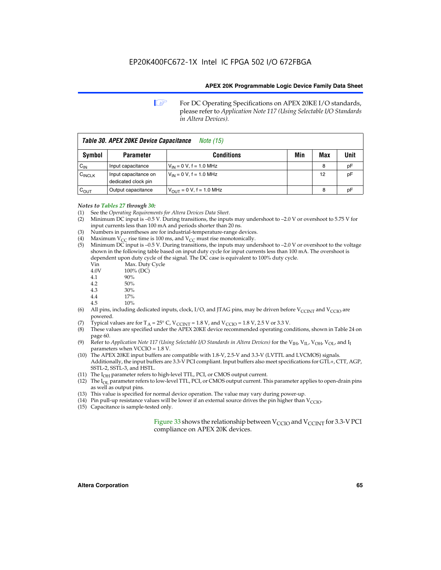**1 For DC Operating Specifications on APEX 20KE I/O standards,** please refer to *Application Note 117 (Using Selectable I/O Standards in Altera Devices).*

| Table 30. APEX 20KE Device Capacitance<br><i>Note</i> (15) |                                             |                                |     |     |      |  |  |
|------------------------------------------------------------|---------------------------------------------|--------------------------------|-----|-----|------|--|--|
| Symbol                                                     | <b>Parameter</b>                            | <b>Conditions</b>              | Min | Max | Unit |  |  |
| $C_{IN}$                                                   | Input capacitance                           | $V_{IN} = 0 V$ , f = 1.0 MHz   |     | 8   | рF   |  |  |
| $C_{\text{INCLK}}$                                         | Input capacitance on<br>dedicated clock pin | $V_{IN} = 0 V$ , f = 1.0 MHz   |     | 12  | pF   |  |  |
| $C_{\text{OUT}}$                                           | Output capacitance                          | $V_{OUIT} = 0 V$ , f = 1.0 MHz |     | 8   | рF   |  |  |

#### *Notes to Tables 27 through 30:*

- (1) See the *Operating Requirements for Altera Devices Data Sheet*.
- (2) Minimum DC input is –0.5 V. During transitions, the inputs may undershoot to –2.0 V or overshoot to 5.75 V for input currents less than 100 mA and periods shorter than 20 ns.
- (3) Numbers in parentheses are for industrial-temperature-range devices.
- (4) Maximum  $V_{CC}$  rise time is 100 ms, and  $V_{CC}$  must rise monotonically.<br>(5) Minimum DC input is -0.5 V. During transitions, the inputs may und
- Minimum DC input is  $-0.5$  V. During transitions, the inputs may undershoot to  $-2.0$  V or overshoot to the voltage shown in the following table based on input duty cycle for input currents less than 100 mA. The overshoot is dependent upon duty cycle of the signal. The DC case is equivalent to 100% duty cycle.

| Vin  | Max. Duty Cycle |
|------|-----------------|
| 4.0V | 100% (DC)       |
| 4.1  | 90%             |
| 4.2  | 50%             |
| 4.3  | 30%             |
|      |                 |

- 4.4  $17\%$ <br>4.5  $10\%$
- 10%
- (6) All pins, including dedicated inputs, clock, I/O, and JTAG pins, may be driven before  $V_{\text{CCINT}}$  and  $V_{\text{CCIO}}$  are powered.
- (7) Typical values are for  $T_A = 25^\circ$  C, V<sub>CCINT</sub> = 1.8 V, and V<sub>CCIO</sub> = 1.8 V, 2.5 V or 3.3 V.
- (8) These values are specified under the APEX 20KE device recommended operating conditions, shown in Table 24 on page 60.
- (9) Refer to *Application Note 117 (Using Selectable I/O Standards in Altera Devices)* for the V<sub>IH</sub>, V<sub>IL</sub>, V<sub>OH</sub>, V<sub>OL</sub>, and I<sub>I</sub> parameters when VCCIO = 1.8 V.
- (10) The APEX 20KE input buffers are compatible with 1.8-V, 2.5-V and 3.3-V (LVTTL and LVCMOS) signals. Additionally, the input buffers are 3.3-V PCI compliant. Input buffers also meet specifications for GTL+, CTT, AGP, SSTL-2, SSTL-3, and HSTL.
- (11) The  $I_{OH}$  parameter refers to high-level TTL, PCI, or CMOS output current.
- (12) The I<sub>OL</sub> parameter refers to low-level TTL, PCI, or CMOS output current. This parameter applies to open-drain pins as well as output pins.
- (13) This value is specified for normal device operation. The value may vary during power-up.
- (14) Pin pull-up resistance values will be lower if an external source drives the pin higher than  $V_{CCIO}$ .
- (15) Capacitance is sample-tested only.

Figure 33 shows the relationship between  $V_{\text{CCIO}}$  and  $V_{\text{CCINT}}$  for 3.3-V PCI compliance on APEX 20K devices.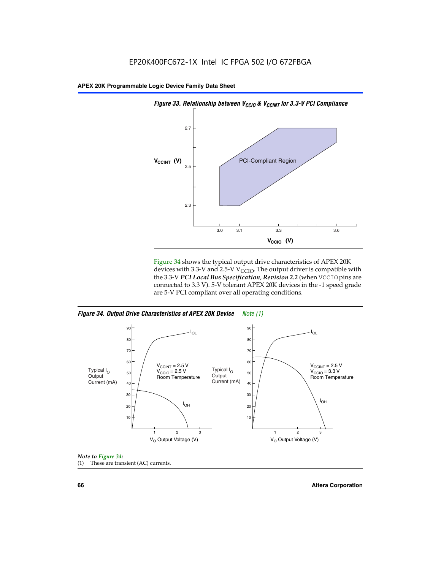

Figure 34 shows the typical output drive characteristics of APEX 20K devices with 3.3-V and 2.5-V V<sub>CCIO</sub>. The output driver is compatible with the 3.3-V *PCI Local Bus Specification, Revision 2.2* (when VCCIO pins are connected to 3.3 V). 5-V tolerant APEX 20K devices in the -1 speed grade are 5-V PCI compliant over all operating conditions.

*Figure 34. Output Drive Characteristics of APEX 20K Device Note (1)*





**66 Altera Corporation**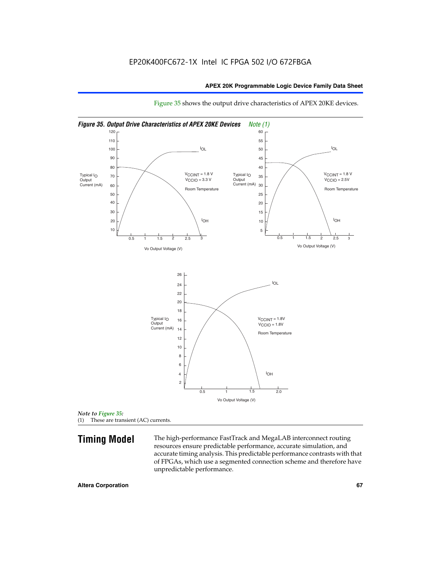

Figure 35 shows the output drive characteristics of APEX 20KE devices.

*Note to Figure 35:* (1) These are transient (AC) currents.

**Timing Model** The high-performance FastTrack and MegaLAB interconnect routing resources ensure predictable performance, accurate simulation, and accurate timing analysis. This predictable performance contrasts with that of FPGAs, which use a segmented connection scheme and therefore have unpredictable performance.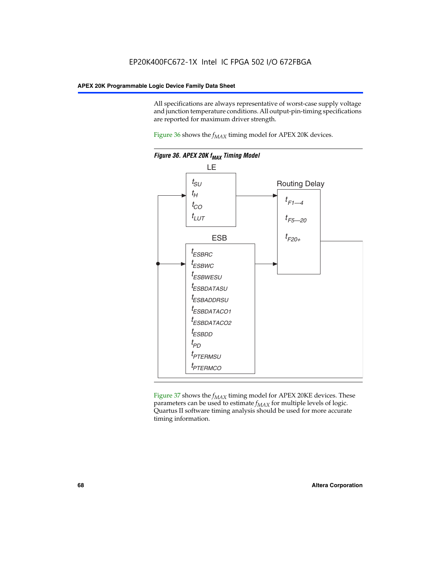All specifications are always representative of worst-case supply voltage and junction temperature conditions. All output-pin-timing specifications are reported for maximum driver strength.

Figure  $36$  shows the  $f_{MAX}$  timing model for APEX 20K devices.



Figure 37 shows the  $f_{MAX}$  timing model for APEX 20KE devices. These parameters can be used to estimate  $f_{MAX}$  for multiple levels of logic. Quartus II software timing analysis should be used for more accurate timing information.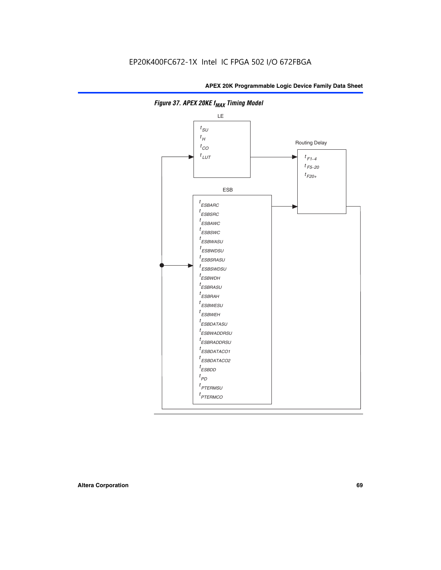

**Figure 37. APEX 20KE f<sub>MAX</sub> Timing Model**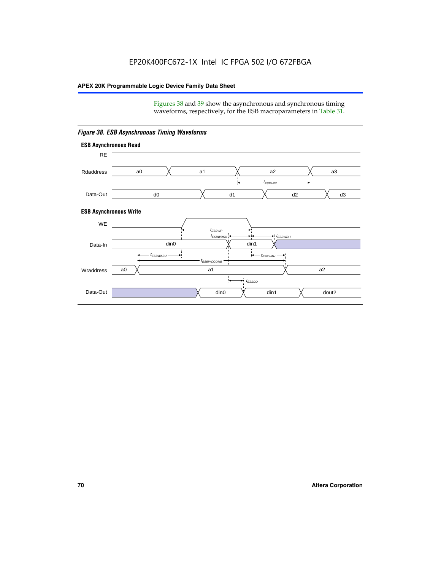Figures 38 and 39 show the asynchronous and synchronous timing waveforms, respectively, for the ESB macroparameters in Table 31.



*Figure 38. ESB Asynchronous Timing Waveforms*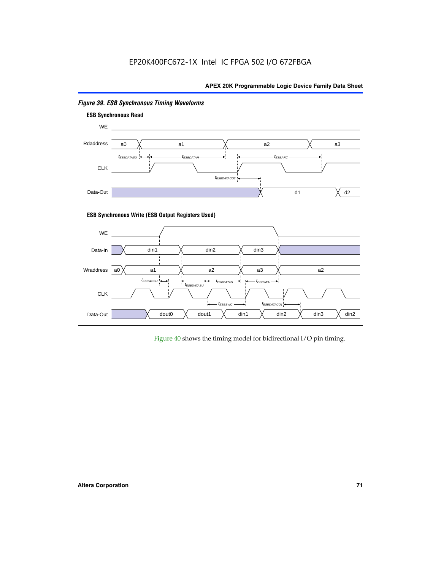

# *Figure 39. ESB Synchronous Timing Waveforms*

# **ESB Synchronous Write (ESB Output Registers Used)**



Figure 40 shows the timing model for bidirectional I/O pin timing.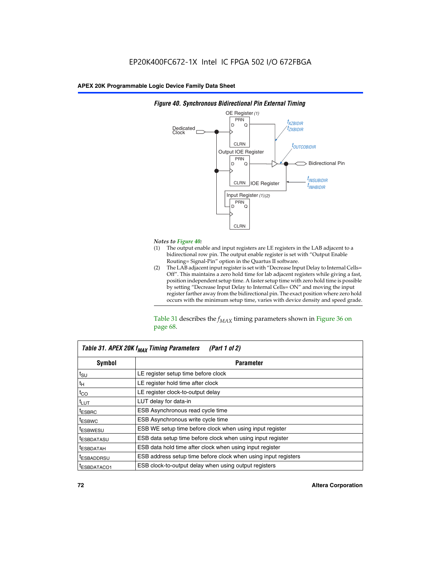

### *Figure 40. Synchronous Bidirectional Pin External Timing*

# *Notes to Figure 40:*

- The output enable and input registers are LE registers in the LAB adjacent to a bidirectional row pin. The output enable register is set with "Output Enable Routing= Signal-Pin" option in the Quartus II software.
- (2) The LAB adjacent input register is set with "Decrease Input Delay to Internal Cells= Off". This maintains a zero hold time for lab adjacent registers while giving a fast, position independent setup time. A faster setup time with zero hold time is possible by setting "Decrease Input Delay to Internal Cells= ON" and moving the input register farther away from the bidirectional pin. The exact position where zero hold occurs with the minimum setup time, varies with device density and speed grade.

Table 31 describes the  $f_{MAX}$  timing parameters shown in Figure 36 on page 68.

| Table 31. APEX 20K f <sub>MAX</sub> Timing Parameters<br>(Part 1 of 2) |                                                                |  |  |  |  |
|------------------------------------------------------------------------|----------------------------------------------------------------|--|--|--|--|
| Symbol                                                                 | <b>Parameter</b><br>LE register setup time before clock        |  |  |  |  |
| $t_{\text{SU}}$                                                        |                                                                |  |  |  |  |
| $t_H$                                                                  | LE register hold time after clock                              |  |  |  |  |
| $t_{CO}$                                                               | LE register clock-to-output delay                              |  |  |  |  |
| t <sub>LUT</sub>                                                       | LUT delay for data-in                                          |  |  |  |  |
| <sup>t</sup> ESBRC                                                     | ESB Asynchronous read cycle time                               |  |  |  |  |
| <sup>t</sup> ESBWC                                                     | ESB Asynchronous write cycle time                              |  |  |  |  |
| <sup>t</sup> ESBWESU                                                   | ESB WE setup time before clock when using input register       |  |  |  |  |
| <sup>t</sup> ESBDATASU                                                 | ESB data setup time before clock when using input register     |  |  |  |  |
| <sup>t</sup> ESBDATAH                                                  | ESB data hold time after clock when using input register       |  |  |  |  |
| <sup>t</sup> ESBADDRSU                                                 | ESB address setup time before clock when using input registers |  |  |  |  |
| ESBDATACO1                                                             | ESB clock-to-output delay when using output registers          |  |  |  |  |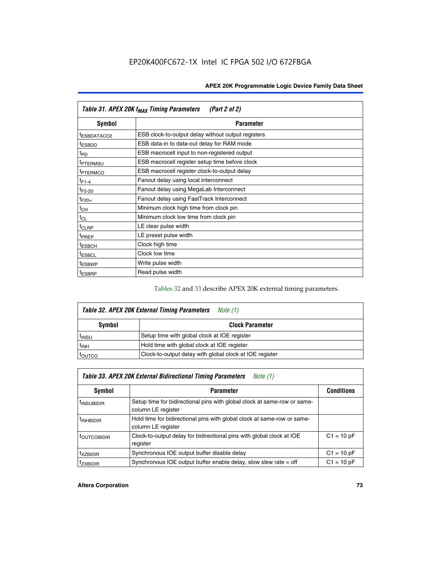| Table 31. APEX 20K f <sub>MAX</sub> Timing Parameters<br>(Part 2 of 2) |                                                    |  |  |  |  |
|------------------------------------------------------------------------|----------------------------------------------------|--|--|--|--|
| Symbol                                                                 | <b>Parameter</b>                                   |  |  |  |  |
| t <sub>ESBDATACO2</sub>                                                | ESB clock-to-output delay without output registers |  |  |  |  |
| <sup>t</sup> ESBDD                                                     | ESB data-in to data-out delay for RAM mode         |  |  |  |  |
| t <sub>PD</sub>                                                        | ESB macrocell input to non-registered output       |  |  |  |  |
| <sup>t</sup> PTERMSU                                                   | ESB macrocell register setup time before clock     |  |  |  |  |
| <sup>t</sup> PTERMCO                                                   | ESB macrocell register clock-to-output delay       |  |  |  |  |
| $t_{F1-4}$                                                             | Fanout delay using local interconnect              |  |  |  |  |
| $t_{F5-20}$                                                            | Fanout delay using MegaLab Interconnect            |  |  |  |  |
| $t_{F20+}$                                                             | Fanout delay using FastTrack Interconnect          |  |  |  |  |
| $t_{CH}$                                                               | Minimum clock high time from clock pin             |  |  |  |  |
| $t_{CL}$                                                               | Minimum clock low time from clock pin              |  |  |  |  |
| t <sub>CLRP</sub>                                                      | LE clear pulse width                               |  |  |  |  |
| t <sub>PREP</sub>                                                      | LE preset pulse width                              |  |  |  |  |
| <sup>t</sup> ESBCH                                                     | Clock high time                                    |  |  |  |  |
| <sup>t</sup> ESBCL                                                     | Clock low time                                     |  |  |  |  |
| <sup>t</sup> ESBWP                                                     | Write pulse width                                  |  |  |  |  |
| <sup>t</sup> ESBRP                                                     | Read pulse width                                   |  |  |  |  |

## Tables 32 and 33 describe APEX 20K external timing parameters.

| Table 32. APEX 20K External Timing Parameters<br>Note (1) |                                                         |  |  |  |  |
|-----------------------------------------------------------|---------------------------------------------------------|--|--|--|--|
| Symbol                                                    | <b>Clock Parameter</b>                                  |  |  |  |  |
| <sup>t</sup> insu                                         | Setup time with global clock at IOE register            |  |  |  |  |
| $t_{\mathsf{INH}}$                                        | Hold time with global clock at IOE register             |  |  |  |  |
| toutco                                                    | Clock-to-output delay with global clock at IOE register |  |  |  |  |

| Table 33. APEX 20K External Bidirectional Timing Parameters<br>Note (1) |                                                                                                |              |  |  |  |  |
|-------------------------------------------------------------------------|------------------------------------------------------------------------------------------------|--------------|--|--|--|--|
| Symbol                                                                  | <b>Conditions</b><br><b>Parameter</b>                                                          |              |  |  |  |  |
| <sup>I</sup> INSUBIDIR                                                  | Setup time for bidirectional pins with global clock at same-row or same-<br>column LE register |              |  |  |  |  |
| <sup>t</sup> INHBIDIR                                                   | Hold time for bidirectional pins with global clock at same-row or same-<br>column LE register  |              |  |  |  |  |
| <sup>t</sup> OUTCOBIDIR                                                 | Clock-to-output delay for bidirectional pins with global clock at IOE<br>register              | $C1 = 10 pF$ |  |  |  |  |
| <sup>T</sup> XZBIDIR                                                    | Synchronous IOE output buffer disable delay                                                    | $C1 = 10 pF$ |  |  |  |  |
| <sup>I</sup> ZXBIDIR                                                    | Synchronous IOE output buffer enable delay, slow slew rate $=$ off                             | $C1 = 10 pF$ |  |  |  |  |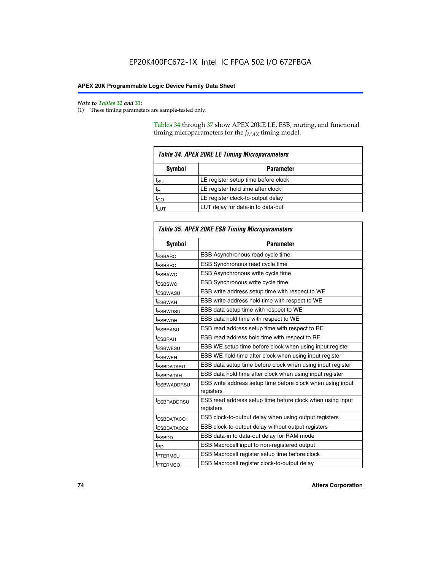#### *Note to Tables 32 and 33:*

(1) These timing parameters are sample-tested only.

Tables 34 through 37 show APEX 20KE LE, ESB, routing, and functional timing microparameters for the  $f_{MAX}$  timing model.

| <b>Table 34. APEX 20KE LE Timing Microparameters</b> |                                     |  |  |  |  |
|------------------------------------------------------|-------------------------------------|--|--|--|--|
| Symbol<br><b>Parameter</b>                           |                                     |  |  |  |  |
| t <sub>SU</sub>                                      | LE register setup time before clock |  |  |  |  |
| $t_H$                                                | LE register hold time after clock   |  |  |  |  |
| $t_{CO}$                                             | LE register clock-to-output delay   |  |  |  |  |
| <b>LUT</b>                                           | LUT delay for data-in to data-out   |  |  |  |  |

| <b>Table 35. APEX 20KE ESB Timing Microparameters</b> |                                                            |  |  |  |
|-------------------------------------------------------|------------------------------------------------------------|--|--|--|
| Symbol                                                | <b>Parameter</b>                                           |  |  |  |
| <sup>t</sup> ESBARC                                   | ESB Asynchronous read cycle time                           |  |  |  |
| <sup>t</sup> ESBSRC                                   | ESB Synchronous read cycle time                            |  |  |  |
| <b><i>ESBAWC</i></b>                                  | ESB Asynchronous write cycle time                          |  |  |  |
| t <sub>ESBSWC</sub>                                   | ESB Synchronous write cycle time                           |  |  |  |
| t <sub>ESBWASU</sub>                                  | ESB write address setup time with respect to WE            |  |  |  |
| <sup>t</sup> ESBWAH                                   | ESB write address hold time with respect to WE             |  |  |  |
| t <sub>ESBWDSU</sub>                                  | ESB data setup time with respect to WE                     |  |  |  |
| <sup>t</sup> ESBWDH                                   | ESB data hold time with respect to WE                      |  |  |  |
| tESBRASU                                              | ESB read address setup time with respect to RE             |  |  |  |
| <sup>t</sup> ESBRAH                                   | ESB read address hold time with respect to RE              |  |  |  |
| <i><b>ESBWESU</b></i>                                 | ESB WE setup time before clock when using input register   |  |  |  |
| t <sub>ESBWEH</sub>                                   | ESB WE hold time after clock when using input register     |  |  |  |
| <b><i>t</i>ESBDATASU</b>                              | ESB data setup time before clock when using input register |  |  |  |
| t <sub>ESBDATAH</sub>                                 | ESB data hold time after clock when using input register   |  |  |  |
| t <sub>ESBWADDRSU</sub>                               | ESB write address setup time before clock when using input |  |  |  |
|                                                       | registers                                                  |  |  |  |
| <i><b>LESBRADDRSU</b></i>                             | ESB read address setup time before clock when using input  |  |  |  |
|                                                       | registers                                                  |  |  |  |
| t <sub>ESBDATACO1</sub>                               | ESB clock-to-output delay when using output registers      |  |  |  |
| t <sub>ESBDATACO2</sub>                               | ESB clock-to-output delay without output registers         |  |  |  |
| $t_{ESBDD}$                                           | ESB data-in to data-out delay for RAM mode                 |  |  |  |
| $t_{\mathsf{PD}}$                                     | ESB Macrocell input to non-registered output               |  |  |  |
| t <sub>PTERMSU</sub>                                  | ESB Macrocell register setup time before clock             |  |  |  |
| t <sub>PTERMCO</sub>                                  | ESB Macrocell register clock-to-output delay               |  |  |  |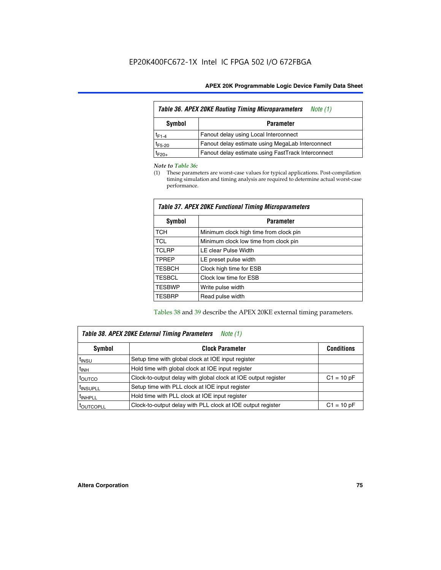| <b>Table 36. APEX 20KE Routing Timing Microparameters</b><br>Note (1) |                                                    |  |  |  |  |
|-----------------------------------------------------------------------|----------------------------------------------------|--|--|--|--|
| Symbol<br><b>Parameter</b>                                            |                                                    |  |  |  |  |
| $t_{F1-4}$                                                            | Fanout delay using Local Interconnect              |  |  |  |  |
| $t_{F5-20}$                                                           | Fanout delay estimate using MegaLab Interconnect   |  |  |  |  |
| $t_{F20+}$                                                            | Fanout delay estimate using FastTrack Interconnect |  |  |  |  |

#### *Note to Table 36:*

(1) These parameters are worst-case values for typical applications. Post-compilation timing simulation and timing analysis are required to determine actual worst-case performance.

| Symbol        | <b>Parameter</b>                       |  |  |  |  |  |
|---------------|----------------------------------------|--|--|--|--|--|
| <b>TCH</b>    | Minimum clock high time from clock pin |  |  |  |  |  |
| <b>TCL</b>    | Minimum clock low time from clock pin  |  |  |  |  |  |
| <b>TCLRP</b>  | LE clear Pulse Width                   |  |  |  |  |  |
| <b>TPREP</b>  | LE preset pulse width                  |  |  |  |  |  |
| <b>TESBCH</b> | Clock high time for ESB                |  |  |  |  |  |
| <b>TESBCL</b> | Clock low time for ESB                 |  |  |  |  |  |
| <b>TESBWP</b> | Write pulse width                      |  |  |  |  |  |
| <b>TESBRP</b> | Read pulse width                       |  |  |  |  |  |

### *Table 37. APEX 20KE Functional Timing Microparameters*

Tables 38 and 39 describe the APEX 20KE external timing parameters.

| Table 38. APEX 20KE External Timing Parameters<br>Note (1) |                                                                |              |  |  |  |
|------------------------------------------------------------|----------------------------------------------------------------|--------------|--|--|--|
| <b>Clock Parameter</b><br>Symbol<br><b>Conditions</b>      |                                                                |              |  |  |  |
| <sup>t</sup> insu                                          | Setup time with global clock at IOE input register             |              |  |  |  |
| $t_{\text{INH}}$                                           | Hold time with global clock at IOE input register              |              |  |  |  |
| toutco                                                     | Clock-to-output delay with global clock at IOE output register | $C1 = 10 pF$ |  |  |  |
| <sup>t</sup> INSUPLL                                       | Setup time with PLL clock at IOE input register                |              |  |  |  |
| <sup>t</sup> INHPLL                                        | Hold time with PLL clock at IOE input register                 |              |  |  |  |
| <sup>I</sup> OUTCOPLL                                      | Clock-to-output delay with PLL clock at IOE output register    | $C1 = 10 pF$ |  |  |  |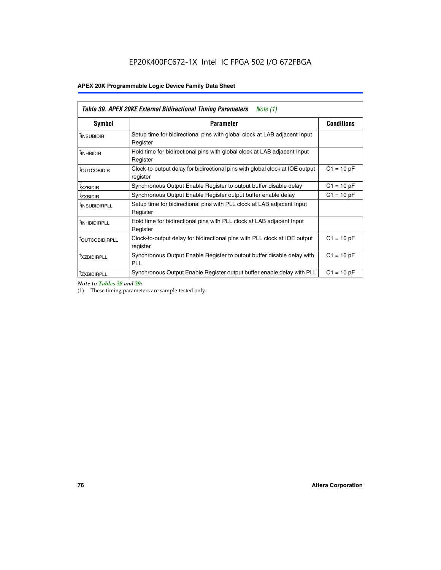| Table 39. APEX 20KE External Bidirectional Timing Parameters<br>Note $(1)$ |                                                                                                          |              |  |  |  |  |  |  |
|----------------------------------------------------------------------------|----------------------------------------------------------------------------------------------------------|--------------|--|--|--|--|--|--|
| <b>Symbol</b>                                                              | <b>Conditions</b><br><b>Parameter</b>                                                                    |              |  |  |  |  |  |  |
| <sup>t</sup> INSUBIDIR                                                     | Setup time for bidirectional pins with global clock at LAB adjacent Input<br>Register                    |              |  |  |  |  |  |  |
| <sup>t</sup> INHBIDIR                                                      | Hold time for bidirectional pins with global clock at LAB adjacent Input<br>Register                     |              |  |  |  |  |  |  |
| <b><i>LOUTCOBIDIR</i></b>                                                  | $C1 = 10 pF$<br>Clock-to-output delay for bidirectional pins with global clock at IOE output<br>register |              |  |  |  |  |  |  |
| t <sub>XZBIDIR</sub>                                                       | $C1 = 10 pF$<br>Synchronous Output Enable Register to output buffer disable delay                        |              |  |  |  |  |  |  |
| <sup>t</sup> zxbidir                                                       | Synchronous Output Enable Register output buffer enable delay                                            | $C1 = 10 pF$ |  |  |  |  |  |  |
| <sup>I</sup> INSUBIDIRPLL                                                  | Setup time for bidirectional pins with PLL clock at LAB adjacent Input<br>Register                       |              |  |  |  |  |  |  |
| <sup>t</sup> INHBIDIRPLL                                                   | Hold time for bidirectional pins with PLL clock at LAB adjacent Input<br>Register                        |              |  |  |  |  |  |  |
| <b><i>LOUTCOBIDIRPLL</i></b>                                               | Clock-to-output delay for bidirectional pins with PLL clock at IOE output<br>register                    | $C1 = 10 pF$ |  |  |  |  |  |  |
| <sup>t</sup> XZBIDIRPLL                                                    | Synchronous Output Enable Register to output buffer disable delay with<br><b>PLL</b>                     | $C1 = 10 pF$ |  |  |  |  |  |  |
| <sup>I</sup> ZXBIDIRPLL                                                    | Synchronous Output Enable Register output buffer enable delay with PLL                                   | $C1 = 10 pF$ |  |  |  |  |  |  |

*Note to Tables 38 and 39:*

(1) These timing parameters are sample-tested only.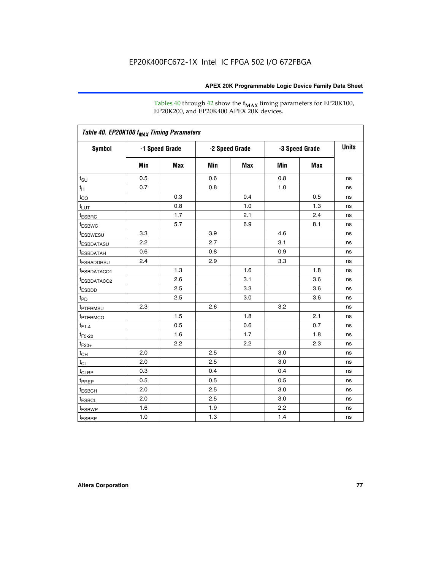Tables 40 through 42 show the **f<sub>MAX</sub>** timing parameters for EP20K100, EP20K200, and EP20K400 APEX 20K devices.

| Table 40. EP20K100 f <sub>MAX</sub> Timing Parameters |                |     |                |     |                |            |              |
|-------------------------------------------------------|----------------|-----|----------------|-----|----------------|------------|--------------|
| <b>Symbol</b>                                         | -1 Speed Grade |     | -2 Speed Grade |     | -3 Speed Grade |            | <b>Units</b> |
|                                                       | Min            | Max | Min            | Max | Min            | <b>Max</b> |              |
| t <sub>su</sub>                                       | 0.5            |     | 0.6            |     | 0.8            |            | ns           |
| $t_H$                                                 | 0.7            |     | 0.8            |     | 1.0            |            | ns           |
| $t_{CO}$                                              |                | 0.3 |                | 0.4 |                | 0.5        | ns           |
| $t_{LUT}$                                             |                | 0.8 |                | 1.0 |                | 1.3        | ns           |
| <sup>t</sup> ESBRC                                    |                | 1.7 |                | 2.1 |                | 2.4        | ns           |
| t <sub>ESBWC</sub>                                    |                | 5.7 |                | 6.9 |                | 8.1        | ns           |
| t <sub>ESBWESU</sub>                                  | 3.3            |     | 3.9            |     | 4.6            |            | ns           |
| <sup>t</sup> ESBDATASU                                | 2.2            |     | 2.7            |     | 3.1            |            | ns           |
| <sup>t</sup> ESBDATAH                                 | 0.6            |     | 0.8            |     | 0.9            |            | ns           |
| <sup>t</sup> ESBADDRSU                                | 2.4            |     | 2.9            |     | 3.3            |            | ns           |
| <sup>t</sup> ESBDATACO1                               |                | 1.3 |                | 1.6 |                | 1.8        | ns           |
| <sup>t</sup> ESBDATACO2                               |                | 2.6 |                | 3.1 |                | 3.6        | ns           |
| t <sub>ESBDD</sub>                                    |                | 2.5 |                | 3.3 |                | 3.6        | ns           |
| $t_{PD}$                                              |                | 2.5 |                | 3.0 |                | 3.6        | ns           |
| <b>TPTERMSU</b>                                       | 2.3            |     | 2.6            |     | 3.2            |            | ns           |
| t <sub>PTERMCO</sub>                                  |                | 1.5 |                | 1.8 |                | 2.1        | ns           |
| $t_{F1-4}$                                            |                | 0.5 |                | 0.6 |                | 0.7        | ns           |
| $t_{F5-20}$                                           |                | 1.6 |                | 1.7 |                | 1.8        | ns           |
| $t_{F20+}$                                            |                | 2.2 |                | 2.2 |                | 2.3        | ns           |
| $t_{\mathsf{CH}}$                                     | 2.0            |     | 2.5            |     | 3.0            |            | ns           |
| $t_{CL}$                                              | 2.0            |     | 2.5            |     | 3.0            |            | ns           |
| t <sub>CLRP</sub>                                     | 0.3            |     | 0.4            |     | 0.4            |            | ns           |
| t <sub>PREP</sub>                                     | 0.5            |     | 0.5            |     | 0.5            |            | ns           |
| <sup>t</sup> ESBCH                                    | 2.0            |     | 2.5            |     | 3.0            |            | ns           |
| <b><i>LESBCL</i></b>                                  | 2.0            |     | 2.5            |     | 3.0            |            | ns           |
| t <sub>ESBWP</sub>                                    | 1.6            |     | 1.9            |     | 2.2            |            | ns           |
| $t_{ESBRP}$                                           | 1.0            |     | 1.3            |     | 1.4            |            | ns           |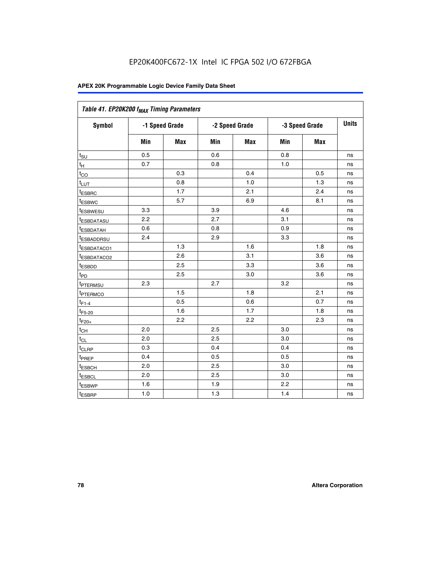| Table 41. EP20K200 f <sub>MAX</sub> Timing Parameters |                |     |     |                |     |                |    |
|-------------------------------------------------------|----------------|-----|-----|----------------|-----|----------------|----|
| Symbol                                                | -1 Speed Grade |     |     | -2 Speed Grade |     | -3 Speed Grade |    |
|                                                       | Min            | Max | Min | <b>Max</b>     | Min | Max            |    |
| $t_{\text{SU}}$                                       | 0.5            |     | 0.6 |                | 0.8 |                | ns |
| $t_H$                                                 | 0.7            |     | 0.8 |                | 1.0 |                | ns |
| $t_{CO}$                                              |                | 0.3 |     | 0.4            |     | 0.5            | ns |
| $t_{LUT}$                                             |                | 0.8 |     | 1.0            |     | 1.3            | ns |
| t <sub>ESBRC</sub>                                    |                | 1.7 |     | 2.1            |     | 2.4            | ns |
| t <sub>ESBWC</sub>                                    |                | 5.7 |     | 6.9            |     | 8.1            | ns |
| t <sub>ESBWESU</sub>                                  | 3.3            |     | 3.9 |                | 4.6 |                | ns |
| <sup>t</sup> ESBDATASU                                | 2.2            |     | 2.7 |                | 3.1 |                | ns |
| t <sub>ESBDATAH</sub>                                 | 0.6            |     | 0.8 |                | 0.9 |                | ns |
| t <sub>ESBADDRSU</sub>                                | 2.4            |     | 2.9 |                | 3.3 |                | ns |
| <u>t<sub>ESBDATACO1</sub></u>                         |                | 1.3 |     | 1.6            |     | 1.8            | ns |
| <sup>t</sup> ESBDATACO2                               |                | 2.6 |     | 3.1            |     | 3.6            | ns |
| t <sub>ESBDD</sub>                                    |                | 2.5 |     | 3.3            |     | 3.6            | ns |
| t <sub>PD</sub>                                       |                | 2.5 |     | 3.0            |     | 3.6            | ns |
| t <sub>PTERMSU</sub>                                  | 2.3            |     | 2.7 |                | 3.2 |                | ns |
| t <sub>PTERMCO</sub>                                  |                | 1.5 |     | 1.8            |     | 2.1            | ns |
| $t_{F1-4}$                                            |                | 0.5 |     | 0.6            |     | 0.7            | ns |
| $t_{F5-20}$                                           |                | 1.6 |     | 1.7            |     | 1.8            | ns |
| $t_{F20+}$                                            |                | 2.2 |     | 2.2            |     | 2.3            | ns |
| $\textnormal{t}_{\textnormal{CH}}$                    | 2.0            |     | 2.5 |                | 3.0 |                | ns |
| $t_{CL}$                                              | 2.0            |     | 2.5 |                | 3.0 |                | ns |
| t <sub>CLRP</sub>                                     | 0.3            |     | 0.4 |                | 0.4 |                | ns |
| t <sub>PREP</sub>                                     | 0.4            |     | 0.5 |                | 0.5 |                | ns |
| t <sub>ESBCH</sub>                                    | 2.0            |     | 2.5 |                | 3.0 |                | ns |
| t <sub>ESBCL</sub>                                    | 2.0            |     | 2.5 |                | 3.0 |                | ns |
| t <sub>ESBWP</sub>                                    | 1.6            |     | 1.9 |                | 2.2 |                | ns |
| t <sub>ESBRP</sub>                                    | 1.0            |     | 1.3 |                | 1.4 |                | ns |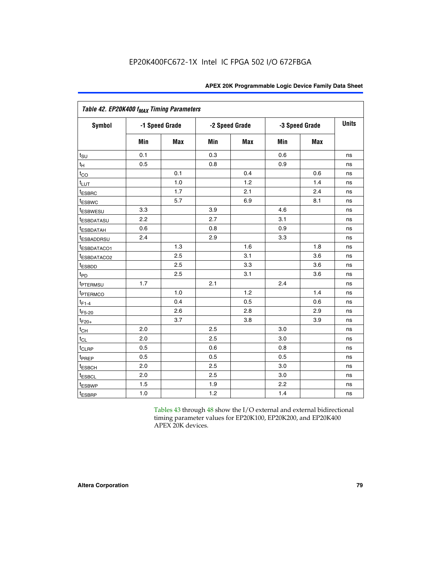| Table 42. EP20K400 f <sub>MAX</sub> Timing Parameters |     |                |                |            |     |                |              |  |
|-------------------------------------------------------|-----|----------------|----------------|------------|-----|----------------|--------------|--|
| <b>Symbol</b>                                         |     | -1 Speed Grade | -2 Speed Grade |            |     | -3 Speed Grade | <b>Units</b> |  |
|                                                       | Min | Max            | Min            | <b>Max</b> | Min | <b>Max</b>     |              |  |
| $t_{\text{SU}}$                                       | 0.1 |                | 0.3            |            | 0.6 |                | ns           |  |
| $t_H$                                                 | 0.5 |                | 0.8            |            | 0.9 |                | ns           |  |
| $t_{CO}$                                              |     | 0.1            |                | 0.4        |     | 0.6            | ns           |  |
| $t_{LUT}$                                             |     | 1.0            |                | 1.2        |     | 1.4            | ns           |  |
| t <sub>ESBRC</sub>                                    |     | 1.7            |                | 2.1        |     | 2.4            | ns           |  |
| t <sub>ESBWC</sub>                                    |     | 5.7            |                | 6.9        |     | 8.1            | ns           |  |
| <i>t</i> ESBWESU                                      | 3.3 |                | 3.9            |            | 4.6 |                | ns           |  |
| <i>t</i> ESBDATASU                                    | 2.2 |                | 2.7            |            | 3.1 |                | ns           |  |
| <sup>t</sup> ESBDATAH                                 | 0.6 |                | 0.8            |            | 0.9 |                | ns           |  |
| <sup>t</sup> ESBADDRSU                                | 2.4 |                | 2.9            |            | 3.3 |                | ns           |  |
| t <sub>ESBDATACO1</sub>                               |     | 1.3            |                | 1.6        |     | 1.8            | ns           |  |
| t <sub>ESBDATACO2</sub>                               |     | 2.5            |                | 3.1        |     | 3.6            | ns           |  |
| t <sub>ESBDD</sub>                                    |     | 2.5            |                | 3.3        |     | 3.6            | ns           |  |
| t <sub>PD</sub>                                       |     | 2.5            |                | 3.1        |     | 3.6            | ns           |  |
| t <sub>PTERMSU</sub>                                  | 1.7 |                | 2.1            |            | 2.4 |                | ns           |  |
| <sup>t</sup> PTERMCO                                  |     | 1.0            |                | 1.2        |     | 1.4            | ns           |  |
| $t_{F1-4}$                                            |     | 0.4            |                | 0.5        |     | 0.6            | ns           |  |
| $t_{F5-20}$                                           |     | 2.6            |                | 2.8        |     | 2.9            | ns           |  |
| $t_{F20+}$                                            |     | 3.7            |                | 3.8        |     | 3.9            | ns           |  |
| $t_{\text{CH}}$                                       | 2.0 |                | 2.5            |            | 3.0 |                | ns           |  |
| $t_{CL}$                                              | 2.0 |                | 2.5            |            | 3.0 |                | ns           |  |
| $t_{CLRP}$                                            | 0.5 |                | 0.6            |            | 0.8 |                | ns           |  |
| t <sub>PREP</sub>                                     | 0.5 |                | 0.5            |            | 0.5 |                | ns           |  |
| <sup>t</sup> ESBCH                                    | 2.0 |                | 2.5            |            | 3.0 |                | ns           |  |
| t <sub>ESBCL</sub>                                    | 2.0 |                | 2.5            |            | 3.0 |                | ns           |  |
| t <sub>ESBWP</sub>                                    | 1.5 |                | 1.9            |            | 2.2 |                | ns           |  |
| t <sub>ESBRP</sub>                                    | 1.0 |                | 1.2            |            | 1.4 |                | ns           |  |

Tables 43 through 48 show the I/O external and external bidirectional timing parameter values for EP20K100, EP20K200, and EP20K400 APEX 20K devices.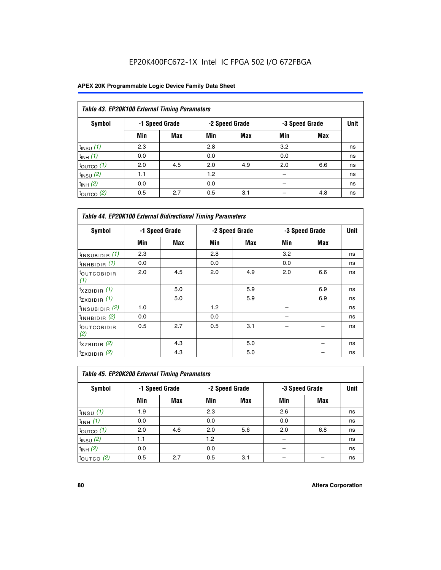| Table 43. EP20K100 External Timing Parameters |     |                |     |                |     |                |    |  |  |  |  |
|-----------------------------------------------|-----|----------------|-----|----------------|-----|----------------|----|--|--|--|--|
| Symbol                                        |     | -1 Speed Grade |     | -2 Speed Grade |     | -3 Speed Grade |    |  |  |  |  |
|                                               | Min | <b>Max</b>     | Min | <b>Max</b>     | Min | <b>Max</b>     |    |  |  |  |  |
| $t_{INSU}$ (1)                                | 2.3 |                | 2.8 |                | 3.2 |                | ns |  |  |  |  |
| $t_{INH}$ (1)                                 | 0.0 |                | 0.0 |                | 0.0 |                | ns |  |  |  |  |
| $t_{\text{OUTCO}}(1)$                         | 2.0 | 4.5            | 2.0 | 4.9            | 2.0 | 6.6            | ns |  |  |  |  |
| $t_{INSU}$ (2)                                | 1.1 |                | 1.2 |                |     |                | ns |  |  |  |  |
| $t_{INH}$ (2)                                 | 0.0 |                | 0.0 |                |     |                | ns |  |  |  |  |
| $t_{\text{OUTCO}}(2)$                         | 0.5 | 2.7            | 0.5 | 3.1            |     | 4.8            | ns |  |  |  |  |

| <b>Table 44. EP20K100 External Bidirectional Timing Parameters</b> |                |     |     |                |     |                |    |
|--------------------------------------------------------------------|----------------|-----|-----|----------------|-----|----------------|----|
| Symbol                                                             | -1 Speed Grade |     |     | -2 Speed Grade |     | -3 Speed Grade |    |
|                                                                    | Min            | Max | Min | Max            | Min | <b>Max</b>     |    |
| $t_{\text{INSUBIDIR}}(1)$                                          | 2.3            |     | 2.8 |                | 3.2 |                | ns |
| $t_{INHBIDIR}$ (1)                                                 | 0.0            |     | 0.0 |                | 0.0 |                | ns |
| <sup>t</sup> OUTCOBIDIR<br>(1)                                     | 2.0            | 4.5 | 2.0 | 4.9            | 2.0 | 6.6            | ns |
| $t_{XZBIDIR}$ (1)                                                  |                | 5.0 |     | 5.9            |     | 6.9            | ns |
| $t_{ZXBIDIR}$ (1)                                                  |                | 5.0 |     | 5.9            |     | 6.9            | ns |
| $t_{INSUBIDIR}$ (2)                                                | 1.0            |     | 1.2 |                |     |                | ns |
| $t_{INHBIDIR}$ (2)                                                 | 0.0            |     | 0.0 |                |     |                | ns |
| <sup>t</sup> OUTCOBIDIR<br>(2)                                     | 0.5            | 2.7 | 0.5 | 3.1            |     |                | ns |
| $t_{XZBIDIR}$ (2)                                                  |                | 4.3 |     | 5.0            |     |                | ns |
| $t_{ZXBIDIR}$ (2)                                                  |                | 4.3 |     | 5.0            |     |                | ns |

| Table 45. EP20K200 External Timing Parameters |     |                |     |                |     |                |             |  |  |  |  |
|-----------------------------------------------|-----|----------------|-----|----------------|-----|----------------|-------------|--|--|--|--|
| <b>Symbol</b>                                 |     | -1 Speed Grade |     | -2 Speed Grade |     | -3 Speed Grade | <b>Unit</b> |  |  |  |  |
|                                               | Min | Max            | Min | Max            | Min | Max            |             |  |  |  |  |
| $t$ <sub>INSU</sub> $(1)$                     | 1.9 |                | 2.3 |                | 2.6 |                | ns          |  |  |  |  |
| $t_{INH}$ (1)                                 | 0.0 |                | 0.0 |                | 0.0 |                | ns          |  |  |  |  |
| $t_{\text{OUTCO}}(1)$                         | 2.0 | 4.6            | 2.0 | 5.6            | 2.0 | 6.8            | ns          |  |  |  |  |
| $t_{INSU}$ (2)                                | 1.1 |                | 1.2 |                |     |                | ns          |  |  |  |  |
| $t_{INH}$ (2)                                 | 0.0 |                | 0.0 |                |     |                | ns          |  |  |  |  |
| $t_{\text{OUTCO}}$ (2)                        | 0.5 | 2.7            | 0.5 | 3.1            |     |                | ns          |  |  |  |  |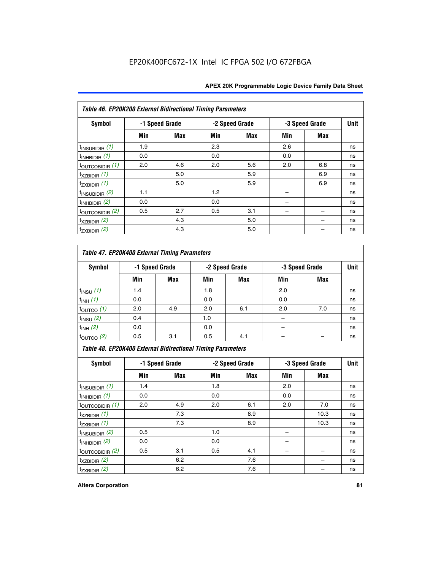| Table 46. EP20K200 External Bidirectional Timing Parameters |     |                |     |                |     |                |             |
|-------------------------------------------------------------|-----|----------------|-----|----------------|-----|----------------|-------------|
| Symbol                                                      |     | -1 Speed Grade |     | -2 Speed Grade |     | -3 Speed Grade | <b>Unit</b> |
|                                                             | Min | Max            | Min | Max            | Min | Max            |             |
| $t_{\text{INSUBIDIR}}(1)$                                   | 1.9 |                | 2.3 |                | 2.6 |                | ns          |
| $t_{INHBIDIR}$ (1)                                          | 0.0 |                | 0.0 |                | 0.0 |                | ns          |
| $t_{\text{OUTCOBIDIR}}(1)$                                  | 2.0 | 4.6            | 2.0 | 5.6            | 2.0 | 6.8            | ns          |
| $t_{XZBIDIR}$ (1)                                           |     | 5.0            |     | 5.9            |     | 6.9            | ns          |
| $t_{ZXBIDIR}$ (1)                                           |     | 5.0            |     | 5.9            |     | 6.9            | ns          |
| $t_{INSUBIDIR}$ (2)                                         | 1.1 |                | 1.2 |                |     |                | ns          |
| $t_{INHBIDIR}$ (2)                                          | 0.0 |                | 0.0 |                |     |                | ns          |
| $t_{\text{OUTCOBIDIR}}$ (2)                                 | 0.5 | 2.7            | 0.5 | 3.1            |     |                | ns          |
| $t_{XZBIDIR}$ (2)                                           |     | 4.3            |     | 5.0            |     |                | ns          |
| $t_{ZXBIDIR}$ (2)                                           |     | 4.3            |     | 5.0            |     |                | ns          |

## *Table 47. EP20K400 External Timing Parameters*

| Symbol                 |     | -1 Speed Grade |     | -2 Speed Grade |     | -3 Speed Grade |    |  |
|------------------------|-----|----------------|-----|----------------|-----|----------------|----|--|
|                        | Min | <b>Max</b>     | Min | <b>Max</b>     | Min | <b>Max</b>     |    |  |
| $t_{INSU}$ (1)         | 1.4 |                | 1.8 |                | 2.0 |                | ns |  |
| $t_{INH}$ (1)          | 0.0 |                | 0.0 |                | 0.0 |                | ns |  |
| $t_{\text{OUTCO}}(1)$  | 2.0 | 4.9            | 2.0 | 6.1            | 2.0 | 7.0            | ns |  |
| $t_{INSU}$ (2)         | 0.4 |                | 1.0 |                |     |                | ns |  |
| $t_{INH}$ (2)          | 0.0 |                | 0.0 |                |     |                | ns |  |
| $t_{\text{OUTCO}}$ (2) | 0.5 | 3.1            | 0.5 | 4.1            |     |                | ns |  |

*Table 48. EP20K400 External Bidirectional Timing Parameters*

| Symbol                      | -1 Speed Grade |     | -2 Speed Grade |     |     | -3 Speed Grade | <b>Unit</b> |
|-----------------------------|----------------|-----|----------------|-----|-----|----------------|-------------|
|                             | Min            | Max | Min            | Max | Min | Max            |             |
| $t_{\text{INSUBIDIR}}(1)$   | 1.4            |     | 1.8            |     | 2.0 |                | ns          |
| $t_{INHBIDIR}$ (1)          | 0.0            |     | 0.0            |     | 0.0 |                | ns          |
| $t_{\text{OUTCOBIDIR}}(1)$  | 2.0            | 4.9 | 2.0            | 6.1 | 2.0 | 7.0            | ns          |
| $t_{XZBIDIR}$ (1)           |                | 7.3 |                | 8.9 |     | 10.3           | ns          |
| $t_{ZXBIDIR}$ (1)           |                | 7.3 |                | 8.9 |     | 10.3           | ns          |
| $t_{\text{INSUBIDIR}}(2)$   | 0.5            |     | 1.0            |     |     |                | ns          |
| $t_{INHBIDIR}$ (2)          | 0.0            |     | 0.0            |     |     |                | ns          |
| $t_{\text{OUTCOBIDIR}}$ (2) | 0.5            | 3.1 | 0.5            | 4.1 |     |                | ns          |
| $t_{XZBIDIR}$ (2)           |                | 6.2 |                | 7.6 |     |                | ns          |
| $t_{ZXBIDIR}$ (2)           |                | 6.2 |                | 7.6 |     |                | ns          |

#### **Altera Corporation 81**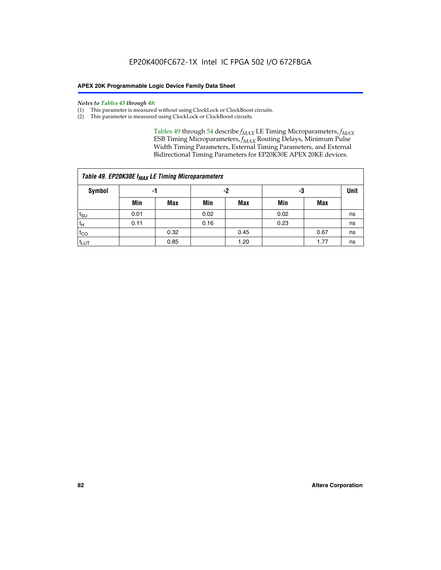#### *Notes to Tables 43 through 48:*

- (1) This parameter is measured without using ClockLock or ClockBoost circuits.
- (2) This parameter is measured using ClockLock or ClockBoost circuits.

Tables 49 through 54 describe  $f_{MAX}$  LE Timing Microparameters,  $f_{MAX}$ ESB Timing Microparameters, *f<sub>MAX</sub>* Routing Delays, Minimum Pulse Width Timing Parameters, External Timing Parameters, and External Bidirectional Timing Parameters for EP20K30E APEX 20KE devices.

| Table 49. EP20K30E f <sub>MAX</sub> LE Timing Microparameters |                |      |      |            |             |      |    |  |  |  |  |
|---------------------------------------------------------------|----------------|------|------|------------|-------------|------|----|--|--|--|--|
| <b>Symbol</b>                                                 | -2<br>-3<br>-1 |      |      |            | <b>Unit</b> |      |    |  |  |  |  |
|                                                               | Min            | Max  | Min  | <b>Max</b> | Min         | Max  |    |  |  |  |  |
| t <sub>SU</sub>                                               | 0.01           |      | 0.02 |            | 0.02        |      | ns |  |  |  |  |
| $t_H$                                                         | 0.11           |      | 0.16 |            | 0.23        |      | ns |  |  |  |  |
| $t_{CO}$                                                      |                | 0.32 |      | 0.45       |             | 0.67 | ns |  |  |  |  |
| t <sub>LUT</sub>                                              |                | 0.85 |      | 1.20       |             | 1.77 | ns |  |  |  |  |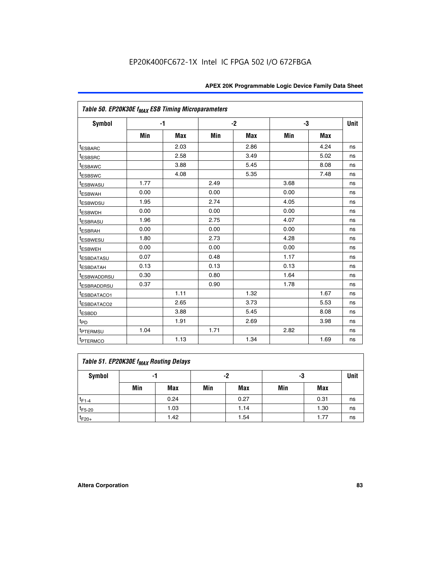| Table 50. EP20K30E f <sub>MAX</sub> ESB Timing Microparameters |      |      |      |      |      |            |             |
|----------------------------------------------------------------|------|------|------|------|------|------------|-------------|
| <b>Symbol</b>                                                  |      | $-1$ |      | $-2$ |      | -3         | <b>Unit</b> |
|                                                                | Min  | Max  | Min  | Max  | Min  | <b>Max</b> |             |
| <sup>t</sup> ESBARC                                            |      | 2.03 |      | 2.86 |      | 4.24       | ns          |
| <sup>t</sup> ESBSRC                                            |      | 2.58 |      | 3.49 |      | 5.02       | ns          |
| <sup>t</sup> ESBAWC                                            |      | 3.88 |      | 5.45 |      | 8.08       | ns          |
| t <sub>ESBSWC</sub>                                            |      | 4.08 |      | 5.35 |      | 7.48       | ns          |
| <sup>t</sup> ESBWASU                                           | 1.77 |      | 2.49 |      | 3.68 |            | ns          |
| <sup>t</sup> ESBWAH                                            | 0.00 |      | 0.00 |      | 0.00 |            | ns          |
| t <sub>ESBWDSU</sub>                                           | 1.95 |      | 2.74 |      | 4.05 |            | ns          |
| <sup>t</sup> ESBWDH                                            | 0.00 |      | 0.00 |      | 0.00 |            | ns          |
| <sup>t</sup> ESBRASU                                           | 1.96 |      | 2.75 |      | 4.07 |            | ns          |
| <sup>t</sup> ESBRAH                                            | 0.00 |      | 0.00 |      | 0.00 |            | ns          |
| <i>t</i> ESBWESU                                               | 1.80 |      | 2.73 |      | 4.28 |            | ns          |
| t <sub>ESBWEH</sub>                                            | 0.00 |      | 0.00 |      | 0.00 |            | ns          |
| <sup>t</sup> ESBDATASU                                         | 0.07 |      | 0.48 |      | 1.17 |            | ns          |
| <sup>I</sup> ESBDATAH                                          | 0.13 |      | 0.13 |      | 0.13 |            | ns          |
| <sup>t</sup> ESBWADDRSU                                        | 0.30 |      | 0.80 |      | 1.64 |            | ns          |
| <sup>I</sup> ESBRADDRSU                                        | 0.37 |      | 0.90 |      | 1.78 |            | ns          |
| ESBDATACO1                                                     |      | 1.11 |      | 1.32 |      | 1.67       | ns          |
| <sup>I</sup> ESBDATACO2                                        |      | 2.65 |      | 3.73 |      | 5.53       | ns          |
| t <sub>ESBDD</sub>                                             |      | 3.88 |      | 5.45 |      | 8.08       | ns          |
| t <sub>PD</sub>                                                |      | 1.91 |      | 2.69 |      | 3.98       | ns          |
| <sup>t</sup> PTERMSU                                           | 1.04 |      | 1.71 |      | 2.82 |            | ns          |
| t <sub>PTERMCO</sub>                                           |      | 1.13 |      | 1.34 |      | 1.69       | ns          |

## **Table 51. EP20K30E f<sub>MAX</sub> Routing Delays**

| Symbol      | - 1 |            | -2  |            | -3  |            | Unit |
|-------------|-----|------------|-----|------------|-----|------------|------|
|             | Min | <b>Max</b> | Min | <b>Max</b> | Min | <b>Max</b> |      |
| $t_{F1-4}$  |     | 0.24       |     | 0.27       |     | 0.31       | ns   |
| $t_{F5-20}$ |     | 1.03       |     | 1.14       |     | 1.30       | ns   |
| $t_{F20+}$  |     | 1.42       |     | 1.54       |     | 1.77       | ns   |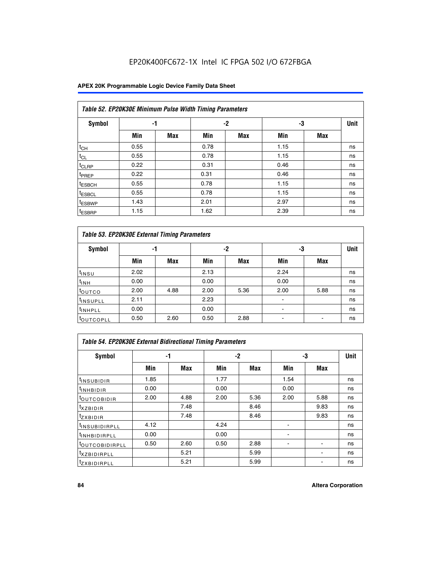### **APEX 20K Programmable Logic Device Family Data Sheet**

|                    | Table 52. EP20K30E Minimum Pulse Width Timing Parameters |            |      |            |      |            |             |  |  |  |  |  |
|--------------------|----------------------------------------------------------|------------|------|------------|------|------------|-------------|--|--|--|--|--|
| <b>Symbol</b>      | -1                                                       |            |      | $-2$<br>-3 |      |            | <b>Unit</b> |  |  |  |  |  |
|                    | Min                                                      | <b>Max</b> | Min  | <b>Max</b> | Min  | <b>Max</b> |             |  |  |  |  |  |
| $t_{CH}$           | 0.55                                                     |            | 0.78 |            | 1.15 |            | ns          |  |  |  |  |  |
| $t_{CL}$           | 0.55                                                     |            | 0.78 |            | 1.15 |            | ns          |  |  |  |  |  |
| $t_{CLRP}$         | 0.22                                                     |            | 0.31 |            | 0.46 |            | ns          |  |  |  |  |  |
| <sup>t</sup> PREP  | 0.22                                                     |            | 0.31 |            | 0.46 |            | ns          |  |  |  |  |  |
| <sup>t</sup> ESBCH | 0.55                                                     |            | 0.78 |            | 1.15 |            | ns          |  |  |  |  |  |
| <sup>t</sup> ESBCL | 0.55                                                     |            | 0.78 |            | 1.15 |            | ns          |  |  |  |  |  |
| <sup>t</sup> ESBWP | 1.43                                                     |            | 2.01 |            | 2.97 |            | ns          |  |  |  |  |  |
| <sup>t</sup> ESBRP | 1.15                                                     |            | 1.62 |            | 2.39 |            | ns          |  |  |  |  |  |

| Table 53. EP20K30E External Timing Parameters |      |            |      |            |                          |            |             |  |  |  |  |
|-----------------------------------------------|------|------------|------|------------|--------------------------|------------|-------------|--|--|--|--|
| <b>Symbol</b>                                 | -1   |            |      | -2         | -3                       |            | <b>Unit</b> |  |  |  |  |
|                                               | Min  | <b>Max</b> | Min  | <b>Max</b> | Min                      | <b>Max</b> |             |  |  |  |  |
| t <sub>INSU</sub>                             | 2.02 |            | 2.13 |            | 2.24                     |            | ns          |  |  |  |  |
| $t_{\text{INH}}$                              | 0.00 |            | 0.00 |            | 0.00                     |            | ns          |  |  |  |  |
| <sup>t</sup> outco                            | 2.00 | 4.88       | 2.00 | 5.36       | 2.00                     | 5.88       | ns          |  |  |  |  |
| <sup>t</sup> INSUPLL                          | 2.11 |            | 2.23 |            |                          |            | ns          |  |  |  |  |
| <sup>t</sup> INHPLL                           | 0.00 |            | 0.00 |            | $\overline{\phantom{a}}$ |            | ns          |  |  |  |  |
| <b>LOUTCOPLL</b>                              | 0.50 | 2.60       | 0.50 | 2.88       | -                        |            | ns          |  |  |  |  |

| Table 54. EP20K30E External Bidirectional Timing Parameters |      |      |      |      |      |      |             |  |  |  |  |
|-------------------------------------------------------------|------|------|------|------|------|------|-------------|--|--|--|--|
| Symbol                                                      |      | -1   |      | $-2$ |      | -3   | <b>Unit</b> |  |  |  |  |
|                                                             | Min  | Max  | Min  | Max  | Min  | Max  |             |  |  |  |  |
| <sup>t</sup> INSUBIDIR                                      | 1.85 |      | 1.77 |      | 1.54 |      | ns          |  |  |  |  |
| <b>INHBIDIR</b>                                             | 0.00 |      | 0.00 |      | 0.00 |      | ns          |  |  |  |  |
| <b>LOUTCOBIDIR</b>                                          | 2.00 | 4.88 | 2.00 | 5.36 | 2.00 | 5.88 | ns          |  |  |  |  |
| <sup>T</sup> XZBIDIR                                        |      | 7.48 |      | 8.46 |      | 9.83 | ns          |  |  |  |  |
| $I_{Z}$ <i>XBIDIR</i>                                       |      | 7.48 |      | 8.46 |      | 9.83 | ns          |  |  |  |  |
| <sup>t</sup> INSUBIDIRPLL                                   | 4.12 |      | 4.24 |      |      |      | ns          |  |  |  |  |
| <b>UNHBIDIRPLL</b>                                          | 0.00 |      | 0.00 |      | ٠    |      | ns          |  |  |  |  |
| <b><i>COUTCOBIDIRPLL</i></b>                                | 0.50 | 2.60 | 0.50 | 2.88 |      |      | ns          |  |  |  |  |
| <sup>I</sup> XZBIDIRPLL                                     |      | 5.21 |      | 5.99 |      |      | ns          |  |  |  |  |
| <sup>I</sup> ZXBIDIRPLL                                     |      | 5.21 |      | 5.99 |      |      | ns          |  |  |  |  |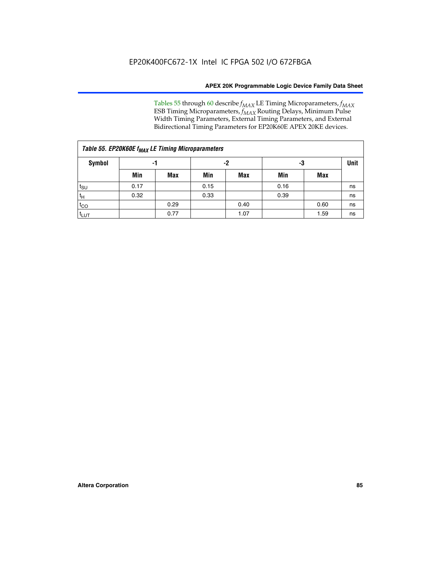Tables 55 through 60 describe *f<sub>MAX</sub>* LE Timing Microparameters, *f<sub>MAX</sub>* ESB Timing Microparameters, *f<sub>MAX</sub>* Routing Delays, Minimum Pulse Width Timing Parameters, External Timing Parameters, and External Bidirectional Timing Parameters for EP20K60E APEX 20KE devices.

| Table 55. EP20K60E f <sub>MAX</sub> LE Timing Microparameters |      |      |      |      |      |      |    |  |  |  |  |
|---------------------------------------------------------------|------|------|------|------|------|------|----|--|--|--|--|
| Symbol                                                        |      | -1   |      | -2   |      | -3   |    |  |  |  |  |
|                                                               | Min  | Max  | Min  | Max  | Min  | Max  |    |  |  |  |  |
| $t_{\text{SU}}$                                               | 0.17 |      | 0.15 |      | 0.16 |      | ns |  |  |  |  |
| $t_H$                                                         | 0.32 |      | 0.33 |      | 0.39 |      | ns |  |  |  |  |
| $t_{CO}$                                                      |      | 0.29 |      | 0.40 |      | 0.60 | ns |  |  |  |  |
| t <sub>lut</sub>                                              |      | 0.77 |      | 1.07 |      | 1.59 | ns |  |  |  |  |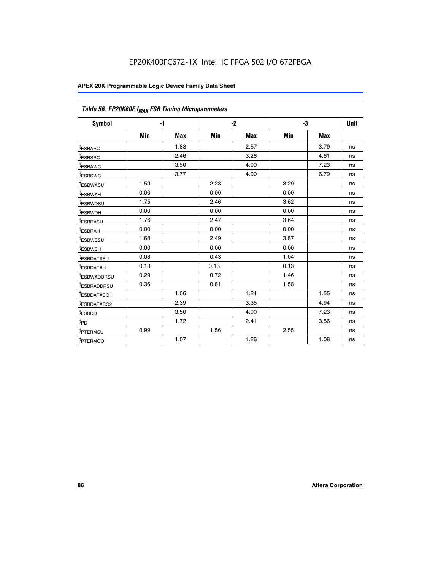| Table 56. EP20K60E f <sub>MAX</sub> ESB Timing Microparameters |      |            |      |            |      |            |             |
|----------------------------------------------------------------|------|------------|------|------------|------|------------|-------------|
| <b>Symbol</b>                                                  | $-1$ |            |      | $-2$       |      | -3         | <b>Unit</b> |
|                                                                | Min  | <b>Max</b> | Min  | <b>Max</b> | Min  | <b>Max</b> |             |
| <sup>t</sup> ESBARC                                            |      | 1.83       |      | 2.57       |      | 3.79       | ns          |
| t <sub>ESBSRC</sub>                                            |      | 2.46       |      | 3.26       |      | 4.61       | ns          |
| <sup>t</sup> ESBAWC                                            |      | 3.50       |      | 4.90       |      | 7.23       | ns          |
| <sup>t</sup> ESBSWC                                            |      | 3.77       |      | 4.90       |      | 6.79       | ns          |
| <sup>t</sup> ESBWASU                                           | 1.59 |            | 2.23 |            | 3.29 |            | ns          |
| <sup>t</sup> ESBWAH                                            | 0.00 |            | 0.00 |            | 0.00 |            | ns          |
| t <sub>ESBWDSU</sub>                                           | 1.75 |            | 2.46 |            | 3.62 |            | ns          |
| t <sub>ESBWDH</sub>                                            | 0.00 |            | 0.00 |            | 0.00 |            | ns          |
| t <sub>ESBRASU</sub>                                           | 1.76 |            | 2.47 |            | 3.64 |            | ns          |
| <sup>t</sup> ESBRAH                                            | 0.00 |            | 0.00 |            | 0.00 |            | ns          |
| t <sub>ESBWESU</sub>                                           | 1.68 |            | 2.49 |            | 3.87 |            | ns          |
| t <sub>ESBWEH</sub>                                            | 0.00 |            | 0.00 |            | 0.00 |            | ns          |
| <sup>t</sup> ESBDATASU                                         | 0.08 |            | 0.43 |            | 1.04 |            | ns          |
| t <sub>ESBDATAH</sub>                                          | 0.13 |            | 0.13 |            | 0.13 |            | ns          |
| <sup>t</sup> ESBWADDRSU                                        | 0.29 |            | 0.72 |            | 1.46 |            | ns          |
| <sup>t</sup> ESBRADDRSU                                        | 0.36 |            | 0.81 |            | 1.58 |            | ns          |
| <sup>t</sup> ESBDATACO1                                        |      | 1.06       |      | 1.24       |      | 1.55       | ns          |
| <sup>t</sup> ESBDATACO2                                        |      | 2.39       |      | 3.35       |      | 4.94       | ns          |
| <sup>t</sup> ESBDD                                             |      | 3.50       |      | 4.90       |      | 7.23       | ns          |
| t <sub>PD</sub>                                                |      | 1.72       |      | 2.41       |      | 3.56       | ns          |
| t <sub>PTERMSU</sub>                                           | 0.99 |            | 1.56 |            | 2.55 |            | ns          |
| t <sub>PTERMCO</sub>                                           |      | 1.07       |      | 1.26       |      | 1.08       | ns          |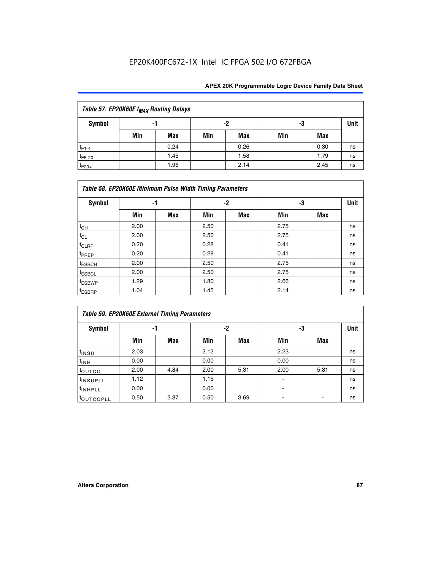| Table 57. EP20K60E f <sub>MAX</sub> Routing Delays |     |      |     |      |     |      |             |  |  |  |  |
|----------------------------------------------------|-----|------|-----|------|-----|------|-------------|--|--|--|--|
| Symbol                                             |     | -1   |     | -2   |     | -3   | <b>Unit</b> |  |  |  |  |
|                                                    | Min | Max  | Min | Max  | Min | Max  |             |  |  |  |  |
| $t_{F1-4}$                                         |     | 0.24 |     | 0.26 |     | 0.30 | ns          |  |  |  |  |
| $t_{F5-20}$                                        |     | 1.45 |     | 1.58 |     | 1.79 | ns          |  |  |  |  |
| $t_{F20+}$                                         |     | 1.96 |     | 2.14 |     | 2.45 | ns          |  |  |  |  |

|                    | Table 58. EP20K60E Minimum Pulse Width Timing Parameters |            |      |     |      |     |             |  |  |  |  |  |  |
|--------------------|----------------------------------------------------------|------------|------|-----|------|-----|-------------|--|--|--|--|--|--|
| Symbol             |                                                          | -1         |      | -2  |      | -3  | <b>Unit</b> |  |  |  |  |  |  |
|                    | Min                                                      | <b>Max</b> | Min  | Max | Min  | Max |             |  |  |  |  |  |  |
| $t_{CH}$           | 2.00                                                     |            | 2.50 |     | 2.75 |     | ns          |  |  |  |  |  |  |
| $t_{CL}$           | 2.00                                                     |            | 2.50 |     | 2.75 |     | ns          |  |  |  |  |  |  |
| $t_{CLRP}$         | 0.20                                                     |            | 0.28 |     | 0.41 |     | ns          |  |  |  |  |  |  |
| t <sub>PREP</sub>  | 0.20                                                     |            | 0.28 |     | 0.41 |     | ns          |  |  |  |  |  |  |
| <sup>t</sup> ESBCH | 2.00                                                     |            | 2.50 |     | 2.75 |     | ns          |  |  |  |  |  |  |
| <sup>t</sup> ESBCL | 2.00                                                     |            | 2.50 |     | 2.75 |     | ns          |  |  |  |  |  |  |
| <sup>t</sup> ESBWP | 1.29                                                     |            | 1.80 |     | 2.66 |     | ns          |  |  |  |  |  |  |
| <sup>t</sup> ESBRP | 1.04                                                     |            | 1.45 |     | 2.14 |     | ns          |  |  |  |  |  |  |

|                      | <b>Table 59. EP20K60E External Timing Parameters</b> |      |      |      |      |      |      |  |  |  |  |  |
|----------------------|------------------------------------------------------|------|------|------|------|------|------|--|--|--|--|--|
| Symbol               | -1                                                   |      |      | -2   | -3   |      | Unit |  |  |  |  |  |
|                      | Min                                                  | Max  | Min  | Max  | Min  | Max  |      |  |  |  |  |  |
| $t_{INSU}$           | 2.03                                                 |      | 2.12 |      | 2.23 |      | ns   |  |  |  |  |  |
| $t_{INH}$            | 0.00                                                 |      | 0.00 |      | 0.00 |      | ns   |  |  |  |  |  |
| toutco               | 2.00                                                 | 4.84 | 2.00 | 5.31 | 2.00 | 5.81 | ns   |  |  |  |  |  |
| <sup>t</sup> INSUPLL | 1.12                                                 |      | 1.15 |      | ۰    |      | ns   |  |  |  |  |  |
| <sup>t</sup> INHPLL  | 0.00                                                 |      | 0.00 |      | ۰    |      | ns   |  |  |  |  |  |
| <b>COUTCOPLL</b>     | 0.50                                                 | 3.37 | 0.50 | 3.69 |      |      | ns   |  |  |  |  |  |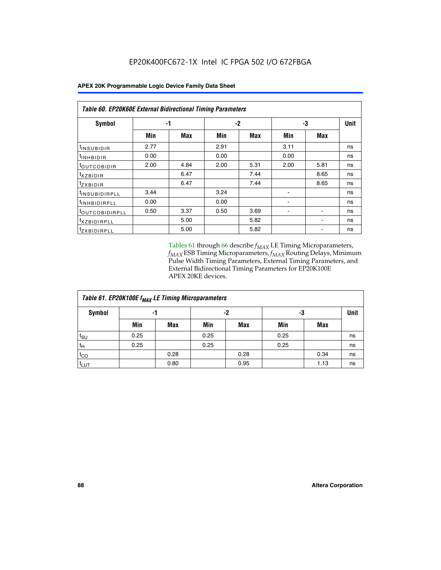| <b>Table 60. EP20K60E External Bidirectional Timing Parameters</b> |      |            |      |            |      |            |             |  |  |  |  |
|--------------------------------------------------------------------|------|------------|------|------------|------|------------|-------------|--|--|--|--|
| <b>Symbol</b>                                                      |      | -1         |      | -2         |      | -3         | <b>Unit</b> |  |  |  |  |
|                                                                    | Min  | <b>Max</b> | Min  | <b>Max</b> | Min  | <b>Max</b> |             |  |  |  |  |
| t <sub>INSUBIDIR</sub>                                             | 2.77 |            | 2.91 |            | 3.11 |            | ns          |  |  |  |  |
| <sup>t</sup> INHBIDIR                                              | 0.00 |            | 0.00 |            | 0.00 |            | ns          |  |  |  |  |
| <sup>t</sup> OUTCOBIDIR                                            | 2.00 | 4.84       | 2.00 | 5.31       | 2.00 | 5.81       | ns          |  |  |  |  |
| <sup>t</sup> xzbidir                                               |      | 6.47       |      | 7.44       |      | 8.65       | ns          |  |  |  |  |
| <sup>t</sup> zxbidir                                               |      | 6.47       |      | 7.44       |      | 8.65       | ns          |  |  |  |  |
| <sup>t</sup> INSUBIDIRPLL                                          | 3.44 |            | 3.24 |            |      |            | ns          |  |  |  |  |
| <sup>t</sup> INHBIDIRPLL                                           | 0.00 |            | 0.00 |            |      |            | ns          |  |  |  |  |
| <sup>t</sup> OUTCOBIDIRPLL                                         | 0.50 | 3.37       | 0.50 | 3.69       |      |            | ns          |  |  |  |  |
| <sup>t</sup> xzbidirpll                                            |      | 5.00       |      | 5.82       |      |            | ns          |  |  |  |  |
| <sup>t</sup> zxbidirpll                                            |      | 5.00       |      | 5.82       |      |            | ns          |  |  |  |  |

Tables 61 through 66 describe  $f_{MAX}$  LE Timing Microparameters, *fMAX* ESB Timing Microparameters, *fMAX* Routing Delays, Minimum Pulse Width Timing Parameters, External Timing Parameters, and External Bidirectional Timing Parameters for EP20K100E APEX 20KE devices.

| Table 61. EP20K100E f <sub>MAX</sub> LE Timing Microparameters |      |      |      |      |      |            |             |  |  |  |  |
|----------------------------------------------------------------|------|------|------|------|------|------------|-------------|--|--|--|--|
| <b>Symbol</b>                                                  |      | -1   | -2   |      |      | -3         | <b>Unit</b> |  |  |  |  |
|                                                                | Min  | Max  | Min  | Max  | Min  | <b>Max</b> |             |  |  |  |  |
| $t_{\text{SU}}$                                                | 0.25 |      | 0.25 |      | 0.25 |            | ns          |  |  |  |  |
| tμ                                                             | 0.25 |      | 0.25 |      | 0.25 |            | ns          |  |  |  |  |
| $t_{CO}$                                                       |      | 0.28 |      | 0.28 |      | 0.34       | ns          |  |  |  |  |
| t <sub>LUT</sub>                                               |      | 0.80 |      | 0.95 |      | 1.13       | ns          |  |  |  |  |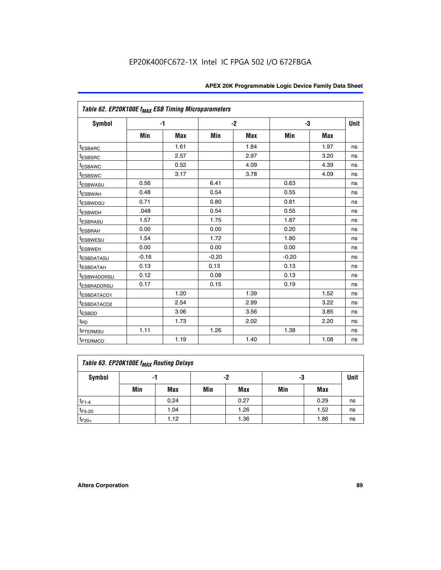|                         | Table 62. EP20K100E f <sub>MAX</sub> ESB Timing Microparameters |            |         |            |         |            |             |  |  |  |  |
|-------------------------|-----------------------------------------------------------------|------------|---------|------------|---------|------------|-------------|--|--|--|--|
| <b>Symbol</b>           | $-1$                                                            |            |         | $-2$       |         | -3         | <b>Unit</b> |  |  |  |  |
|                         | Min                                                             | <b>Max</b> | Min     | <b>Max</b> | Min     | <b>Max</b> |             |  |  |  |  |
| <sup>t</sup> ESBARC     |                                                                 | 1.61       |         | 1.84       |         | 1.97       | ns          |  |  |  |  |
| <sup>t</sup> ESBSRC     |                                                                 | 2.57       |         | 2.97       |         | 3.20       | ns          |  |  |  |  |
| <sup>t</sup> ESBAWC     |                                                                 | 0.52       |         | 4.09       |         | 4.39       | ns          |  |  |  |  |
| <sup>t</sup> ESBSWC     |                                                                 | 3.17       |         | 3.78       |         | 4.09       | ns          |  |  |  |  |
| <b><i>ESBWASU</i></b>   | 0.56                                                            |            | 6.41    |            | 0.63    |            | ns          |  |  |  |  |
| <sup>t</sup> ESBWAH     | 0.48                                                            |            | 0.54    |            | 0.55    |            | ns          |  |  |  |  |
| <sup>t</sup> ESBWDSU    | 0.71                                                            |            | 0.80    |            | 0.81    |            | ns          |  |  |  |  |
| <sup>t</sup> ESBWDH     | .048                                                            |            | 0.54    |            | 0.55    |            | ns          |  |  |  |  |
| <sup>t</sup> ESBRASU    | 1.57                                                            |            | 1.75    |            | 1.87    |            | ns          |  |  |  |  |
| <sup>t</sup> ESBRAH     | 0.00                                                            |            | 0.00    |            | 0.20    |            | ns          |  |  |  |  |
| t <sub>ESBWESU</sub>    | 1.54                                                            |            | 1.72    |            | 1.80    |            | ns          |  |  |  |  |
| <sup>t</sup> ESBWEH     | 0.00                                                            |            | 0.00    |            | 0.00    |            | ns          |  |  |  |  |
| <sup>t</sup> ESBDATASU  | $-0.16$                                                         |            | $-0.20$ |            | $-0.20$ |            | ns          |  |  |  |  |
| <b>ESBDATAH</b>         | 0.13                                                            |            | 0.13    |            | 0.13    |            | ns          |  |  |  |  |
| <sup>t</sup> ESBWADDRSU | 0.12                                                            |            | 0.08    |            | 0.13    |            | ns          |  |  |  |  |
| <sup>I</sup> ESBRADDRSU | 0.17                                                            |            | 0.15    |            | 0.19    |            | ns          |  |  |  |  |
| ESBDATACO1              |                                                                 | 1.20       |         | 1.39       |         | 1.52       | ns          |  |  |  |  |
| <sup>t</sup> ESBDATACO2 |                                                                 | 2.54       |         | 2.99       |         | 3.22       | ns          |  |  |  |  |
| t <sub>ESBDD</sub>      |                                                                 | 3.06       |         | 3.56       |         | 3.85       | ns          |  |  |  |  |
| t <sub>PD</sub>         |                                                                 | 1.73       |         | 2.02       |         | 2.20       | ns          |  |  |  |  |
| <sup>t</sup> PTERMSU    | 1.11                                                            |            | 1.26    |            | 1.38    |            | ns          |  |  |  |  |
| t <sub>PTERMCO</sub>    |                                                                 | 1.19       |         | 1.40       |         | 1.08       | ns          |  |  |  |  |

| Table 63. EP20K100E f <sub>MAX</sub> Routing Delays |                |      |     |            |     |      |             |  |  |  |
|-----------------------------------------------------|----------------|------|-----|------------|-----|------|-------------|--|--|--|
| Symbol                                              | -2<br>-3<br>-1 |      |     |            |     |      | <b>Unit</b> |  |  |  |
|                                                     | Min            | Max  | Min | <b>Max</b> | Min | Max  |             |  |  |  |
| $t_{F1-4}$                                          |                | 0.24 |     | 0.27       |     | 0.29 | ns          |  |  |  |
| $t_{F5-20}$                                         |                | 1.04 |     | 1.26       |     | 1.52 | ns          |  |  |  |
| $t_{F20+}$                                          |                | 1.12 |     | 1.36       |     | 1.86 | ns          |  |  |  |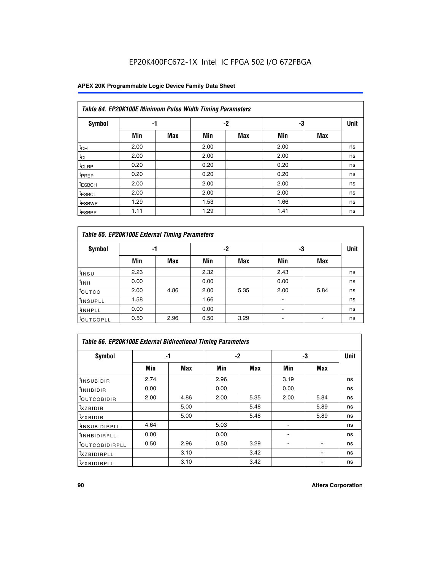### **APEX 20K Programmable Logic Device Family Data Sheet**

| Table 64. EP20K100E Minimum Pulse Width Timing Parameters |      |            |      |            |      |            |             |  |  |  |  |  |
|-----------------------------------------------------------|------|------------|------|------------|------|------------|-------------|--|--|--|--|--|
| <b>Symbol</b>                                             | -1   |            |      | -2         | -3   |            | <b>Unit</b> |  |  |  |  |  |
|                                                           | Min  | <b>Max</b> | Min  | <b>Max</b> | Min  | <b>Max</b> |             |  |  |  |  |  |
| $t_{CH}$                                                  | 2.00 |            | 2.00 |            | 2.00 |            | ns          |  |  |  |  |  |
| $t_{CL}$                                                  | 2.00 |            | 2.00 |            | 2.00 |            | ns          |  |  |  |  |  |
| $t_{CLRP}$                                                | 0.20 |            | 0.20 |            | 0.20 |            | ns          |  |  |  |  |  |
| <sup>t</sup> PREP                                         | 0.20 |            | 0.20 |            | 0.20 |            | ns          |  |  |  |  |  |
| <sup>t</sup> ESBCH                                        | 2.00 |            | 2.00 |            | 2.00 |            | ns          |  |  |  |  |  |
| <sup>t</sup> ESBCL                                        | 2.00 |            | 2.00 |            | 2.00 |            | ns          |  |  |  |  |  |
| <sup>t</sup> ESBWP                                        | 1.29 |            | 1.53 |            | 1.66 |            | ns          |  |  |  |  |  |
| <sup>t</sup> ESBRP                                        | 1.11 |            | 1.29 |            | 1.41 |            | ns          |  |  |  |  |  |

|                      | Table 65. EP20K100E External Timing Parameters |            |      |            |                |            |    |  |  |  |  |  |
|----------------------|------------------------------------------------|------------|------|------------|----------------|------------|----|--|--|--|--|--|
| <b>Symbol</b>        | -1                                             |            |      | -2         |                | -3         |    |  |  |  |  |  |
|                      | Min                                            | <b>Max</b> | Min  | <b>Max</b> | Min            | <b>Max</b> |    |  |  |  |  |  |
| $t_{INSU}$           | 2.23                                           |            | 2.32 |            | 2.43           |            | ns |  |  |  |  |  |
| $t_{\rm INH}$        | 0.00                                           |            | 0.00 |            | 0.00           |            | ns |  |  |  |  |  |
| toutco               | 2.00                                           | 4.86       | 2.00 | 5.35       | 2.00           | 5.84       | ns |  |  |  |  |  |
| <sup>t</sup> INSUPLL | 1.58                                           |            | 1.66 |            |                |            | ns |  |  |  |  |  |
| <sup>t</sup> INHPLL  | 0.00                                           |            | 0.00 |            | $\blacksquare$ |            | ns |  |  |  |  |  |
| <b>LOUTCOPLL</b>     | 0.50                                           | 2.96       | 0.50 | 3.29       | -              |            | ns |  |  |  |  |  |

| <b>Table 66. EP20K100E External Bidirectional Timing Parameters</b> |      |      |      |      |                |      |    |  |  |  |
|---------------------------------------------------------------------|------|------|------|------|----------------|------|----|--|--|--|
| Symbol                                                              |      | -1   |      | $-2$ |                | -3   |    |  |  |  |
|                                                                     | Min  | Max  | Min  | Max  | Min            | Max  |    |  |  |  |
| <sup>t</sup> INSUBIDIR                                              | 2.74 |      | 2.96 |      | 3.19           |      | ns |  |  |  |
| <b>TINHBIDIR</b>                                                    | 0.00 |      | 0.00 |      | 0.00           |      | ns |  |  |  |
| <b>LOUTCOBIDIR</b>                                                  | 2.00 | 4.86 | 2.00 | 5.35 | 2.00           | 5.84 | ns |  |  |  |
| <sup>T</sup> XZBIDIR                                                |      | 5.00 |      | 5.48 |                | 5.89 | ns |  |  |  |
| <sup>T</sup> ZXBIDIR                                                |      | 5.00 |      | 5.48 |                | 5.89 | ns |  |  |  |
| <sup>t</sup> INSUBIDIRPLL                                           | 4.64 |      | 5.03 |      |                |      | ns |  |  |  |
| <sup>I</sup> INHBIDIRPLL                                            | 0.00 |      | 0.00 |      | $\blacksquare$ |      | ns |  |  |  |
| <b><i>LOUTCOBIDIRPLL</i></b>                                        | 0.50 | 2.96 | 0.50 | 3.29 |                |      | ns |  |  |  |
| <sup>T</sup> XZBIDIRPLL                                             |      | 3.10 |      | 3.42 |                |      | ns |  |  |  |
| <sup>I</sup> ZXBIDIRPLL                                             |      | 3.10 |      | 3.42 |                |      | ns |  |  |  |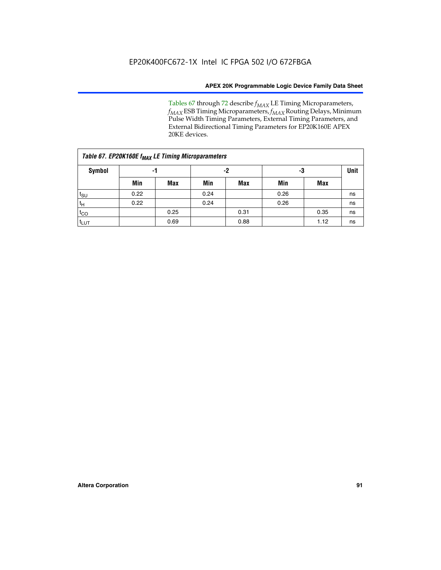Tables 67 through 72 describe *f<sub>MAX</sub>* LE Timing Microparameters, *fMAX* ESB Timing Microparameters, *fMAX* Routing Delays, Minimum Pulse Width Timing Parameters, External Timing Parameters, and External Bidirectional Timing Parameters for EP20K160E APEX 20KE devices.

| Table 67. EP20K160E f <sub>MAX</sub> LE Timing Microparameters |      |            |      |            |      |      |             |  |  |  |  |
|----------------------------------------------------------------|------|------------|------|------------|------|------|-------------|--|--|--|--|
| <b>Symbol</b>                                                  | -1   |            | -2   |            | -3   |      | <b>Unit</b> |  |  |  |  |
|                                                                | Min  | <b>Max</b> | Min  | <b>Max</b> | Min  | Max  |             |  |  |  |  |
| $t_{\text{SU}}$                                                | 0.22 |            | 0.24 |            | 0.26 |      | ns          |  |  |  |  |
| $t_H$                                                          | 0.22 |            | 0.24 |            | 0.26 |      | ns          |  |  |  |  |
| $t_{CO}$                                                       |      | 0.25       |      | 0.31       |      | 0.35 | ns          |  |  |  |  |
| t <sub>lut</sub>                                               |      | 0.69       |      | 0.88       |      | 1.12 | ns          |  |  |  |  |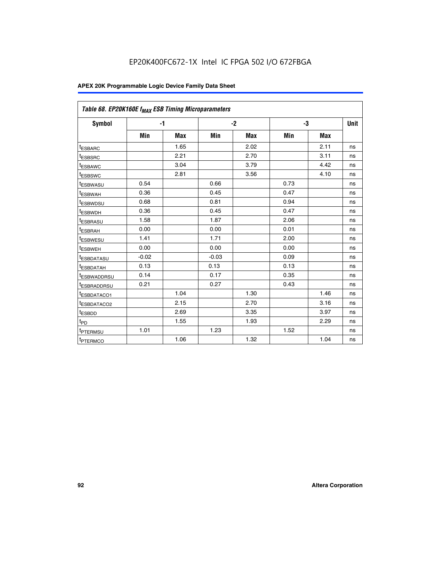| Table 68. EP20K160E f <sub>MAX</sub> ESB Timing Microparameters |         |            |         |            |      |      |      |
|-----------------------------------------------------------------|---------|------------|---------|------------|------|------|------|
| <b>Symbol</b>                                                   |         | $-1$       |         | $-2$       |      | -3   | Unit |
|                                                                 | Min     | <b>Max</b> | Min     | <b>Max</b> | Min  | Max  |      |
| <sup>t</sup> ESBARC                                             |         | 1.65       |         | 2.02       |      | 2.11 | ns   |
| t <sub>ESBSRC</sub>                                             |         | 2.21       |         | 2.70       |      | 3.11 | ns   |
| <sup>t</sup> ESBAWC                                             |         | 3.04       |         | 3.79       |      | 4.42 | ns   |
| t <sub>ESBSWC</sub>                                             |         | 2.81       |         | 3.56       |      | 4.10 | ns   |
| <sup>t</sup> ESBWASU                                            | 0.54    |            | 0.66    |            | 0.73 |      | ns   |
| <sup>t</sup> ESBWAH                                             | 0.36    |            | 0.45    |            | 0.47 |      | ns   |
| t <sub>ESBWDSU</sub>                                            | 0.68    |            | 0.81    |            | 0.94 |      | ns   |
| <sup>t</sup> ESBWDH                                             | 0.36    |            | 0.45    |            | 0.47 |      | ns   |
| t <sub>ESBRASU</sub>                                            | 1.58    |            | 1.87    |            | 2.06 |      | ns   |
| <sup>t</sup> ESBRAH                                             | 0.00    |            | 0.00    |            | 0.01 |      | ns   |
| <sup>t</sup> ESBWESU                                            | 1.41    |            | 1.71    |            | 2.00 |      | ns   |
| t <sub>ESBWEH</sub>                                             | 0.00    |            | 0.00    |            | 0.00 |      | ns   |
| t <sub>ESBDATASU</sub>                                          | $-0.02$ |            | $-0.03$ |            | 0.09 |      | ns   |
| t <sub>ESBDATAH</sub>                                           | 0.13    |            | 0.13    |            | 0.13 |      | ns   |
| t <sub>ESBWADDRSU</sub>                                         | 0.14    |            | 0.17    |            | 0.35 |      | ns   |
| <sup>t</sup> ESBRADDRSU                                         | 0.21    |            | 0.27    |            | 0.43 |      | ns   |
| <sup>I</sup> ESBDATACO1                                         |         | 1.04       |         | 1.30       |      | 1.46 | ns   |
| t <sub>ESBDATACO2</sub>                                         |         | 2.15       |         | 2.70       |      | 3.16 | ns   |
| <sup>t</sup> ESBDD                                              |         | 2.69       |         | 3.35       |      | 3.97 | ns   |
| $t_{\mathsf{PD}}$                                               |         | 1.55       |         | 1.93       |      | 2.29 | ns   |
| t <sub>PTERMSU</sub>                                            | 1.01    |            | 1.23    |            | 1.52 |      | ns   |
| t <sub>PTERMCO</sub>                                            |         | 1.06       |         | 1.32       |      | 1.04 | ns   |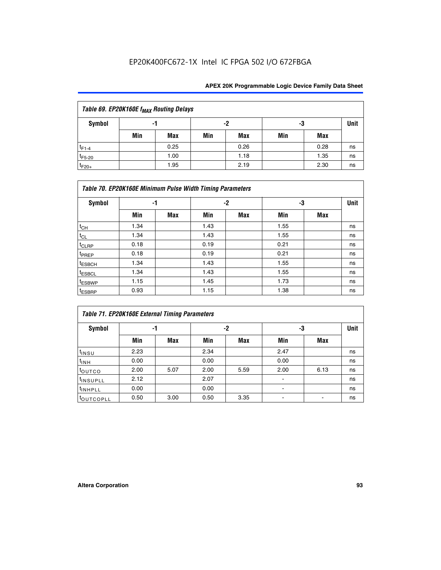| Table 69. EP20K160E f <sub>MAX</sub> Routing Delays |     |      |     |      |     |      |             |  |  |  |  |  |
|-----------------------------------------------------|-----|------|-----|------|-----|------|-------------|--|--|--|--|--|
| Symbol                                              | -1  |      |     | -2   | -3  |      | <b>Unit</b> |  |  |  |  |  |
|                                                     | Min | Max  | Min | Max  | Min | Max  |             |  |  |  |  |  |
| $t_{F1-4}$                                          |     | 0.25 |     | 0.26 |     | 0.28 | ns          |  |  |  |  |  |
| $t_{F5-20}$                                         |     | 1.00 |     | 1.18 |     | 1.35 | ns          |  |  |  |  |  |
| $t_{F20+}$                                          |     | 1.95 |     | 2.19 |     | 2.30 | ns          |  |  |  |  |  |

| Table 70. EP20K160E Minimum Pulse Width Timing Parameters |      |            |      |            |      |     |    |  |  |  |  |
|-----------------------------------------------------------|------|------------|------|------------|------|-----|----|--|--|--|--|
| <b>Symbol</b>                                             | -1   |            |      | -2         |      | -3  |    |  |  |  |  |
|                                                           | Min  | <b>Max</b> | Min  | <b>Max</b> | Min  | Max |    |  |  |  |  |
| $t_{CH}$                                                  | 1.34 |            | 1.43 |            | 1.55 |     | ns |  |  |  |  |
| $t_{CL}$                                                  | 1.34 |            | 1.43 |            | 1.55 |     | ns |  |  |  |  |
| $t_{CLRP}$                                                | 0.18 |            | 0.19 |            | 0.21 |     | ns |  |  |  |  |
| t <sub>PREP</sub>                                         | 0.18 |            | 0.19 |            | 0.21 |     | ns |  |  |  |  |
| <sup>t</sup> ESBCH                                        | 1.34 |            | 1.43 |            | 1.55 |     | ns |  |  |  |  |
| <sup>t</sup> ESBCL                                        | 1.34 |            | 1.43 |            | 1.55 |     | ns |  |  |  |  |
| <sup>t</sup> ESBWP                                        | 1.15 |            | 1.45 |            | 1.73 |     | ns |  |  |  |  |
| <sup>t</sup> ESBRP                                        | 0.93 |            | 1.15 |            | 1.38 |     | ns |  |  |  |  |

| Table 71. EP20K160E External Timing Parameters |      |      |      |      |                          |      |    |  |  |  |  |
|------------------------------------------------|------|------|------|------|--------------------------|------|----|--|--|--|--|
| Symbol                                         | -1   |      |      | -2   |                          | -3   |    |  |  |  |  |
|                                                | Min  | Max  | Min  | Max  | Min                      | Max  |    |  |  |  |  |
| t <sub>INSU</sub>                              | 2.23 |      | 2.34 |      | 2.47                     |      | ns |  |  |  |  |
| $t_{\text{INH}}$                               | 0.00 |      | 0.00 |      | 0.00                     |      | ns |  |  |  |  |
| toutco                                         | 2.00 | 5.07 | 2.00 | 5.59 | 2.00                     | 6.13 | ns |  |  |  |  |
| tinsupLL                                       | 2.12 |      | 2.07 |      | $\overline{\phantom{a}}$ |      | ns |  |  |  |  |
| <sup>t</sup> INHPLL                            | 0.00 |      | 0.00 |      | ۰                        |      | ns |  |  |  |  |
| <b>COUTCOPLL</b>                               | 0.50 | 3.00 | 0.50 | 3.35 |                          |      | ns |  |  |  |  |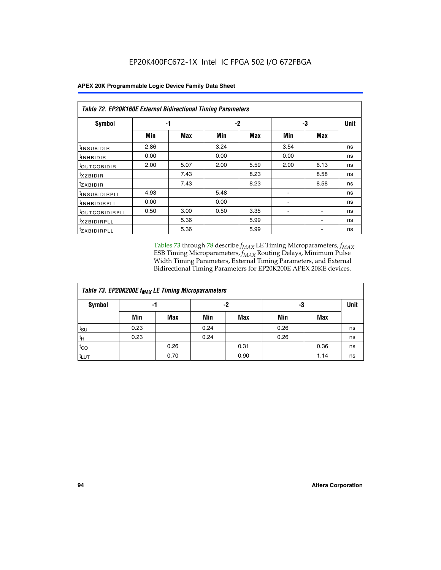|  | <b>APEX 20K Programmable Logic Device Family Data Sheet</b> |
|--|-------------------------------------------------------------|
|--|-------------------------------------------------------------|

|                                | Table 72. EP20K160E External Bidirectional Timing Parameters |      |      |      |      |      |             |  |  |  |  |
|--------------------------------|--------------------------------------------------------------|------|------|------|------|------|-------------|--|--|--|--|
| Symbol                         |                                                              | -1   |      | $-2$ |      | -3   | <b>Unit</b> |  |  |  |  |
|                                | Min                                                          | Max  | Min  | Max  | Min  | Max  |             |  |  |  |  |
| <sup>t</sup> INSUB <u>IDIR</u> | 2.86                                                         |      | 3.24 |      | 3.54 |      | ns          |  |  |  |  |
| <b>UNHBIDIR</b>                | 0.00                                                         |      | 0.00 |      | 0.00 |      | ns          |  |  |  |  |
| <b>LOUTCOBIDIR</b>             | 2.00                                                         | 5.07 | 2.00 | 5.59 | 2.00 | 6.13 | ns          |  |  |  |  |
| KZBIDIR                        |                                                              | 7.43 |      | 8.23 |      | 8.58 | ns          |  |  |  |  |
| <sup>t</sup> zxbidir           |                                                              | 7.43 |      | 8.23 |      | 8.58 | ns          |  |  |  |  |
| <sup>t</sup> INSUBIDIRPLL      | 4.93                                                         |      | 5.48 |      |      |      | ns          |  |  |  |  |
| <sup>I</sup> INHBIDIRPLL       | 0.00                                                         |      | 0.00 |      | ٠    |      | ns          |  |  |  |  |
| <b><i>LOUTCOBIDIRPLL</i></b>   | 0.50                                                         | 3.00 | 0.50 | 3.35 |      |      | ns          |  |  |  |  |
| <sup>T</sup> XZBIDIRPLL        |                                                              | 5.36 |      | 5.99 |      |      | ns          |  |  |  |  |
| <sup>t</sup> ZXBIDIRPLL        |                                                              | 5.36 |      | 5.99 |      |      | ns          |  |  |  |  |

Tables 73 through 78 describe  $f_{MAX}$  LE Timing Microparameters,  $f_{MAX}$ ESB Timing Microparameters, *f<sub>MAX</sub>* Routing Delays, Minimum Pulse Width Timing Parameters, External Timing Parameters, and External Bidirectional Timing Parameters for EP20K200E APEX 20KE devices.

| Table 73. EP20K200E f <sub>MAX</sub> LE Timing Microparameters |      |      |      |            |      |             |    |  |  |  |  |  |
|----------------------------------------------------------------|------|------|------|------------|------|-------------|----|--|--|--|--|--|
| <b>Symbol</b><br>-1                                            |      |      |      | -2         | -3   | <b>Unit</b> |    |  |  |  |  |  |
|                                                                | Min  | Max  | Min  | <b>Max</b> | Min  | Max         |    |  |  |  |  |  |
| $t_{\text{SU}}$                                                | 0.23 |      | 0.24 |            | 0.26 |             | ns |  |  |  |  |  |
| $t_H$                                                          | 0.23 |      | 0.24 |            | 0.26 |             | ns |  |  |  |  |  |
| $t_{CO}$                                                       |      | 0.26 |      | 0.31       |      | 0.36        | ns |  |  |  |  |  |
| t <sub>LUT</sub>                                               |      | 0.70 |      | 0.90       |      | 1.14        | ns |  |  |  |  |  |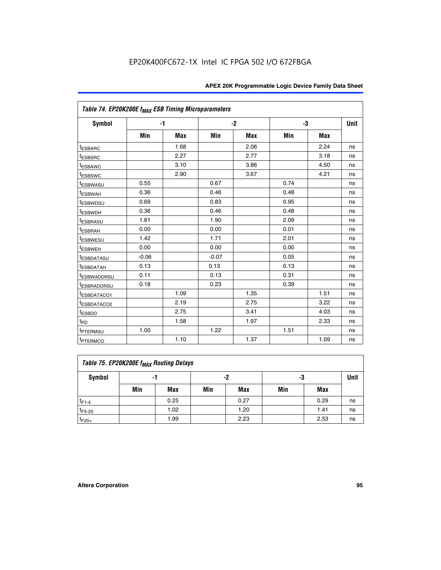|                         | Table 74. EP20K200E f <sub>MAX</sub> ESB Timing Microparameters |            |         |            |      |      |      |  |  |  |  |
|-------------------------|-----------------------------------------------------------------|------------|---------|------------|------|------|------|--|--|--|--|
| <b>Symbol</b>           |                                                                 | $-1$       |         | $-2$       | -3   |      | Unit |  |  |  |  |
|                         | Min                                                             | <b>Max</b> | Min     | <b>Max</b> | Min  | Max  |      |  |  |  |  |
| <sup>t</sup> ESBARC     |                                                                 | 1.68       |         | 2.06       |      | 2.24 | ns   |  |  |  |  |
| <sup>t</sup> ESBSRC     |                                                                 | 2.27       |         | 2.77       |      | 3.18 | ns   |  |  |  |  |
| t <sub>ESBAWC</sub>     |                                                                 | 3.10       |         | 3.86       |      | 4.50 | ns   |  |  |  |  |
| <sup>t</sup> ESBSWC     |                                                                 | 2.90       |         | 3.67       |      | 4.21 | ns   |  |  |  |  |
| t <sub>ESBWASU</sub>    | 0.55                                                            |            | 0.67    |            | 0.74 |      | ns   |  |  |  |  |
| <sup>t</sup> ESBWAH     | 0.36                                                            |            | 0.46    |            | 0.48 |      | ns   |  |  |  |  |
| <sup>t</sup> ESBWDSU    | 0.69                                                            |            | 0.83    |            | 0.95 |      | ns   |  |  |  |  |
| t <sub>ESBWDH</sub>     | 0.36                                                            |            | 0.46    |            | 0.48 |      | ns   |  |  |  |  |
| <sup>t</sup> ESBRASU    | 1.61                                                            |            | 1.90    |            | 2.09 |      | ns   |  |  |  |  |
| <sup>t</sup> ESBRAH     | 0.00                                                            |            | 0.00    |            | 0.01 |      | ns   |  |  |  |  |
| <sup>t</sup> ESBWESU    | 1.42                                                            |            | 1.71    |            | 2.01 |      | ns   |  |  |  |  |
| <sup>I</sup> ESBWEH     | 0.00                                                            |            | 0.00    |            | 0.00 |      | ns   |  |  |  |  |
| t <sub>ESBDATASU</sub>  | $-0.06$                                                         |            | $-0.07$ |            | 0.05 |      | ns   |  |  |  |  |
| <sup>t</sup> ESBDATAH   | 0.13                                                            |            | 0.13    |            | 0.13 |      | ns   |  |  |  |  |
| <sup>t</sup> ESBWADDRSU | 0.11                                                            |            | 0.13    |            | 0.31 |      | ns   |  |  |  |  |
| <sup>I</sup> ESBRADDRSU | 0.18                                                            |            | 0.23    |            | 0.39 |      | ns   |  |  |  |  |
| <sup>I</sup> ESBDATACO1 |                                                                 | 1.09       |         | 1.35       |      | 1.51 | ns   |  |  |  |  |
| <sup>t</sup> ESBDATACO2 |                                                                 | 2.19       |         | 2.75       |      | 3.22 | ns   |  |  |  |  |
| <sup>t</sup> ESBDD      |                                                                 | 2.75       |         | 3.41       |      | 4.03 | ns   |  |  |  |  |
| t <sub>PD</sub>         |                                                                 | 1.58       |         | 1.97       |      | 2.33 | ns   |  |  |  |  |
| t <sub>PTERMSU</sub>    | 1.00                                                            |            | 1.22    |            | 1.51 |      | ns   |  |  |  |  |
| t <sub>PTERMCO</sub>    |                                                                 | 1.10       |         | 1.37       |      | 1.09 | ns   |  |  |  |  |

| Table 75. EP20K200E f <sub>MAX</sub> Routing Delays |     |      |     |      |     |      |             |  |  |  |  |
|-----------------------------------------------------|-----|------|-----|------|-----|------|-------------|--|--|--|--|
| Symbol                                              | -1  |      |     | -2   | -3  |      | <b>Unit</b> |  |  |  |  |
|                                                     | Min | Max  | Min | Max  | Min | Max  |             |  |  |  |  |
| $t_{F1-4}$                                          |     | 0.25 |     | 0.27 |     | 0.29 | ns          |  |  |  |  |
| $t_{F5-20}$                                         |     | 1.02 |     | 1.20 |     | 1.41 | ns          |  |  |  |  |
| $t_{F20+}$                                          |     | 1.99 |     | 2.23 |     | 2.53 | ns          |  |  |  |  |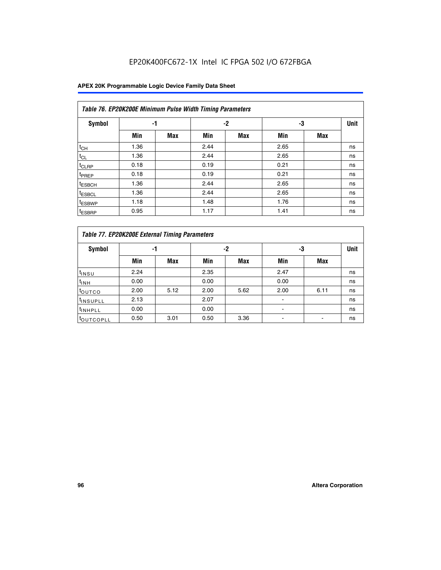| Table 76. EP20K200E Minimum Pulse Width Timing Parameters |      |            |      |      |      |            |             |  |  |  |  |
|-----------------------------------------------------------|------|------------|------|------|------|------------|-------------|--|--|--|--|
| Symbol                                                    | -1   |            |      | $-2$ | -3   |            | <b>Unit</b> |  |  |  |  |
|                                                           | Min  | <b>Max</b> | Min  | Max  | Min  | <b>Max</b> |             |  |  |  |  |
| $t_{CH}$                                                  | 1.36 |            | 2.44 |      | 2.65 |            | ns          |  |  |  |  |
| $t_{CL}$                                                  | 1.36 |            | 2.44 |      | 2.65 |            | ns          |  |  |  |  |
| $t_{CLRP}$                                                | 0.18 |            | 0.19 |      | 0.21 |            | ns          |  |  |  |  |
| <sup>t</sup> PREP                                         | 0.18 |            | 0.19 |      | 0.21 |            | ns          |  |  |  |  |
| <sup>t</sup> ESBCH                                        | 1.36 |            | 2.44 |      | 2.65 |            | ns          |  |  |  |  |
| <sup>t</sup> ESBCL                                        | 1.36 |            | 2.44 |      | 2.65 |            | ns          |  |  |  |  |
| <sup>t</sup> ESBWP                                        | 1.18 |            | 1.48 |      | 1.76 |            | ns          |  |  |  |  |
| <sup>t</sup> ESBRP                                        | 0.95 |            | 1.17 |      | 1.41 |            | ns          |  |  |  |  |

|                       | Table 77. EP20K200E External Timing Parameters |            |      |            |      |      |    |  |  |  |  |  |
|-----------------------|------------------------------------------------|------------|------|------------|------|------|----|--|--|--|--|--|
| <b>Symbol</b>         |                                                | -1         |      | -2         |      | -3   |    |  |  |  |  |  |
|                       | Min                                            | <b>Max</b> | Min  | <b>Max</b> | Min  | Max  |    |  |  |  |  |  |
| t <sub>INSU</sub>     | 2.24                                           |            | 2.35 |            | 2.47 |      | ns |  |  |  |  |  |
| $t_{\text{INH}}$      | 0.00                                           |            | 0.00 |            | 0.00 |      | ns |  |  |  |  |  |
| toutco                | 2.00                                           | 5.12       | 2.00 | 5.62       | 2.00 | 6.11 | ns |  |  |  |  |  |
| <sup>t</sup> INSUPLL  | 2.13                                           |            | 2.07 |            |      |      | ns |  |  |  |  |  |
| <sup>t</sup> INHPLL   | 0.00                                           |            | 0.00 |            | -    |      | ns |  |  |  |  |  |
| <sup>I</sup> OUTCOPLL | 0.50                                           | 3.01       | 0.50 | 3.36       |      |      | ns |  |  |  |  |  |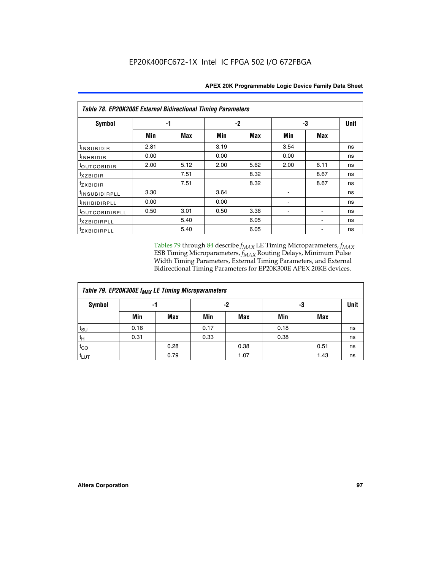| <b>Table 78. EP20K200E External Bidirectional Timing Parameters</b> |      |      |      |      |      |             |    |  |  |  |  |
|---------------------------------------------------------------------|------|------|------|------|------|-------------|----|--|--|--|--|
| Symbol                                                              | -1   |      |      | -2   | -3   | <b>Unit</b> |    |  |  |  |  |
|                                                                     | Min  | Max  | Min  | Max  | Min  | Max         |    |  |  |  |  |
| t <sub>INSUBIDIR</sub>                                              | 2.81 |      | 3.19 |      | 3.54 |             | ns |  |  |  |  |
| t <sub>INHBIDIR</sub>                                               | 0.00 |      | 0.00 |      | 0.00 |             | ns |  |  |  |  |
| toutcobidir                                                         | 2.00 | 5.12 | 2.00 | 5.62 | 2.00 | 6.11        | ns |  |  |  |  |
| <i>txzbidir</i>                                                     |      | 7.51 |      | 8.32 |      | 8.67        | ns |  |  |  |  |
| tzxbidir                                                            |      | 7.51 |      | 8.32 |      | 8.67        | ns |  |  |  |  |
| t <sub>INSUBIDIRPLL</sub>                                           | 3.30 |      | 3.64 |      |      |             | ns |  |  |  |  |
| tINHBIDIRPLL                                                        | 0.00 |      | 0.00 |      |      |             | ns |  |  |  |  |
| toutco <u>bidirpll</u>                                              | 0.50 | 3.01 | 0.50 | 3.36 |      |             | ns |  |  |  |  |
| <i>txzBIDIRPLL</i>                                                  |      | 5.40 |      | 6.05 |      |             | ns |  |  |  |  |
| tzxbidirpll                                                         |      | 5.40 |      | 6.05 |      |             | ns |  |  |  |  |

Tables 79 through 84 describe  $f_{MAX}$  LE Timing Microparameters,  $f_{MAX}$ ESB Timing Microparameters, *f<sub>MAX</sub>* Routing Delays, Minimum Pulse Width Timing Parameters, External Timing Parameters, and External Bidirectional Timing Parameters for EP20K300E APEX 20KE devices.

| Table 79. EP20K300E f <sub>MAX</sub> LE Timing Microparameters |      |            |      |            |      |            |    |  |  |  |  |
|----------------------------------------------------------------|------|------------|------|------------|------|------------|----|--|--|--|--|
| <b>Symbol</b>                                                  |      | -1         |      | -2         |      | -3         |    |  |  |  |  |
|                                                                | Min  | <b>Max</b> | Min  | <b>Max</b> | Min  | <b>Max</b> |    |  |  |  |  |
| $t_{\text{SU}}$                                                | 0.16 |            | 0.17 |            | 0.18 |            | ns |  |  |  |  |
| $t_H$                                                          | 0.31 |            | 0.33 |            | 0.38 |            | ns |  |  |  |  |
| $t_{CO}$                                                       |      | 0.28       |      | 0.38       |      | 0.51       | ns |  |  |  |  |
| t <sub>LUT</sub>                                               |      | 0.79       |      | 1.07       |      | 1.43       | ns |  |  |  |  |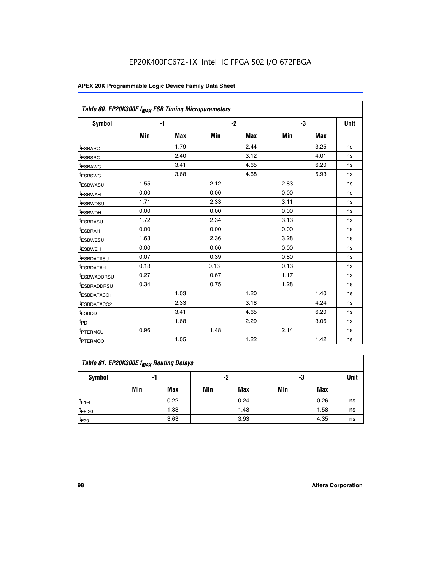|                         | Table 80. EP20K300E f <sub>MAX</sub> ESB Timing Microparameters |            |      |            |      |            |      |  |  |  |  |
|-------------------------|-----------------------------------------------------------------|------------|------|------------|------|------------|------|--|--|--|--|
| <b>Symbol</b>           |                                                                 | -1         |      | $-2$       |      | -3         | Unit |  |  |  |  |
|                         | Min                                                             | <b>Max</b> | Min  | <b>Max</b> | Min  | <b>Max</b> |      |  |  |  |  |
| t <sub>ESBARC</sub>     |                                                                 | 1.79       |      | 2.44       |      | 3.25       | ns   |  |  |  |  |
| t <sub>ESBSRC</sub>     |                                                                 | 2.40       |      | 3.12       |      | 4.01       | ns   |  |  |  |  |
| t <sub>ESBAWC</sub>     |                                                                 | 3.41       |      | 4.65       |      | 6.20       | ns   |  |  |  |  |
| t <sub>ESBSWC</sub>     |                                                                 | 3.68       |      | 4.68       |      | 5.93       | ns   |  |  |  |  |
| <sup>I</sup> ESBWASU    | 1.55                                                            |            | 2.12 |            | 2.83 |            | ns   |  |  |  |  |
| <sup>t</sup> ESBWAH     | 0.00                                                            |            | 0.00 |            | 0.00 |            | ns   |  |  |  |  |
| <sup>I</sup> ESBWDSU    | 1.71                                                            |            | 2.33 |            | 3.11 |            | ns   |  |  |  |  |
| <sup>t</sup> ESBWDH     | 0.00                                                            |            | 0.00 |            | 0.00 |            | ns   |  |  |  |  |
| <sup>t</sup> ESBRASU    | 1.72                                                            |            | 2.34 |            | 3.13 |            | ns   |  |  |  |  |
| t <sub>ESBRAH</sub>     | 0.00                                                            |            | 0.00 |            | 0.00 |            | ns   |  |  |  |  |
| <sup>t</sup> ESBWESU    | 1.63                                                            |            | 2.36 |            | 3.28 |            | ns   |  |  |  |  |
| <sup>t</sup> ESBWEH     | 0.00                                                            |            | 0.00 |            | 0.00 |            | ns   |  |  |  |  |
| t <sub>ESBDATASU</sub>  | 0.07                                                            |            | 0.39 |            | 0.80 |            | ns   |  |  |  |  |
| <sup>t</sup> ESBDATAH   | 0.13                                                            |            | 0.13 |            | 0.13 |            | ns   |  |  |  |  |
| <sup>t</sup> ESBWADDRSU | 0.27                                                            |            | 0.67 |            | 1.17 |            | ns   |  |  |  |  |
| <sup>t</sup> ESBRADDRSU | 0.34                                                            |            | 0.75 |            | 1.28 |            | ns   |  |  |  |  |
| <sup>I</sup> ESBDATACO1 |                                                                 | 1.03       |      | 1.20       |      | 1.40       | ns   |  |  |  |  |
| <sup>t</sup> ESBDATACO2 |                                                                 | 2.33       |      | 3.18       |      | 4.24       | ns   |  |  |  |  |
| <sup>t</sup> ESBDD      |                                                                 | 3.41       |      | 4.65       |      | 6.20       | ns   |  |  |  |  |
| t <sub>PD</sub>         |                                                                 | 1.68       |      | 2.29       |      | 3.06       | ns   |  |  |  |  |
| t <sub>PTERMSU</sub>    | 0.96                                                            |            | 1.48 |            | 2.14 |            | ns   |  |  |  |  |
| t <sub>PTERMCO</sub>    |                                                                 | 1.05       |      | 1.22       |      | 1.42       | ns   |  |  |  |  |

| Table 81. EP20K300E f <sub>MAX</sub> Routing Delays |     |      |     |            |     |      |    |  |  |  |
|-----------------------------------------------------|-----|------|-----|------------|-----|------|----|--|--|--|
| Symbol                                              |     | -1   |     | -2         |     | -3   |    |  |  |  |
|                                                     | Min | Max  | Min | <b>Max</b> | Min | Max  |    |  |  |  |
| $t_{F1-4}$                                          |     | 0.22 |     | 0.24       |     | 0.26 | ns |  |  |  |
| $t_{F5-20}$                                         |     | 1.33 |     | 1.43       |     | 1.58 | ns |  |  |  |
| $t_{F20+}$                                          |     | 3.63 |     | 3.93       |     | 4.35 | ns |  |  |  |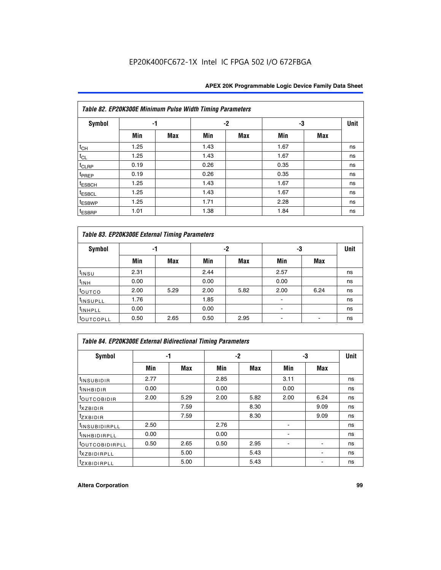|                    | Table 82. EP20K300E Minimum Pulse Width Timing Parameters |            |      |      |      |     |             |  |  |  |  |  |
|--------------------|-----------------------------------------------------------|------------|------|------|------|-----|-------------|--|--|--|--|--|
| <b>Symbol</b>      | -1                                                        |            |      | $-2$ | -3   |     | <b>Unit</b> |  |  |  |  |  |
|                    | Min                                                       | <b>Max</b> | Min  | Max  | Min  | Max |             |  |  |  |  |  |
| $t_{CH}$           | 1.25                                                      |            | 1.43 |      | 1.67 |     | ns          |  |  |  |  |  |
| $t_{CL}$           | 1.25                                                      |            | 1.43 |      | 1.67 |     | ns          |  |  |  |  |  |
| t <sub>CLRP</sub>  | 0.19                                                      |            | 0.26 |      | 0.35 |     | ns          |  |  |  |  |  |
| t <sub>PREP</sub>  | 0.19                                                      |            | 0.26 |      | 0.35 |     | ns          |  |  |  |  |  |
| t <sub>ESBCH</sub> | 1.25                                                      |            | 1.43 |      | 1.67 |     | ns          |  |  |  |  |  |
| <sup>t</sup> ESBCL | 1.25                                                      |            | 1.43 |      | 1.67 |     | ns          |  |  |  |  |  |
| <sup>t</sup> ESBWP | 1.25                                                      |            | 1.71 |      | 2.28 |     | ns          |  |  |  |  |  |
| <sup>t</sup> ESBRP | 1.01                                                      |            | 1.38 |      | 1.84 |     | ns          |  |  |  |  |  |

| Table 83. EP20K300E External Timing Parameters |      |      |      |      |      |            |             |  |  |  |  |  |
|------------------------------------------------|------|------|------|------|------|------------|-------------|--|--|--|--|--|
| Symbol                                         |      | -1   |      | -2   |      | -3         | <b>Unit</b> |  |  |  |  |  |
|                                                | Min  | Max  | Min  | Max  | Min  | <b>Max</b> |             |  |  |  |  |  |
| t <sub>INSU</sub>                              | 2.31 |      | 2.44 |      | 2.57 |            | ns          |  |  |  |  |  |
| $t_{INH}$                                      | 0.00 |      | 0.00 |      | 0.00 |            | ns          |  |  |  |  |  |
| toutco                                         | 2.00 | 5.29 | 2.00 | 5.82 | 2.00 | 6.24       | ns          |  |  |  |  |  |
| <sup>t</sup> INSUPLL                           | 1.76 |      | 1.85 |      |      |            | ns          |  |  |  |  |  |
| <sup>t</sup> INHPLL                            | 0.00 |      | 0.00 |      | -    |            | ns          |  |  |  |  |  |
| <sup>t</sup> OUTCOPLL                          | 0.50 | 2.65 | 0.50 | 2.95 |      |            | ns          |  |  |  |  |  |

| Table 84. EP20K300E External Bidirectional Timing Parameters |      |      |      |      |      |             |    |  |  |  |  |
|--------------------------------------------------------------|------|------|------|------|------|-------------|----|--|--|--|--|
| Symbol                                                       |      | -1   | $-2$ |      | -3   | <b>Unit</b> |    |  |  |  |  |
|                                                              | Min  | Max  | Min  | Max  | Min  | <b>Max</b>  |    |  |  |  |  |
| <sup>t</sup> INSUBIDIR                                       | 2.77 |      | 2.85 |      | 3.11 |             | ns |  |  |  |  |
| <b>TINHBIDIR</b>                                             | 0.00 |      | 0.00 |      | 0.00 |             | ns |  |  |  |  |
| <sup>t</sup> OUTCOBIDIR                                      | 2.00 | 5.29 | 2.00 | 5.82 | 2.00 | 6.24        | ns |  |  |  |  |
| KZBIDIR                                                      |      | 7.59 |      | 8.30 |      | 9.09        | ns |  |  |  |  |
| $t_{Z}$ <i>x</i> BIDIR                                       |      | 7.59 |      | 8.30 |      | 9.09        | ns |  |  |  |  |
| <b>INSUBIDIRPLL</b>                                          | 2.50 |      | 2.76 |      |      |             | ns |  |  |  |  |
| <sup>t</sup> INHBIDIRPLL                                     | 0.00 |      | 0.00 |      |      |             | ns |  |  |  |  |
| <sup>t</sup> OUTCOBIDIRPLL                                   | 0.50 | 2.65 | 0.50 | 2.95 |      |             | ns |  |  |  |  |
| <sup>t</sup> XZBIDIRPLL                                      |      | 5.00 |      | 5.43 |      |             | ns |  |  |  |  |
| <sup>t</sup> ZXBIDIRPLL                                      |      | 5.00 |      | 5.43 |      |             | ns |  |  |  |  |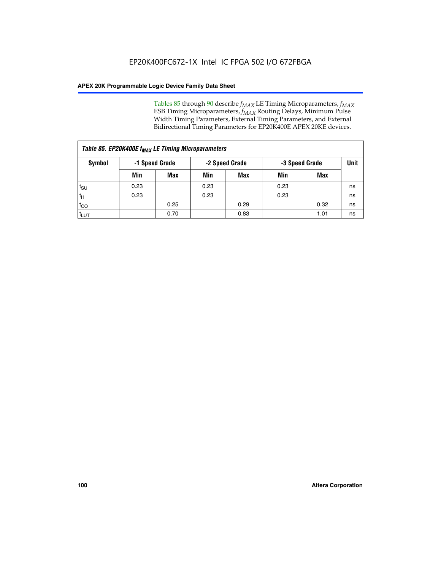Tables 85 through 90 describe  $f_{MAX}$  LE Timing Microparameters,  $f_{MAX}$ ESB Timing Microparameters, *f<sub>MAX</sub>* Routing Delays, Minimum Pulse Width Timing Parameters, External Timing Parameters, and External Bidirectional Timing Parameters for EP20K400E APEX 20KE devices.

| Table 85. EP20K400E f <sub>MAX</sub> LE Timing Microparameters |                |            |                |            |                |      |             |  |  |  |  |
|----------------------------------------------------------------|----------------|------------|----------------|------------|----------------|------|-------------|--|--|--|--|
| Symbol                                                         | -1 Speed Grade |            | -2 Speed Grade |            | -3 Speed Grade |      | <b>Unit</b> |  |  |  |  |
|                                                                | Min            | <b>Max</b> | Min            | <b>Max</b> | Min            | Max  |             |  |  |  |  |
| $t_{\text{SU}}$                                                | 0.23           |            | 0.23           |            | 0.23           |      | ns          |  |  |  |  |
| $t_H$                                                          | 0.23           |            | 0.23           |            | 0.23           |      | ns          |  |  |  |  |
| $t_{CO}$                                                       |                | 0.25       |                | 0.29       |                | 0.32 | ns          |  |  |  |  |
| ι <sup>t</sup> ιυτ                                             |                | 0.70       |                | 0.83       |                | 1.01 | ns          |  |  |  |  |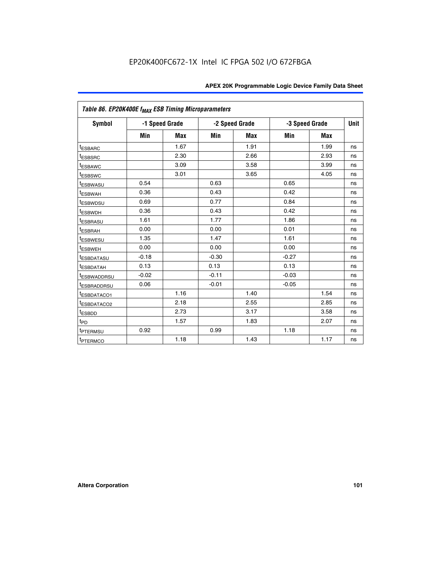|                         | Table 86. EP20K400E f <sub>MAX</sub> ESB Timing Microparameters |                |         |                |                |            |      |  |  |  |  |  |
|-------------------------|-----------------------------------------------------------------|----------------|---------|----------------|----------------|------------|------|--|--|--|--|--|
| <b>Symbol</b>           |                                                                 | -1 Speed Grade |         | -2 Speed Grade | -3 Speed Grade |            | Unit |  |  |  |  |  |
|                         | Min                                                             | <b>Max</b>     | Min     | Max            | Min            | <b>Max</b> |      |  |  |  |  |  |
| <sup>t</sup> ESBARC     |                                                                 | 1.67           |         | 1.91           |                | 1.99       | ns   |  |  |  |  |  |
| <sup>t</sup> ESBSRC     |                                                                 | 2.30           |         | 2.66           |                | 2.93       | ns   |  |  |  |  |  |
| <sup>t</sup> ESBAWC     |                                                                 | 3.09           |         | 3.58           |                | 3.99       | ns   |  |  |  |  |  |
| <sup>t</sup> ESBSWC     |                                                                 | 3.01           |         | 3.65           |                | 4.05       | ns   |  |  |  |  |  |
| <sup>t</sup> ESBWASU    | 0.54                                                            |                | 0.63    |                | 0.65           |            | ns   |  |  |  |  |  |
| t <sub>ESBWAH</sub>     | 0.36                                                            |                | 0.43    |                | 0.42           |            | ns   |  |  |  |  |  |
| <sup>t</sup> ESBWDSU    | 0.69                                                            |                | 0.77    |                | 0.84           |            | ns   |  |  |  |  |  |
| <sup>I</sup> ESBWDH     | 0.36                                                            |                | 0.43    |                | 0.42           |            | ns   |  |  |  |  |  |
| t <sub>ESBRASU</sub>    | 1.61                                                            |                | 1.77    |                | 1.86           |            | ns   |  |  |  |  |  |
| t <sub>ESBRAH</sub>     | 0.00                                                            |                | 0.00    |                | 0.01           |            | ns   |  |  |  |  |  |
| <sup>t</sup> ESBWESU    | 1.35                                                            |                | 1.47    |                | 1.61           |            | ns   |  |  |  |  |  |
| t <sub>ESBWEH</sub>     | 0.00                                                            |                | 0.00    |                | 0.00           |            | ns   |  |  |  |  |  |
| <sup>I</sup> ESBDATASU  | $-0.18$                                                         |                | $-0.30$ |                | $-0.27$        |            | ns   |  |  |  |  |  |
| <b>ESBDATAH</b>         | 0.13                                                            |                | 0.13    |                | 0.13           |            | ns   |  |  |  |  |  |
| <sup>T</sup> ESBWADDRSU | $-0.02$                                                         |                | $-0.11$ |                | $-0.03$        |            | ns   |  |  |  |  |  |
| <sup>T</sup> ESBRADDRSU | 0.06                                                            |                | $-0.01$ |                | $-0.05$        |            | ns   |  |  |  |  |  |
| <sup>t</sup> ESBDATACO1 |                                                                 | 1.16           |         | 1.40           |                | 1.54       | ns   |  |  |  |  |  |
| <sup>t</sup> ESBDATACO2 |                                                                 | 2.18           |         | 2.55           |                | 2.85       | ns   |  |  |  |  |  |
| <sup>t</sup> ESBDD      |                                                                 | 2.73           |         | 3.17           |                | 3.58       | ns   |  |  |  |  |  |
| $t_{P\underline{D}}$    |                                                                 | 1.57           |         | 1.83           |                | 2.07       | ns   |  |  |  |  |  |
| t <sub>PTERMSU</sub>    | 0.92                                                            |                | 0.99    |                | 1.18           |            | ns   |  |  |  |  |  |
| <sup>t</sup> PTERMCO    |                                                                 | 1.18           |         | 1.43           |                | 1.17       | ns   |  |  |  |  |  |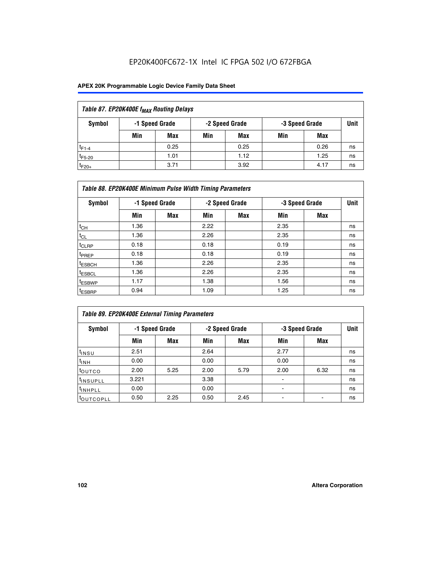| Table 87. EP20K400E f <sub>MAX</sub> Routing Delays |     |                |     |                |     |                |             |  |  |  |
|-----------------------------------------------------|-----|----------------|-----|----------------|-----|----------------|-------------|--|--|--|
| Symbol                                              |     | -1 Speed Grade |     | -2 Speed Grade |     | -3 Speed Grade | <b>Unit</b> |  |  |  |
|                                                     | Min | <b>Max</b>     | Min | Max            | Min | Max            |             |  |  |  |
| $t_{F1-4}$                                          |     | 0.25           |     | 0.25           |     | 0.26           | ns          |  |  |  |
| $t_{F5-20}$                                         |     | 1.01           |     | 1.12           |     | 1.25           | ns          |  |  |  |
| $t_{F20+}$                                          |     | 3.71           |     | 3.92           |     | 4.17           | ns          |  |  |  |

|                    | Table 88. EP20K400E Minimum Pulse Width Timing Parameters |                |      |                |      |                |             |  |  |  |  |  |
|--------------------|-----------------------------------------------------------|----------------|------|----------------|------|----------------|-------------|--|--|--|--|--|
| Symbol             |                                                           | -1 Speed Grade |      | -2 Speed Grade |      | -3 Speed Grade | <b>Unit</b> |  |  |  |  |  |
|                    | Min                                                       | <b>Max</b>     | Min  | <b>Max</b>     | Min  | <b>Max</b>     |             |  |  |  |  |  |
| $t_{CH}$           | 1.36                                                      |                | 2.22 |                | 2.35 |                | ns          |  |  |  |  |  |
| $t_{CL}$           | 1.36                                                      |                | 2.26 |                | 2.35 |                | ns          |  |  |  |  |  |
| $t_{CLRP}$         | 0.18                                                      |                | 0.18 |                | 0.19 |                | ns          |  |  |  |  |  |
| <sup>t</sup> PREP  | 0.18                                                      |                | 0.18 |                | 0.19 |                | ns          |  |  |  |  |  |
| <sup>t</sup> ESBCH | 1.36                                                      |                | 2.26 |                | 2.35 |                | ns          |  |  |  |  |  |
| <sup>t</sup> ESBCL | 1.36                                                      |                | 2.26 |                | 2.35 |                | ns          |  |  |  |  |  |
| <sup>t</sup> ESBWP | 1.17                                                      |                | 1.38 |                | 1.56 |                | ns          |  |  |  |  |  |
| <sup>t</sup> ESBRP | 0.94                                                      |                | 1.09 |                | 1.25 |                | ns          |  |  |  |  |  |

| Table 89. EP20K400E External Timing Parameters |       |                |      |                |      |                |    |  |  |
|------------------------------------------------|-------|----------------|------|----------------|------|----------------|----|--|--|
| Symbol                                         |       | -1 Speed Grade |      | -2 Speed Grade |      | -3 Speed Grade |    |  |  |
|                                                | Min   | <b>Max</b>     | Min  | <b>Max</b>     | Min  | Max            |    |  |  |
| t <sub>INSU</sub>                              | 2.51  |                | 2.64 |                | 2.77 |                | ns |  |  |
| $t_{INH}$                                      | 0.00  |                | 0.00 |                | 0.00 |                | ns |  |  |
| <b>t</b> outco                                 | 2.00  | 5.25           | 2.00 | 5.79           | 2.00 | 6.32           | ns |  |  |
| <sup>t</sup> INSUPLL                           | 3.221 |                | 3.38 |                | -    |                | ns |  |  |
| I <sup>t</sup> INHPLL                          | 0.00  |                | 0.00 |                | -    |                | ns |  |  |
| toutcopll                                      | 0.50  | 2.25           | 0.50 | 2.45           | -    |                | ns |  |  |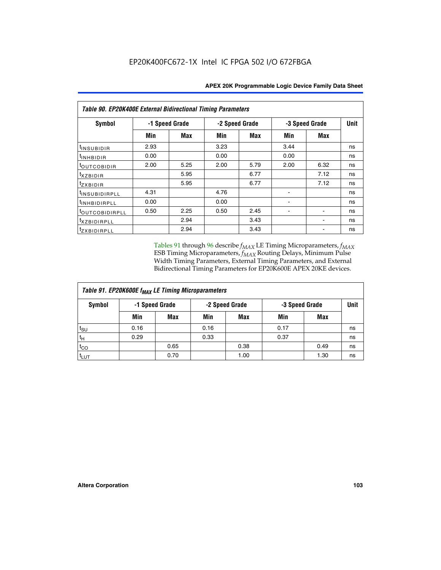| <b>Table 90. EP20K400E External Bidirectional Timing Parameters</b> |      |                |                |      |                |             |    |  |  |
|---------------------------------------------------------------------|------|----------------|----------------|------|----------------|-------------|----|--|--|
| Symbol                                                              |      | -1 Speed Grade | -2 Speed Grade |      | -3 Speed Grade | <b>Unit</b> |    |  |  |
|                                                                     | Min  | Max            | Min            | Max  | Min            | Max         |    |  |  |
| t <sub>INSUBIDIR</sub>                                              | 2.93 |                | 3.23           |      | 3.44           |             | ns |  |  |
| t <sub>INHBIDIR</sub>                                               | 0.00 |                | 0.00           |      | 0.00           |             | ns |  |  |
| t <sub>OUTCOBIDIR</sub>                                             | 2.00 | 5.25           | 2.00           | 5.79 | 2.00           | 6.32        | ns |  |  |
| $txz$ BIDIR                                                         |      | 5.95           |                | 6.77 |                | 7.12        | ns |  |  |
| tzxbidir                                                            |      | 5.95           |                | 6.77 |                | 7.12        | ns |  |  |
| t <sub>INSUBIDIRPLL</sub>                                           | 4.31 |                | 4.76           |      |                |             | ns |  |  |
| t <sub>INHBIDIRPLL</sub>                                            | 0.00 |                | 0.00           |      |                |             | ns |  |  |
| toutco <u>bidirpll</u>                                              | 0.50 | 2.25           | 0.50           | 2.45 |                |             | ns |  |  |
| <i>txzBIDIRPLL</i>                                                  |      | 2.94           |                | 3.43 |                |             | ns |  |  |
| tzxbidirpll                                                         |      | 2.94           |                | 3.43 |                |             | ns |  |  |

Tables 91 through 96 describe  $f_{MAX}$  LE Timing Microparameters,  $f_{MAX}$ ESB Timing Microparameters, *f<sub>MAX</sub>* Routing Delays, Minimum Pulse Width Timing Parameters, External Timing Parameters, and External Bidirectional Timing Parameters for EP20K600E APEX 20KE devices.

| Table 91. EP20K600E f <sub>MAX</sub> LE Timing Microparameters |                |            |      |                |      |                |    |  |  |
|----------------------------------------------------------------|----------------|------------|------|----------------|------|----------------|----|--|--|
| Symbol                                                         | -1 Speed Grade |            |      | -2 Speed Grade |      | -3 Speed Grade |    |  |  |
|                                                                | Min            | <b>Max</b> | Min  | <b>Max</b>     | Min  | Max            |    |  |  |
| t <sub>SU</sub>                                                | 0.16           |            | 0.16 |                | 0.17 |                | ns |  |  |
| $t_H$                                                          | 0.29           |            | 0.33 |                | 0.37 |                | ns |  |  |
| $t_{CO}$                                                       |                | 0.65       |      | 0.38           |      | 0.49           | ns |  |  |
| t <sub>LUT</sub>                                               |                | 0.70       |      | 1.00           |      | 1.30           | ns |  |  |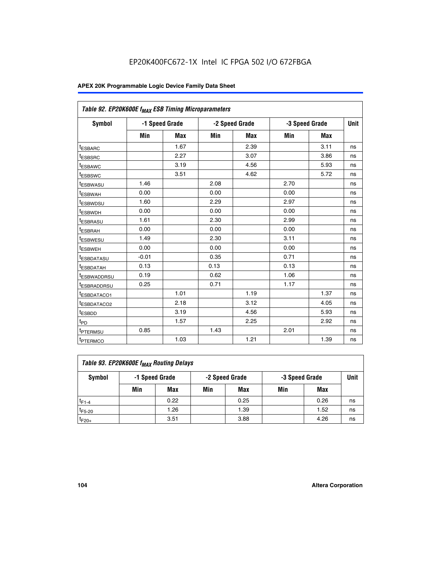| Table 92. EP20K600E f <sub>MAX</sub> ESB Timing Microparameters |         |                |      |                |      |                |    |
|-----------------------------------------------------------------|---------|----------------|------|----------------|------|----------------|----|
| <b>Symbol</b>                                                   |         | -1 Speed Grade |      | -2 Speed Grade |      | -3 Speed Grade |    |
|                                                                 | Min     | <b>Max</b>     | Min  | <b>Max</b>     | Min  | <b>Max</b>     |    |
| t <sub>ESBARC</sub>                                             |         | 1.67           |      | 2.39           |      | 3.11           | ns |
| t <sub>ESBSRC</sub>                                             |         | 2.27           |      | 3.07           |      | 3.86           | ns |
| <sup>t</sup> ESBAWC                                             |         | 3.19           |      | 4.56           |      | 5.93           | ns |
| t <sub>ESBSWC</sub>                                             |         | 3.51           |      | 4.62           |      | 5.72           | ns |
| <sup>t</sup> ESBWASU                                            | 1.46    |                | 2.08 |                | 2.70 |                | ns |
| t <sub>ESBWAH</sub>                                             | 0.00    |                | 0.00 |                | 0.00 |                | ns |
| t <sub>ESBWDSU</sub>                                            | 1.60    |                | 2.29 |                | 2.97 |                | ns |
| <sup>t</sup> ESBWDH                                             | 0.00    |                | 0.00 |                | 0.00 |                | ns |
| <sup>t</sup> ESBRASU                                            | 1.61    |                | 2.30 |                | 2.99 |                | ns |
| t <sub>ESBRAH</sub>                                             | 0.00    |                | 0.00 |                | 0.00 |                | ns |
| t <sub>ESBWESU</sub>                                            | 1.49    |                | 2.30 |                | 3.11 |                | ns |
| <sup>t</sup> ESBWEH                                             | 0.00    |                | 0.00 |                | 0.00 |                | ns |
| <sup>t</sup> ESBDATASU                                          | $-0.01$ |                | 0.35 |                | 0.71 |                | ns |
| <sup>t</sup> ESBDATAH                                           | 0.13    |                | 0.13 |                | 0.13 |                | ns |
| <sup>t</sup> ESBWADDRSU                                         | 0.19    |                | 0.62 |                | 1.06 |                | ns |
| <sup>t</sup> ESBRADDRSU                                         | 0.25    |                | 0.71 |                | 1.17 |                | ns |
| <sup>I</sup> ESBDATACO1                                         |         | 1.01           |      | 1.19           |      | 1.37           | ns |
| <sup>t</sup> ESBDATACO2                                         |         | 2.18           |      | 3.12           |      | 4.05           | ns |
| <sup>t</sup> ESBDD                                              |         | 3.19           |      | 4.56           |      | 5.93           | ns |
| t <sub>PD</sub>                                                 |         | 1.57           |      | 2.25           |      | 2.92           | ns |
| t <sub>PTERMSU</sub>                                            | 0.85    |                | 1.43 |                | 2.01 |                | ns |
| t <sub>PTERMCO</sub>                                            |         | 1.03           |      | 1.21           |      | 1.39           | ns |

| Table 93. EP20K600E f <sub>MAX</sub> Routing Delays |     |                |     |                |     |                |      |  |  |
|-----------------------------------------------------|-----|----------------|-----|----------------|-----|----------------|------|--|--|
| Symbol                                              |     | -1 Speed Grade |     | -2 Speed Grade |     | -3 Speed Grade | Unit |  |  |
|                                                     | Min | Max            | Min | Max            | Min | Max            |      |  |  |
| $t_{F1-4}$                                          |     | 0.22           |     | 0.25           |     | 0.26           | ns   |  |  |
| $t_{F5-20}$                                         |     | 1.26           |     | 1.39           |     | 1.52           | ns   |  |  |
| $t_{F20+}$                                          |     | 3.51           |     | 3.88           |     | 4.26           | ns   |  |  |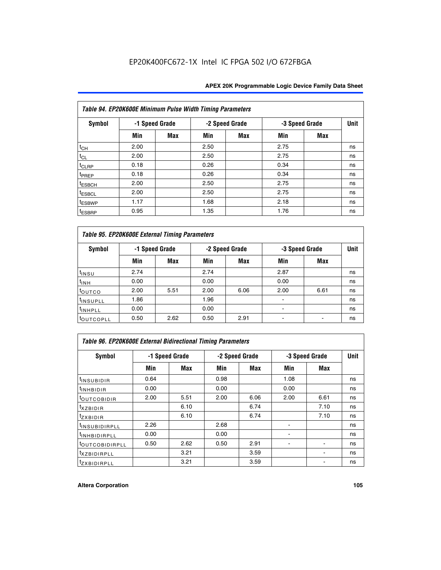| Table 94. EP20K600E Minimum Pulse Width Timing Parameters |      |                |      |                |                |            |             |  |  |
|-----------------------------------------------------------|------|----------------|------|----------------|----------------|------------|-------------|--|--|
| Symbol                                                    |      | -1 Speed Grade |      | -2 Speed Grade | -3 Speed Grade |            | <b>Unit</b> |  |  |
|                                                           | Min  | Max            | Min  | Max            | Min            | <b>Max</b> |             |  |  |
| $t_{CH}$                                                  | 2.00 |                | 2.50 |                | 2.75           |            | ns          |  |  |
| $t_{CL}$                                                  | 2.00 |                | 2.50 |                | 2.75           |            | ns          |  |  |
| $t_{CLRP}$                                                | 0.18 |                | 0.26 |                | 0.34           |            | ns          |  |  |
| t <sub>PREP</sub>                                         | 0.18 |                | 0.26 |                | 0.34           |            | ns          |  |  |
| <sup>t</sup> ESBCH                                        | 2.00 |                | 2.50 |                | 2.75           |            | ns          |  |  |
| <sup>t</sup> ESBCL                                        | 2.00 |                | 2.50 |                | 2.75           |            | ns          |  |  |
| <sup>t</sup> ESBWP                                        | 1.17 |                | 1.68 |                | 2.18           |            | ns          |  |  |
| <sup>t</sup> ESBRP                                        | 0.95 |                | 1.35 |                | 1.76           |            | ns          |  |  |

| Table 95. EP20K600E External Timing Parameters |                |      |      |                |                          |                               |    |  |  |
|------------------------------------------------|----------------|------|------|----------------|--------------------------|-------------------------------|----|--|--|
| Symbol                                         | -1 Speed Grade |      |      | -2 Speed Grade |                          | <b>Unit</b><br>-3 Speed Grade |    |  |  |
|                                                | Min            | Max  | Min  | Max            | Min                      | Max                           |    |  |  |
| t <sub>insu</sub>                              | 2.74           |      | 2.74 |                | 2.87                     |                               | ns |  |  |
| $t_{INH}$                                      | 0.00           |      | 0.00 |                | 0.00                     |                               | ns |  |  |
| toutco                                         | 2.00           | 5.51 | 2.00 | 6.06           | 2.00                     | 6.61                          | ns |  |  |
| <sup>t</sup> INSUPLL                           | 1.86           |      | 1.96 |                |                          |                               | ns |  |  |
| <sup>t</sup> INHPLL                            | 0.00           |      | 0.00 |                | $\overline{\phantom{a}}$ |                               | ns |  |  |
| <b>LOUTCOPLL</b>                               | 0.50           | 2.62 | 0.50 | 2.91           |                          |                               | ns |  |  |

| Table 96. EP20K600E External Bidirectional Timing Parameters |                |      |      |                |                |             |    |  |  |  |
|--------------------------------------------------------------|----------------|------|------|----------------|----------------|-------------|----|--|--|--|
| Symbol                                                       | -1 Speed Grade |      |      | -2 Speed Grade | -3 Speed Grade | <b>Unit</b> |    |  |  |  |
|                                                              | Min            | Max  | Min  | Max            | Min            | Max         |    |  |  |  |
| <sup>t</sup> INSUBIDIR                                       | 0.64           |      | 0.98 |                | 1.08           |             | ns |  |  |  |
| $t_{\text{INHBIDIR}}$                                        | 0.00           |      | 0.00 |                | 0.00           |             | ns |  |  |  |
| <sup>t</sup> OUTCOBIDIR                                      | 2.00           | 5.51 | 2.00 | 6.06           | 2.00           | 6.61        | ns |  |  |  |
| txzBIDIR                                                     |                | 6.10 |      | 6.74           |                | 7.10        | ns |  |  |  |
| <sup>t</sup> zxbidir                                         |                | 6.10 |      | 6.74           |                | 7.10        | ns |  |  |  |
| <sup>t</sup> INSUBIDIRPLL                                    | 2.26           |      | 2.68 |                |                |             | ns |  |  |  |
| <sup>t</sup> INHBIDIRPLL                                     | 0.00           |      | 0.00 |                |                |             | ns |  |  |  |
| <b><i>LOUTCOBIDIRPLL</i></b>                                 | 0.50           | 2.62 | 0.50 | 2.91           |                |             | ns |  |  |  |
| <sup>t</sup> xzbidirpll                                      |                | 3.21 |      | 3.59           |                |             | ns |  |  |  |
| <i>t</i> zxbidirpll                                          |                | 3.21 |      | 3.59           |                | ٠           | ns |  |  |  |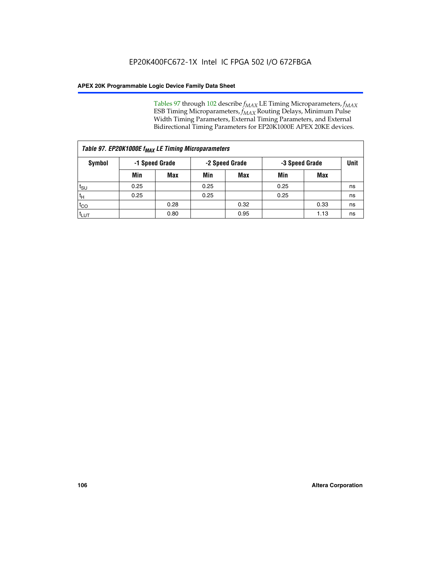Tables 97 through 102 describe  $f_{MAX}$  LE Timing Microparameters,  $f_{MAX}$ ESB Timing Microparameters, *f<sub>MAX</sub>* Routing Delays, Minimum Pulse Width Timing Parameters, External Timing Parameters, and External Bidirectional Timing Parameters for EP20K1000E APEX 20KE devices.

| Table 97. EP20K1000E f <sub>MAX</sub> LE Timing Microparameters |                |            |                |            |                |      |      |  |  |
|-----------------------------------------------------------------|----------------|------------|----------------|------------|----------------|------|------|--|--|
| Symbol                                                          | -1 Speed Grade |            | -2 Speed Grade |            | -3 Speed Grade |      | Unit |  |  |
|                                                                 | Min            | <b>Max</b> | Min            | <b>Max</b> | Min            | Max  |      |  |  |
| $t_{\text{SU}}$                                                 | 0.25           |            | 0.25           |            | 0.25           |      | ns   |  |  |
| $t_H$                                                           | 0.25           |            | 0.25           |            | 0.25           |      | ns   |  |  |
| $t_{CO}$                                                        |                | 0.28       |                | 0.32       |                | 0.33 | ns   |  |  |
| t <sub>LUT</sub>                                                |                | 0.80       |                | 0.95       |                | 1.13 | ns   |  |  |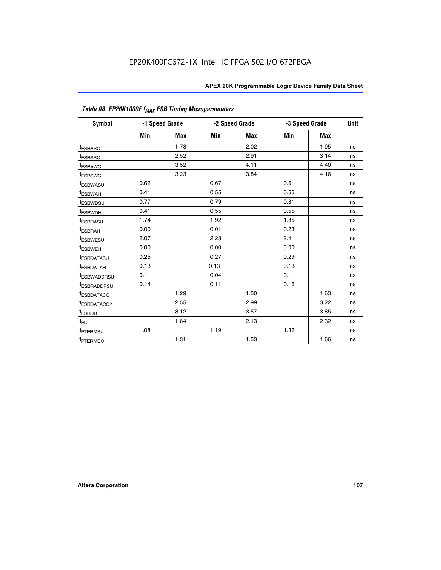|                         | Table 98. EP20K1000E f <sub>MAX</sub> ESB Timing Microparameters |                |      |                |                |            |             |  |  |  |  |
|-------------------------|------------------------------------------------------------------|----------------|------|----------------|----------------|------------|-------------|--|--|--|--|
| <b>Symbol</b>           |                                                                  | -1 Speed Grade |      | -2 Speed Grade | -3 Speed Grade |            | <b>Unit</b> |  |  |  |  |
|                         | Min                                                              | <b>Max</b>     | Min  | Max            | Min            | <b>Max</b> |             |  |  |  |  |
| <b>tESBARC</b>          |                                                                  | 1.78           |      | 2.02           |                | 1.95       | ns          |  |  |  |  |
| <sup>t</sup> ESBSRC     |                                                                  | 2.52           |      | 2.91           |                | 3.14       | ns          |  |  |  |  |
| t <sub>ESBAWC</sub>     |                                                                  | 3.52           |      | 4.11           |                | 4.40       | ns          |  |  |  |  |
| <sup>t</sup> ESBSWC     |                                                                  | 3.23           |      | 3.84           |                | 4.16       | ns          |  |  |  |  |
| <sup>t</sup> ESBWASU    | 0.62                                                             |                | 0.67 |                | 0.61           |            | ns          |  |  |  |  |
| t <sub>ESBWAH</sub>     | 0.41                                                             |                | 0.55 |                | 0.55           |            | ns          |  |  |  |  |
| <sup>t</sup> ESBWDSU    | 0.77                                                             |                | 0.79 |                | 0.81           |            | ns          |  |  |  |  |
| t <sub>ESBWDH</sub>     | 0.41                                                             |                | 0.55 |                | 0.55           |            | ns          |  |  |  |  |
| t <sub>ESBRASU</sub>    | 1.74                                                             |                | 1.92 |                | 1.85           |            | ns          |  |  |  |  |
| t <sub>ESBRAH</sub>     | 0.00                                                             |                | 0.01 |                | 0.23           |            | ns          |  |  |  |  |
| <sup>t</sup> ESBWESU    | 2.07                                                             |                | 2.28 |                | 2.41           |            | ns          |  |  |  |  |
| t <sub>ESBWEH</sub>     | 0.00                                                             |                | 0.00 |                | 0.00           |            | ns          |  |  |  |  |
| <sup>I</sup> ESBDATASU  | 0.25                                                             |                | 0.27 |                | 0.29           |            | ns          |  |  |  |  |
| <b>ESBDATAH</b>         | 0.13                                                             |                | 0.13 |                | 0.13           |            | ns          |  |  |  |  |
| <sup>T</sup> ESBWADDRSU | 0.11                                                             |                | 0.04 |                | 0.11           |            | ns          |  |  |  |  |
| <sup>T</sup> ESBRADDRSU | 0.14                                                             |                | 0.11 |                | 0.16           |            | ns          |  |  |  |  |
| <sup>t</sup> ESBDATACO1 |                                                                  | 1.29           |      | 1.50           |                | 1.63       | ns          |  |  |  |  |
| <sup>t</sup> ESBDATACO2 |                                                                  | 2.55           |      | 2.99           |                | 3.22       | ns          |  |  |  |  |
| <sup>t</sup> ESBDD      |                                                                  | 3.12           |      | 3.57           |                | 3.85       | ns          |  |  |  |  |
| $t_{P\underline{D}}$    |                                                                  | 1.84           |      | 2.13           |                | 2.32       | ns          |  |  |  |  |
| t <sub>PTERMSU</sub>    | 1.08                                                             |                | 1.19 |                | 1.32           |            | ns          |  |  |  |  |
| <sup>t</sup> PTERMCO    |                                                                  | 1.31           |      | 1.53           |                | 1.66       | ns          |  |  |  |  |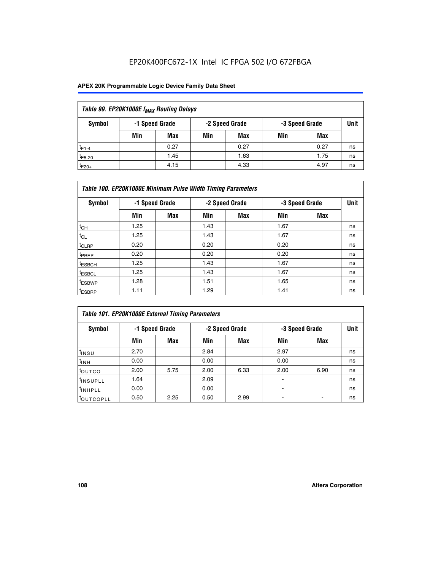## EP20K400FC672-1X Intel IC FPGA 502 I/O 672FBGA

### **APEX 20K Programmable Logic Device Family Data Sheet**

| Table 99. EP20K1000E f <sub>MAX</sub> Routing Delays |                |            |     |                |                |      |      |  |  |  |
|------------------------------------------------------|----------------|------------|-----|----------------|----------------|------|------|--|--|--|
| Symbol                                               | -1 Speed Grade |            |     | -2 Speed Grade | -3 Speed Grade |      | Unit |  |  |  |
|                                                      | Min            | <b>Max</b> | Min | Max            | Min            | Max  |      |  |  |  |
| $t_{F1-4}$                                           |                | 0.27       |     | 0.27           |                | 0.27 | ns   |  |  |  |
| $t_{F5-20}$                                          |                | 1.45       |     | 1.63           |                | 1.75 | ns   |  |  |  |
| $t_{F20+}$                                           |                | 4.15       |     | 4.33           |                | 4.97 | ns   |  |  |  |

|                    | Table 100. EP20K1000E Minimum Pulse Width Timing Parameters |                |      |                |      |                |    |  |  |  |  |  |
|--------------------|-------------------------------------------------------------|----------------|------|----------------|------|----------------|----|--|--|--|--|--|
| Symbol             |                                                             | -1 Speed Grade |      | -2 Speed Grade |      | -3 Speed Grade |    |  |  |  |  |  |
|                    | Min                                                         | <b>Max</b>     | Min  | Max            | Min  | Max            |    |  |  |  |  |  |
| $t_{CH}$           | 1.25                                                        |                | 1.43 |                | 1.67 |                | ns |  |  |  |  |  |
| $t_{CL}$           | 1.25                                                        |                | 1.43 |                | 1.67 |                | ns |  |  |  |  |  |
| t <sub>CLRP</sub>  | 0.20                                                        |                | 0.20 |                | 0.20 |                | ns |  |  |  |  |  |
| <sup>t</sup> PREP  | 0.20                                                        |                | 0.20 |                | 0.20 |                | ns |  |  |  |  |  |
| <sup>t</sup> ESBCH | 1.25                                                        |                | 1.43 |                | 1.67 |                | ns |  |  |  |  |  |
| <sup>t</sup> ESBCL | 1.25                                                        |                | 1.43 |                | 1.67 |                | ns |  |  |  |  |  |
| <sup>t</sup> ESBWP | 1.28                                                        |                | 1.51 |                | 1.65 |                | ns |  |  |  |  |  |
| <sup>t</sup> ESBRP | 1.11                                                        |                | 1.29 |                | 1.41 |                | ns |  |  |  |  |  |

|                     | Table 101. EP20K1000E External Timing Parameters |                |      |                |      |                |    |  |  |  |  |  |
|---------------------|--------------------------------------------------|----------------|------|----------------|------|----------------|----|--|--|--|--|--|
| Symbol              |                                                  | -1 Speed Grade |      | -2 Speed Grade |      | -3 Speed Grade |    |  |  |  |  |  |
|                     | Min                                              | <b>Max</b>     | Min  | <b>Max</b>     | Min  | Max            |    |  |  |  |  |  |
| t <sub>INSU</sub>   | 2.70                                             |                | 2.84 |                | 2.97 |                | ns |  |  |  |  |  |
| $t_{INH}$           | 0.00                                             |                | 0.00 |                | 0.00 |                | ns |  |  |  |  |  |
| toutco              | 2.00                                             | 5.75           | 2.00 | 6.33           | 2.00 | 6.90           | ns |  |  |  |  |  |
| tinsupll            | 1.64                                             |                | 2.09 |                |      |                | ns |  |  |  |  |  |
| <sup>t</sup> INHPLL | 0.00                                             |                | 0.00 |                | -    |                | ns |  |  |  |  |  |
| toutcopll           | 0.50                                             | 2.25           | 0.50 | 2.99           | -    |                | ns |  |  |  |  |  |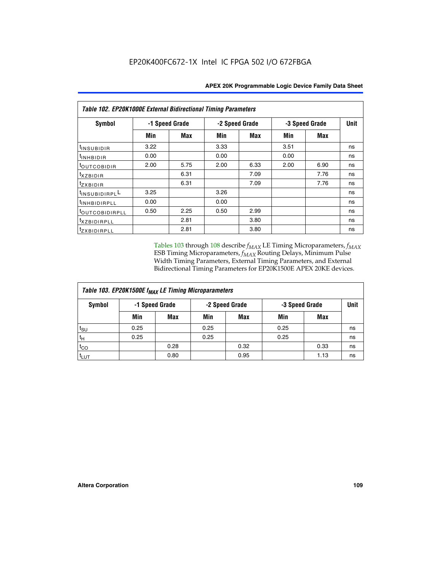| Table 102. EP20K1000E External Bidirectional Timing Parameters |      |                |                |            |                |            |    |  |  |  |
|----------------------------------------------------------------|------|----------------|----------------|------------|----------------|------------|----|--|--|--|
| Symbol                                                         |      | -1 Speed Grade | -2 Speed Grade |            | -3 Speed Grade | Unit       |    |  |  |  |
|                                                                | Min  | Max            | Min            | <b>Max</b> | Min            | <b>Max</b> |    |  |  |  |
| t <sub>INSUBIDIR</sub>                                         | 3.22 |                | 3.33           |            | 3.51           |            | ns |  |  |  |
| t <sub>INHBIDIR</sub>                                          | 0.00 |                | 0.00           |            | 0.00           |            | ns |  |  |  |
| t <sub>outcobidir</sub>                                        | 2.00 | 5.75           | 2.00           | 6.33       | 2.00           | 6.90       | ns |  |  |  |
| <i>txzbidir</i>                                                |      | 6.31           |                | 7.09       |                | 7.76       | ns |  |  |  |
| tzxbidir                                                       |      | 6.31           |                | 7.09       |                | 7.76       | ns |  |  |  |
| t <sub>INSUBIDIRPL</sub> L                                     | 3.25 |                | 3.26           |            |                |            | ns |  |  |  |
| t <sub>INHBIDIRPLL</sub>                                       | 0.00 |                | 0.00           |            |                |            | ns |  |  |  |
| toutco <u>bidirpll</u>                                         | 0.50 | 2.25           | 0.50           | 2.99       |                |            | ns |  |  |  |
| <sup>t</sup> xzbidirpll                                        |      | 2.81           |                | 3.80       |                |            | ns |  |  |  |
| tzxBIDIRPLL                                                    |      | 2.81           |                | 3.80       |                |            | ns |  |  |  |

Tables 103 through 108 describe  $f_{MAX}$  LE Timing Microparameters,  $f_{MAX}$ ESB Timing Microparameters, *f<sub>MAX</sub>* Routing Delays, Minimum Pulse Width Timing Parameters, External Timing Parameters, and External Bidirectional Timing Parameters for EP20K1500E APEX 20KE devices.

| Table 103. EP20K1500E f <sub>MAX</sub> LE Timing Microparameters |                |            |      |                |      |                |             |  |  |  |
|------------------------------------------------------------------|----------------|------------|------|----------------|------|----------------|-------------|--|--|--|
| Symbol                                                           | -1 Speed Grade |            |      | -2 Speed Grade |      | -3 Speed Grade | <b>Unit</b> |  |  |  |
|                                                                  | Min            | <b>Max</b> | Min  | <b>Max</b>     | Min  | Max            |             |  |  |  |
| $t_{\sf SU}$                                                     | 0.25           |            | 0.25 |                | 0.25 |                | ns          |  |  |  |
| $t_H$                                                            | 0.25           |            | 0.25 |                | 0.25 |                | ns          |  |  |  |
| $t_{CO}$                                                         |                | 0.28       |      | 0.32           |      | 0.33           | ns          |  |  |  |
| t <sub>lut</sub>                                                 |                | 0.80       |      | 0.95           |      | 1.13           | ns          |  |  |  |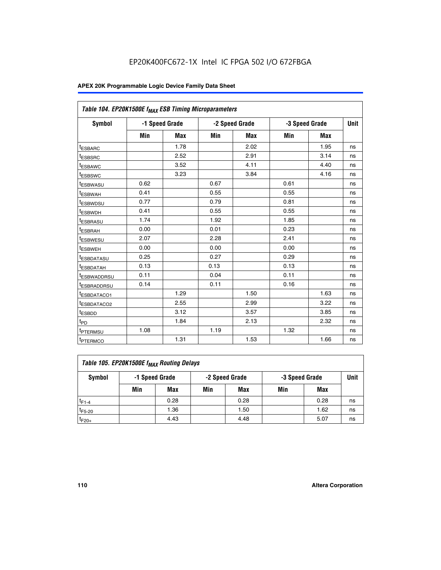| Table 104. EP20K1500E f <sub>MAX</sub> ESB Timing Microparameters |      |                |            |                |      |                |             |
|-------------------------------------------------------------------|------|----------------|------------|----------------|------|----------------|-------------|
| <b>Symbol</b>                                                     |      | -1 Speed Grade |            | -2 Speed Grade |      | -3 Speed Grade | <b>Unit</b> |
|                                                                   | Min  | <b>Max</b>     | <b>Min</b> | Max            | Min  | Max            |             |
| <sup>t</sup> ESBARC                                               |      | 1.78           |            | 2.02           |      | 1.95           | ns          |
| t <sub>ESBSRC</sub>                                               |      | 2.52           |            | 2.91           |      | 3.14           | ns          |
| <sup>t</sup> ESBAWC                                               |      | 3.52           |            | 4.11           |      | 4.40           | ns          |
| t <sub>ESBSWC</sub>                                               |      | 3.23           |            | 3.84           |      | 4.16           | ns          |
| t <sub>ESBWASU</sub>                                              | 0.62 |                | 0.67       |                | 0.61 |                | ns          |
| t <sub>ESBWAH</sub>                                               | 0.41 |                | 0.55       |                | 0.55 |                | ns          |
| <sup>t</sup> ESBWDSU                                              | 0.77 |                | 0.79       |                | 0.81 |                | ns          |
| t <sub>ESBWDH</sub>                                               | 0.41 |                | 0.55       |                | 0.55 |                | ns          |
| <sup>t</sup> ESBRASU                                              | 1.74 |                | 1.92       |                | 1.85 |                | ns          |
| <sup>t</sup> ESBRAH                                               | 0.00 |                | 0.01       |                | 0.23 |                | ns          |
| <sup>t</sup> ESBWESU                                              | 2.07 |                | 2.28       |                | 2.41 |                | ns          |
| <sup>t</sup> ESBWEH                                               | 0.00 |                | 0.00       |                | 0.00 |                | ns          |
| <sup>t</sup> ESBDATASU                                            | 0.25 |                | 0.27       |                | 0.29 |                | ns          |
| <sup>t</sup> ESBDATAH                                             | 0.13 |                | 0.13       |                | 0.13 |                | ns          |
| <sup>t</sup> ESBWADDRSU                                           | 0.11 |                | 0.04       |                | 0.11 |                | ns          |
| t <sub>ESBRADDRSU</sub>                                           | 0.14 |                | 0.11       |                | 0.16 |                | ns          |
| <sup>I</sup> ESBDATACO1                                           |      | 1.29           |            | 1.50           |      | 1.63           | ns          |
| <sup>t</sup> ESBDATACO2                                           |      | 2.55           |            | 2.99           |      | 3.22           | ns          |
| <sup>t</sup> ESBDD                                                |      | 3.12           |            | 3.57           |      | 3.85           | ns          |
| t <sub>PD</sub>                                                   |      | 1.84           |            | 2.13           |      | 2.32           | ns          |
| t <sub>PTERMSU</sub>                                              | 1.08 |                | 1.19       |                | 1.32 |                | ns          |
| t <sub>PTERMCO</sub>                                              |      | 1.31           |            | 1.53           |      | 1.66           | ns          |

| Table 105. EP20K1500E f <sub>MAX</sub> Routing Delays |     |                |                                  |      |     |      |    |  |  |  |
|-------------------------------------------------------|-----|----------------|----------------------------------|------|-----|------|----|--|--|--|
| Symbol                                                |     | -1 Speed Grade | -2 Speed Grade<br>-3 Speed Grade |      |     | Unit |    |  |  |  |
|                                                       | Min | Max            | Min                              | Max  | Min | Max  |    |  |  |  |
| $t_{F1-4}$                                            |     | 0.28           |                                  | 0.28 |     | 0.28 | ns |  |  |  |
| $t_{F5-20}$                                           |     | 1.36           |                                  | 1.50 |     | 1.62 | ns |  |  |  |
| $t_{F20+}$                                            |     | 4.43           |                                  | 4.48 |     | 5.07 | ns |  |  |  |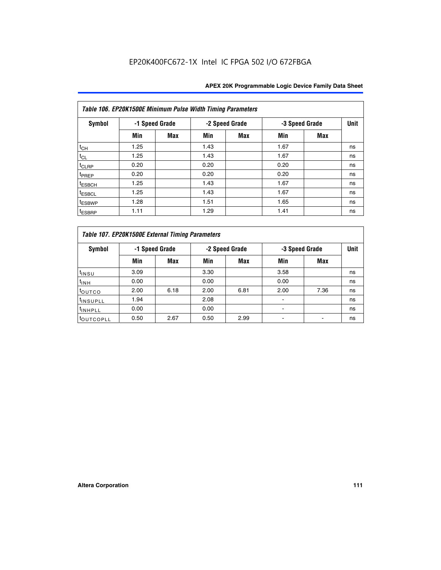|                    | Table 106. EP20K1500E Minimum Pulse Width Timing Parameters |                |      |                |                |            |             |  |  |  |  |  |
|--------------------|-------------------------------------------------------------|----------------|------|----------------|----------------|------------|-------------|--|--|--|--|--|
| Symbol             |                                                             | -1 Speed Grade |      | -2 Speed Grade | -3 Speed Grade |            | <b>Unit</b> |  |  |  |  |  |
|                    | Min                                                         | <b>Max</b>     | Min  | Max            | Min            | <b>Max</b> |             |  |  |  |  |  |
| $t_{CH}$           | 1.25                                                        |                | 1.43 |                | 1.67           |            | ns          |  |  |  |  |  |
| $t_{CL}$           | 1.25                                                        |                | 1.43 |                | 1.67           |            | ns          |  |  |  |  |  |
| t <sub>CLRP</sub>  | 0.20                                                        |                | 0.20 |                | 0.20           |            | ns          |  |  |  |  |  |
| <sup>t</sup> PREP  | 0.20                                                        |                | 0.20 |                | 0.20           |            | ns          |  |  |  |  |  |
| <sup>t</sup> ESBCH | 1.25                                                        |                | 1.43 |                | 1.67           |            | ns          |  |  |  |  |  |
| <sup>t</sup> ESBCL | 1.25                                                        |                | 1.43 |                | 1.67           |            | ns          |  |  |  |  |  |
| <sup>t</sup> ESBWP | 1.28                                                        |                | 1.51 |                | 1.65           |            | ns          |  |  |  |  |  |
| <sup>t</sup> ESBRP | 1.11                                                        |                | 1.29 |                | 1.41           |            | ns          |  |  |  |  |  |

|                      | Table 107. EP20K1500E External Timing Parameters |      |      |                |      |                |      |  |  |  |  |  |
|----------------------|--------------------------------------------------|------|------|----------------|------|----------------|------|--|--|--|--|--|
| Symbol               | -1 Speed Grade                                   |      |      | -2 Speed Grade |      | -3 Speed Grade | Unit |  |  |  |  |  |
|                      | Min                                              | Max  | Min  | <b>Max</b>     | Min  | <b>Max</b>     |      |  |  |  |  |  |
| t <sub>insu</sub>    | 3.09                                             |      | 3.30 |                | 3.58 |                | ns   |  |  |  |  |  |
| $t_{INH}$            | 0.00                                             |      | 0.00 |                | 0.00 |                | ns   |  |  |  |  |  |
| toutco               | 2.00                                             | 6.18 | 2.00 | 6.81           | 2.00 | 7.36           | ns   |  |  |  |  |  |
| <sup>t</sup> INSUPLL | 1.94                                             |      | 2.08 |                |      |                | ns   |  |  |  |  |  |
| <sup>t</sup> INHPLL  | 0.00                                             |      | 0.00 |                |      |                | ns   |  |  |  |  |  |
| <b>LOUTCOPLL</b>     | 0.50                                             | 2.67 | 0.50 | 2.99           |      |                | ns   |  |  |  |  |  |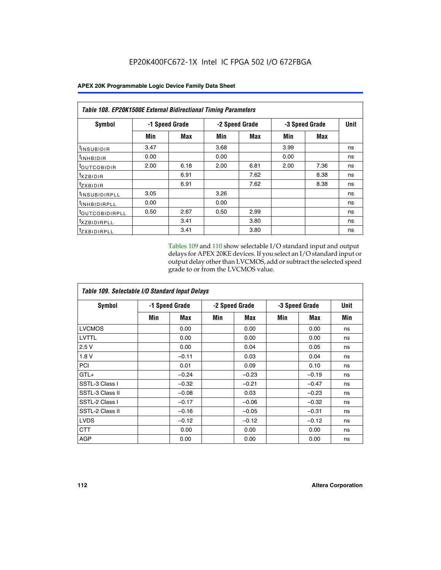| <b>Table 108. EP20K1500E External Bidirectional Timing Parameters</b> |      |                |                |      |                |             |    |  |  |  |  |
|-----------------------------------------------------------------------|------|----------------|----------------|------|----------------|-------------|----|--|--|--|--|
| Symbol                                                                |      | -1 Speed Grade | -2 Speed Grade |      | -3 Speed Grade | <b>Unit</b> |    |  |  |  |  |
|                                                                       | Min  | Max            | Min            | Max  | Min            | Max         |    |  |  |  |  |
| <sup>t</sup> INSUBIDIR                                                | 3.47 |                | 3.68           |      | 3.99           |             | ns |  |  |  |  |
| <sup>t</sup> INHBIDIR                                                 | 0.00 |                | 0.00           |      | 0.00           |             | ns |  |  |  |  |
| <b><i>LOUTCOBIDIR</i></b>                                             | 2.00 | 6.18           | 2.00           | 6.81 | 2.00           | 7.36        | ns |  |  |  |  |
| $t_{XZBIDIR}$                                                         |      | 6.91           |                | 7.62 |                | 8.38        | ns |  |  |  |  |
| $t_{Z}$ <i>x</i> BIDIR                                                |      | 6.91           |                | 7.62 |                | 8.38        | ns |  |  |  |  |
| <sup>t</sup> INSUBIDIRPLL                                             | 3.05 |                | 3.26           |      |                |             | ns |  |  |  |  |
| <sup>t</sup> INHBIDIRPLL                                              | 0.00 |                | 0.00           |      |                |             | ns |  |  |  |  |
| <sup>t</sup> OUTCOBIDIRPLL                                            | 0.50 | 2.67           | 0.50           | 2.99 |                |             | ns |  |  |  |  |
| <sup>t</sup> XZBIDIRPLL                                               |      | 3.41           |                | 3.80 |                |             | ns |  |  |  |  |
| <sup>t</sup> zxbidirpll                                               |      | 3.41           |                | 3.80 |                |             | ns |  |  |  |  |

Tables 109 and 110 show selectable I/O standard input and output delays for APEX 20KE devices. If you select an I/O standard input or output delay other than LVCMOS, add or subtract the selected speed grade to or from the LVCMOS value.

| Table 109. Selectable I/O Standard Input Delays |     |                |     |                |     |                |             |  |  |  |
|-------------------------------------------------|-----|----------------|-----|----------------|-----|----------------|-------------|--|--|--|
| <b>Symbol</b>                                   |     | -1 Speed Grade |     | -2 Speed Grade |     | -3 Speed Grade | <b>Unit</b> |  |  |  |
|                                                 | Min | Max            | Min | Max            | Min | Max            | Min         |  |  |  |
| <b>LVCMOS</b>                                   |     | 0.00           |     | 0.00           |     | 0.00           | ns          |  |  |  |
| <b>LVTTL</b>                                    |     | 0.00           |     | 0.00           |     | 0.00           | ns          |  |  |  |
| 2.5V                                            |     | 0.00           |     | 0.04           |     | 0.05           | ns          |  |  |  |
| 1.8V                                            |     | $-0.11$        |     | 0.03           |     | 0.04           | ns          |  |  |  |
| PCI                                             |     | 0.01           |     | 0.09           |     | 0.10           | ns          |  |  |  |
| $GTL+$                                          |     | $-0.24$        |     | $-0.23$        |     | $-0.19$        | ns          |  |  |  |
| SSTL-3 Class I                                  |     | $-0.32$        |     | $-0.21$        |     | $-0.47$        | ns          |  |  |  |
| SSTL-3 Class II                                 |     | $-0.08$        |     | 0.03           |     | $-0.23$        | ns          |  |  |  |
| SSTL-2 Class I                                  |     | $-0.17$        |     | $-0.06$        |     | $-0.32$        | ns          |  |  |  |
| SSTL-2 Class II                                 |     | $-0.16$        |     | $-0.05$        |     | $-0.31$        | ns          |  |  |  |
| <b>LVDS</b>                                     |     | $-0.12$        |     | $-0.12$        |     | $-0.12$        | ns          |  |  |  |
| <b>CTT</b>                                      |     | 0.00           |     | 0.00           |     | 0.00           | ns          |  |  |  |
| <b>AGP</b>                                      |     | 0.00           |     | 0.00           |     | 0.00           | ns          |  |  |  |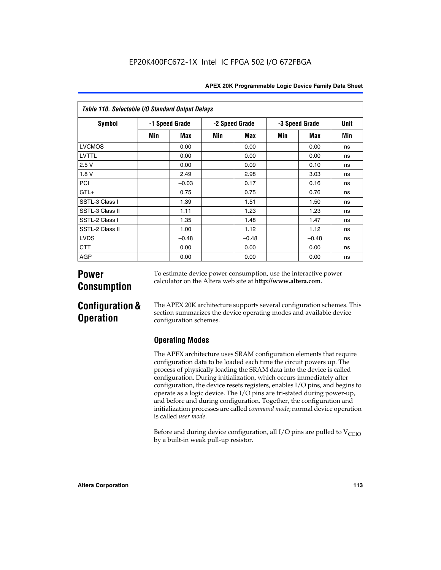| Table 110. Selectable I/O Standard Output Delays |                |         |                |         |                |         |      |  |
|--------------------------------------------------|----------------|---------|----------------|---------|----------------|---------|------|--|
| Symbol                                           | -1 Speed Grade |         | -2 Speed Grade |         | -3 Speed Grade |         | Unit |  |
|                                                  | Min            | Max     | Min            | Max     | Min            | Max     | Min  |  |
| <b>LVCMOS</b>                                    |                | 0.00    |                | 0.00    |                | 0.00    | ns   |  |
| <b>LVTTL</b>                                     |                | 0.00    |                | 0.00    |                | 0.00    | ns   |  |
| 2.5V                                             |                | 0.00    |                | 0.09    |                | 0.10    | ns   |  |
| 1.8V                                             |                | 2.49    |                | 2.98    |                | 3.03    | ns   |  |
| PCI                                              |                | $-0.03$ |                | 0.17    |                | 0.16    | ns   |  |
| $GTL+$                                           |                | 0.75    |                | 0.75    |                | 0.76    | ns   |  |
| SSTL-3 Class I                                   |                | 1.39    |                | 1.51    |                | 1.50    | ns   |  |
| SSTL-3 Class II                                  |                | 1.11    |                | 1.23    |                | 1.23    | ns   |  |
| SSTL-2 Class I                                   |                | 1.35    |                | 1.48    |                | 1.47    | ns   |  |
| SSTL-2 Class II                                  |                | 1.00    |                | 1.12    |                | 1.12    | ns   |  |
| <b>LVDS</b>                                      |                | $-0.48$ |                | $-0.48$ |                | $-0.48$ | ns   |  |
| <b>CTT</b>                                       |                | 0.00    |                | 0.00    |                | 0.00    | ns   |  |
| <b>AGP</b>                                       |                | 0.00    |                | 0.00    |                | 0.00    | ns   |  |

# **Power Consumption**

To estimate device power consumption, use the interactive power calculator on the Altera web site at **http://www.altera.com**.

# **Configuration & Operation**

The APEX 20K architecture supports several configuration schemes. This section summarizes the device operating modes and available device configuration schemes.

### **Operating Modes**

The APEX architecture uses SRAM configuration elements that require configuration data to be loaded each time the circuit powers up. The process of physically loading the SRAM data into the device is called configuration. During initialization, which occurs immediately after configuration, the device resets registers, enables I/O pins, and begins to operate as a logic device. The I/O pins are tri-stated during power-up, and before and during configuration. Together, the configuration and initialization processes are called *command mode*; normal device operation is called *user mode*.

Before and during device configuration, all I/O pins are pulled to  $V<sub>CCIO</sub>$ by a built-in weak pull-up resistor.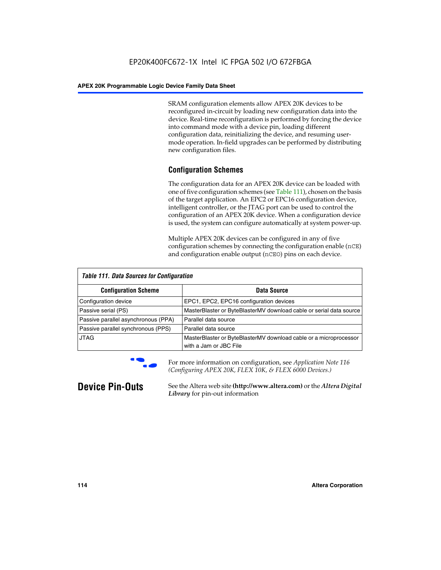SRAM configuration elements allow APEX 20K devices to be reconfigured in-circuit by loading new configuration data into the device. Real-time reconfiguration is performed by forcing the device into command mode with a device pin, loading different configuration data, reinitializing the device, and resuming usermode operation. In-field upgrades can be performed by distributing new configuration files.

### **Configuration Schemes**

The configuration data for an APEX 20K device can be loaded with one of five configuration schemes (see Table 111), chosen on the basis of the target application. An EPC2 or EPC16 configuration device, intelligent controller, or the JTAG port can be used to control the configuration of an APEX 20K device. When a configuration device is used, the system can configure automatically at system power-up.

Multiple APEX 20K devices can be configured in any of five configuration schemes by connecting the configuration enable (nCE) and configuration enable output (nCEO) pins on each device.

| <b>Table 111. Data Sources for Configuration</b> |                                                                                             |  |  |  |
|--------------------------------------------------|---------------------------------------------------------------------------------------------|--|--|--|
| <b>Configuration Scheme</b>                      | Data Source                                                                                 |  |  |  |
| Configuration device                             | EPC1, EPC2, EPC16 configuration devices                                                     |  |  |  |
| Passive serial (PS)                              | MasterBlaster or ByteBlasterMV download cable or serial data source                         |  |  |  |
| Passive parallel asynchronous (PPA)              | Parallel data source                                                                        |  |  |  |
| Passive parallel synchronous (PPS)               | Parallel data source                                                                        |  |  |  |
| <b>JTAG</b>                                      | MasterBlaster or ByteBlasterMV download cable or a microprocessor<br>with a Jam or JBC File |  |  |  |



**For more information on configuration, see Application Note 116** *(Configuring APEX 20K, FLEX 10K, & FLEX 6000 Devices.)*

**Device Pin-Outs** See the Altera web site **(http://www.altera.com)** or the *Altera Digital Library* for pin-out information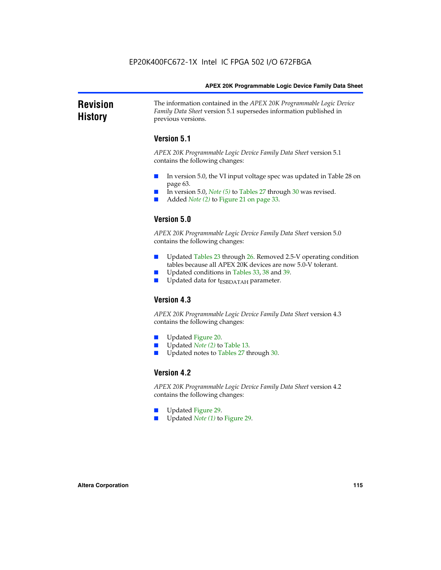#### **Revision History** The information contained in the *APEX 20K Programmable Logic Device Family Data Sheet* version 5.1 supersedes information published in previous versions.

### **Version 5.1**

*APEX 20K Programmable Logic Device Family Data Sheet* version 5.1 contains the following changes:

- In version 5.0, the VI input voltage spec was updated in Table 28 on page 63.
- In version 5.0, *Note* (5) to Tables 27 through 30 was revised.
- Added *Note* (2) to Figure 21 on page 33.

### **Version 5.0**

*APEX 20K Programmable Logic Device Family Data Sheet* version 5.0 contains the following changes:

- Updated Tables 23 through 26. Removed 2.5-V operating condition tables because all APEX 20K devices are now 5.0-V tolerant.
- Updated conditions in Tables 33, 38 and 39.
- Updated data for t<sub>ESBDATAH</sub> parameter.

### **Version 4.3**

*APEX 20K Programmable Logic Device Family Data Sheet* version 4.3 contains the following changes:

- Updated Figure 20.
- Updated *Note (2)* to Table 13.
- Updated notes to Tables 27 through 30.

### **Version 4.2**

*APEX 20K Programmable Logic Device Family Data Sheet* version 4.2 contains the following changes:

- Updated Figure 29.
- Updated *Note (1)* to Figure 29.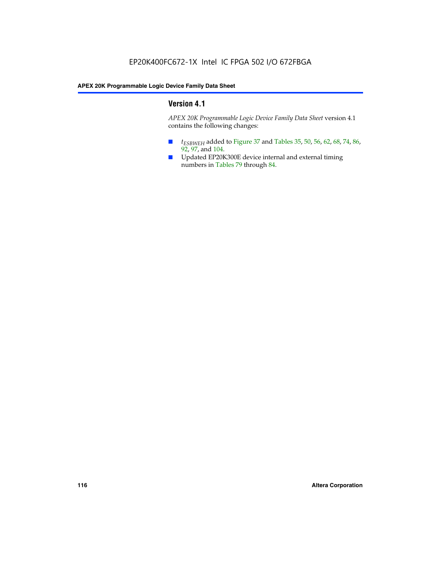### **Version 4.1**

*APEX 20K Programmable Logic Device Family Data Sheet* version 4.1 contains the following changes:

- *t<sub>ESBWEH</sub>* added to Figure 37 and Tables 35, 50, 56, 62, 68, 74, 86, 92, 97, and 104.
- Updated EP20K300E device internal and external timing numbers in Tables 79 through 84.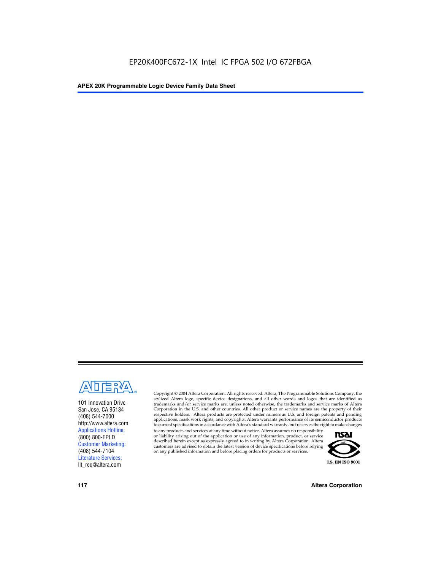

101 Innovation Drive San Jose, CA 95134 (408) 544-7000 http://www.altera.com Applications Hotline: (800) 800-EPLD Customer Marketing: (408) 544-7104 Literature Services: lit\_req@altera.com

Copyright © 2004 Altera Corporation. All rights reserved. Altera, The Programmable Solutions Company, the stylized Altera logo, specific device designations, and all other words and logos that are identified as trademarks and/or service marks are, unless noted otherwise, the trademarks and service marks of Altera Corporation in the U.S. and other countries. All other product or service names are the property of their respective holders. Altera products are protected under numerous U.S. and foreign patents and pending applications, mask work rights, and copyrights. Altera warrants performance of its semiconductor products to current specifications in accordance with Altera's standard warranty, but reserves the right to make changes

to any products and services at any time without notice. Altera assumes no responsibility or liability arising out of the application or use of any information, product, or service described herein except as expressly agreed to in writing by Altera Corporation. Altera customers are advised to obtain the latest version of device specifications before relying on any published information and before placing orders for products or services.



**117 Altera Corporation**